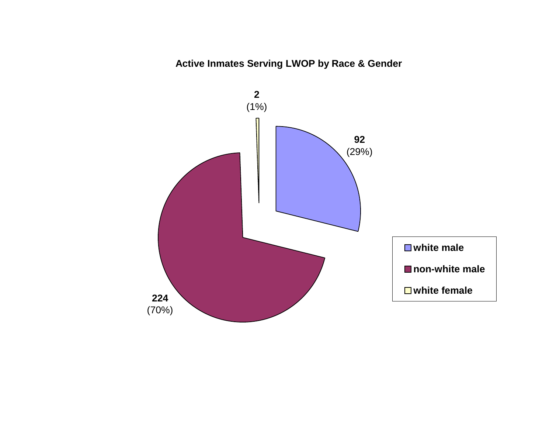# **Active Inmates Serving LWOP by Race & Gender**

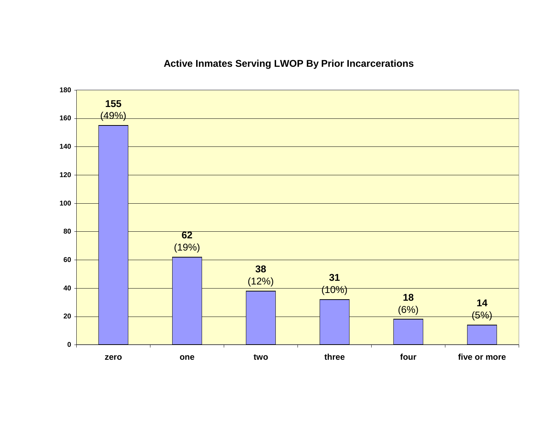# **Active Inmates Serving LWOP By Prior Incarcerations**

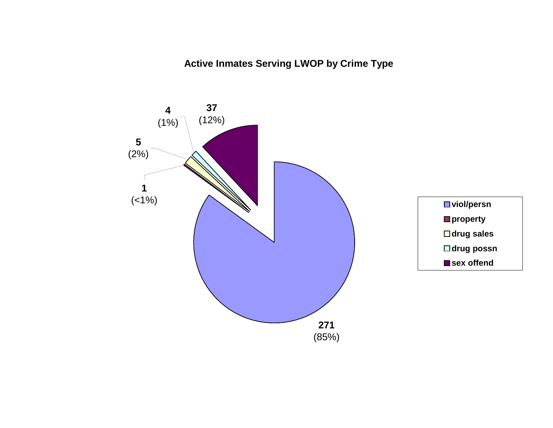**Active Inmates Serving LWOP by Crime Type**

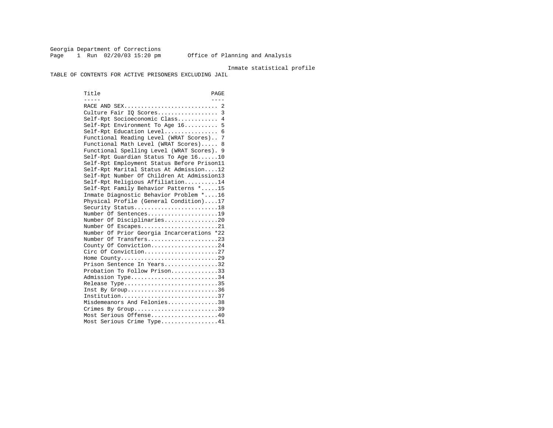Georgia Department of Corrections Page 1 Run 02/20/03 15:20 pm 0ffice of Planning and Analysis

### Inmate statistical profile

TABLE OF CONTENTS FOR ACTIVE PRISONERS EXCLUDING JAIL

Title PAGE ----- ---- RACE AND SEX............................ 2 Culture Fair IQ Scores.................. 3 Self-Rpt Socioeconomic Class............ 4 Self-Rpt Environment To Age 16.......... 5 Self-Rpt Education Level................ 6 Functional Reading Level (WRAT Scores).. 7 Functional Math Level (WRAT Scores)..... 8 Functional Spelling Level (WRAT Scores). 9 Self-Rpt Guardian Status To Age 16......10 Self-Rpt Employment Status Before Prison11 Self-Rpt Marital Status At Admission....12 Self-Rpt Number Of Children At Admission13 Self-Rpt Religious Affiliation..........14 Self-Rpt Family Behavior Patterns \*.....15 Inmate Diagnostic Behavior Problem \*....16 Physical Profile (General Condition)....17 Security Status...........................18 Number Of Sentences.....................19 Number Of Disciplinaries................20 Number Of Escapes........................21 Number Of Prior Georgia Incarcerations \*22 Number Of Transfers.....................23 County Of Conviction....................24 Circ Of Conviction......................27 Home County.............................29 Prison Sentence In Years................32 Probation To Follow Prison..............33Admission Type............................34 Release Type..............................35 Inst By Group..............................36 Institution.............................37 Misdemeanors And Felonies...............38 Crimes By Group.............................39 Most Serious Offense....................40 Most Serious Crime Type.................41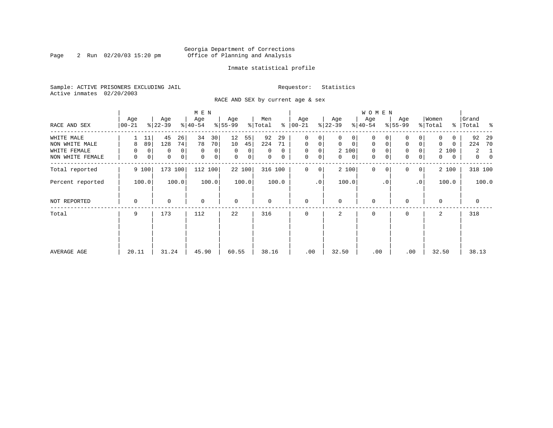### Georgia Department of Corrections Page 2 Run 02/20/03 15:20 pm Office of Planning and Analysis

### Inmate statistical profile

Sample: ACTIVE PRISONERS EXCLUDING JAIL **Requestor:** Statistics Active inmates 02/20/2003

RACE AND SEX by current age & sex

|                  |                  |                          | M E N                      |                  |                      |                    |                   | W O M E N                  |                            |                  |                                  |
|------------------|------------------|--------------------------|----------------------------|------------------|----------------------|--------------------|-------------------|----------------------------|----------------------------|------------------|----------------------------------|
| RACE AND SEX     | Age<br>$00 - 21$ | Age<br>$ 22-39 $         | Age<br>$ 40-54 $           | Age<br>$8 55-99$ | Men<br>ႜ<br>% Total  | Age<br>$ 00 - 21 $ | Age<br>$ 22-39 $  | Age<br>$ 40-54 $           | Age<br>$8 55-99$           | Women<br>% Total | Grand<br>%   Total<br>ႜ          |
| WHITE MALE       | 11               | 45<br>26                 | 30<br>34                   | 12<br>55         | 92<br>29             | $\mathbf 0$<br>0   | 0<br>0            | 0                          | 0                          | 0                | 92<br>- 29                       |
| NON WHITE MALE   | 89<br>8          | 74<br>128                | 70<br>78                   | 10<br>45         | 224<br>71            | $\mathbf{0}$<br>0  | $\mathbf 0$<br>0  | $\mathbf 0$<br>$\mathbf 0$ | 0<br>0                     | 0<br>0           | 70<br>224                        |
| WHITE FEMALE     | 0                | $\overline{0}$<br>0<br>0 | $\mathbf 0$<br>0           | $\Omega$<br>0    | $\Omega$<br>$\Omega$ | $\mathbf{0}$<br>0  | 2 100             | $\mathbf 0$<br>$\Omega$    | 0                          | 2 100            | $\overline{2}$<br>1              |
| NON WHITE FEMALE | 0                | 0<br> 0 <br>0            | $\mathbf 0$<br>$\mathbf 0$ | $\mathbf 0$<br>0 | 0<br>$\mathbf 0$     | 0<br>0             | 0<br>$\mathbf{0}$ | 0<br>0                     | $\mathbf 0$<br>0           | 0<br>0           | $\overline{0}$<br>$\overline{0}$ |
| Total reported   | 9 100            | 173 100                  | 112 100                    | 22 100           | 316 100              | 0<br>0             | 2 100             | $\mathbf 0$<br>$\Omega$    | $\Omega$<br>$\overline{0}$ | 2 100            | 318 100                          |
| Percent reported | 100.0            | 100.0                    | 100.0                      | 100.0            | 100.0                | .0 <sup>1</sup>    | 100.0             | . 0                        | $\cdot$ 0                  | 100.0            | 100.0                            |
| NOT REPORTED     | 0                | 0                        | $\mathbf 0$                | $\mathbf 0$      | 0                    | $\mathbf 0$        | $\mathbf 0$       | 0                          | $\Omega$                   | $\mathbf 0$      | 0                                |
| Total            | 9                | 173                      | 112                        | 22               | 316                  | $\mathbf 0$        | 2                 | $\mathbf 0$                | $\Omega$                   | 2                | 318                              |
|                  |                  |                          |                            |                  |                      |                    |                   |                            |                            |                  |                                  |
|                  |                  |                          |                            |                  |                      |                    |                   |                            |                            |                  |                                  |
| AVERAGE AGE      | 20.11            | 31.24                    | 45.90                      | 60.55            | 38.16                | .00                | 32.50             | .00                        | .00                        | 32.50            | 38.13                            |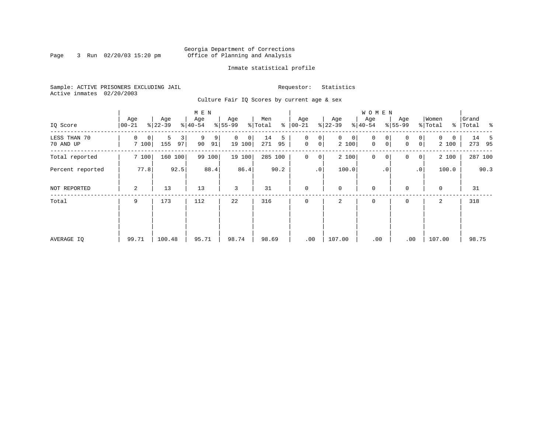### Georgia Department of Corrections Page 3 Run 02/20/03 15:20 pm Office of Planning and Analysis

### Inmate statistical profile

Sample: ACTIVE PRISONERS EXCLUDING JAIL **Requestor:** Statistics Active inmates 02/20/2003

Culture Fair IQ Scores by current age & sex

|                           |                  |                     | M E N              |                         |                      |                                         |                            | <b>WOMEN</b>     |                                                   |                        |                    |
|---------------------------|------------------|---------------------|--------------------|-------------------------|----------------------|-----------------------------------------|----------------------------|------------------|---------------------------------------------------|------------------------|--------------------|
| IQ Score                  | Age<br>$00 - 21$ | Age<br>$ 22-39 $    | Age<br>$8 40-54$   | Age<br>$ 55-99$         | Men<br>% Total<br>နွ | Age<br>$ 00 - 21 $                      | Age<br>$ 22-39$            | Age<br>$8 40-54$ | Age<br>$8 55-99$                                  | Women<br>% Total       | Grand<br>% Total % |
| LESS THAN 70<br>70 AND UP | 0<br>0<br>7100   | 5<br>3<br>155<br>97 | 9<br>9<br>90<br>91 | $\Omega$<br>0<br>19 100 | 14<br>5<br>271<br>95 | 0<br>0<br>$\mathbf 0$<br>0 <sup>1</sup> | $\mathbf{0}$<br>0<br>2 100 | 0<br>0<br>0<br>0 | $\overline{0}$<br>$\Omega$<br>$\overline{0}$<br>0 | $\Omega$<br>0<br>2 100 | 14 5<br>273 95     |
| Total reported            | 7 100            | 160 100             | 99<br>100          | 19 100                  | 285 100              | $\mathbf 0$<br>$\overline{0}$           | 2 100                      | $\mathbf 0$<br>0 | 0<br> 0                                           | 2 100                  | 287 100            |
| Percent reported          | 77.8             | 92.5                | 88.4               | 86.4                    | 90.2                 | .0 <sup>1</sup>                         | 100.0                      | $\cdot$ 0        | $\cdot$ 0                                         | 100.0                  | 90.3               |
| NOT REPORTED              | 2                | 13                  | 13                 | 3                       | 31                   | $\mathbf 0$                             | $\mathbf 0$                | $\mathbf 0$      | $\Omega$                                          | $\mathbf 0$            | 31                 |
| Total                     | 9                | 173                 | 112                | 22                      | 316                  | $\mathbf 0$                             | 2                          | $\mathbf 0$      | 0                                                 | 2                      | 318                |
|                           |                  |                     |                    |                         |                      |                                         |                            |                  |                                                   |                        |                    |
|                           |                  |                     |                    |                         |                      |                                         |                            |                  |                                                   |                        |                    |
| AVERAGE IQ                | 99.71            | 100.48              | 95.71              | 98.74                   | 98.69                | .00                                     | 107.00                     | .00              | .00                                               | 107.00                 | 98.75              |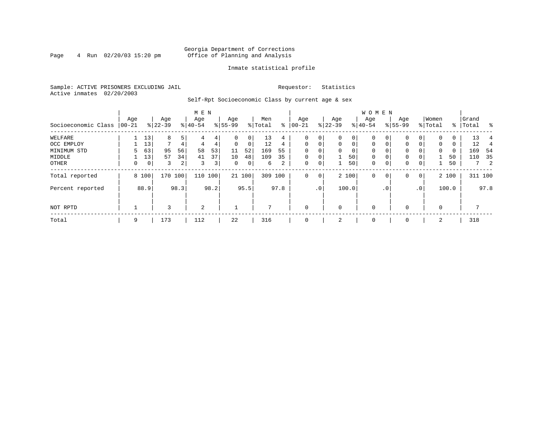### Georgia Department of Corrections<br>4 Run 02/20/03 15:20 pm office of Planning and Analysis Page 4 Run 02/20/03 15:20 pm Office of Planning and Analysis

### Inmate statistical profile

Sample: ACTIVE PRISONERS EXCLUDING JAIL **Requestor:** Statistics Active inmates 02/20/2003

Self-Rpt Socioeconomic Class by current age & sex

|                     |          |       |              |         | M E N     |      |           |                |         |      |              |             |          |          | W O M E N   |              |              |             |          |          |       |            |
|---------------------|----------|-------|--------------|---------|-----------|------|-----------|----------------|---------|------|--------------|-------------|----------|----------|-------------|--------------|--------------|-------------|----------|----------|-------|------------|
|                     | Age      |       | Age          |         | Age       |      | Age       |                | Men     |      | Age          |             | Age      |          | Age         |              | Age          |             | Women    |          | Grand |            |
| Socioeconomic Class | $ 00-21$ |       | $ 22-39 $    |         | $8 40-54$ |      | $8 55-99$ |                | % Total | ႜ    | $ 00-21$     |             | $ 22-39$ |          | $ 40-54$    |              | $8155 - 99$  |             | % Total  | ႜႂ       | Total | ႜ          |
| WELFARE             |          | 13    | 8            | 5       |           | 4    |           | $\overline{0}$ | 13      | 4    | $\Omega$     | 0           |          | 0        | 0           |              | 0            |             |          | 0        | 13    |            |
| OCC EMPLOY          |          | 13    | $\mathbf{r}$ | 4       | 4         | 4    | $\Omega$  | $\mathbf{0}$   | 12      | 4    | $\Omega$     | 0           | $\Omega$ | $\Omega$ | $\Omega$    |              | $\mathbf 0$  | $\Omega$    | $\Omega$ | $\Omega$ | 12    |            |
| MINIMUM STD         | 5.       | 63    | 95           | 56      | 58        | 53   | 11        | 52             | 169     | 55   | $\Omega$     | 0           |          | $\Omega$ | $\Omega$    |              | $\mathbf 0$  |             | 0        | $\Omega$ | 169   | - 54       |
| MIDDLE              |          | 13    | 57           | 34      | 41        | 37   | 10        | 48             | 109     | 35   | $\Omega$     | $\mathbf 0$ |          | 501      | 0           |              | $\mathbf 0$  |             |          | 50       | 110   | 35         |
| OTHER               | 0        | 0     | 3            | 2       | 3         | 3    | 0         | 0              | 6       | 2    | 0            | 0           |          | 50       | 0           | 0            | 0            | 0           |          | 50       |       | $7\quad 2$ |
| Total reported      |          | 8 100 |              | 170 100 | 110       | 100  |           | 21 100         | 309 100 |      | $\mathbf{0}$ | $\mathbf 0$ |          | 2 100    | 0           | $\mathbf{0}$ | $\mathbf 0$  | $\mathbf 0$ |          | 2 100    |       | 311 100    |
| Percent reported    |          | 88.9  |              | 98.3    |           | 98.2 |           | 95.5           |         | 97.8 |              | $\cdot$ 0   |          | 100.0    |             | $\cdot$ 0    |              | .0'         |          | 100.0    |       | 97.8       |
| NOT RPTD            |          |       |              |         | 2         |      |           |                | 7       |      | $\mathbf 0$  |             |          |          | $\mathbf 0$ |              | $\Omega$     |             | $\Omega$ |          |       |            |
| Total               | 9        |       | 173          |         | 112       |      | 22        |                | 316     |      | $\mathbf 0$  |             | 2        |          | 0           |              | $\mathbf{0}$ |             | 2        |          | 318   |            |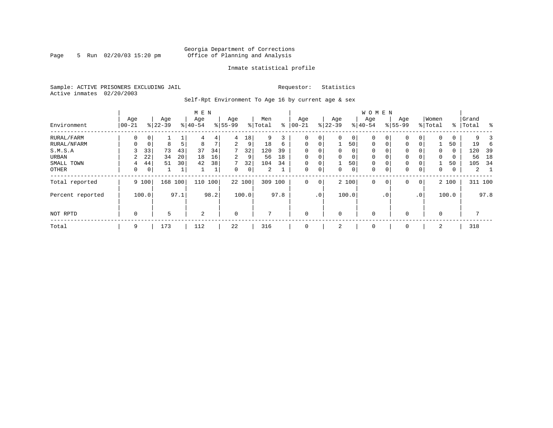### Georgia Department of Corrections Page 5 Run 02/20/03 15:20 pm Office of Planning and Analysis

### Inmate statistical profile

Sample: ACTIVE PRISONERS EXCLUDING JAIL **Requestor:** Statistics Active inmates 02/20/2003

Self-Rpt Environment To Age 16 by current age & sex

|                  |                   |             |                  |              | M E N            |      |                  |             |                |      |                 |             |                  |                | <b>WOMEN</b>     |           |                    |                 |                  |       |                |      |
|------------------|-------------------|-------------|------------------|--------------|------------------|------|------------------|-------------|----------------|------|-----------------|-------------|------------------|----------------|------------------|-----------|--------------------|-----------------|------------------|-------|----------------|------|
| Environment      | Age<br>$ 00 - 21$ |             | Age<br>$8 22-39$ |              | Age<br>$8 40-54$ |      | Age<br>$8 55-99$ |             | Men<br>% Total | နွ   | Age<br>$ 00-21$ |             | Age<br>$8 22-39$ |                | Age<br>$8 40-54$ |           | Age<br>$8155 - 99$ |                 | Women<br>% Total | ႜ     | Grand<br>Total | န္   |
| RURAL/FARM       | 0                 | 0           |                  |              | 4                | 4    | 4                | 18          | 9              |      | $\Omega$        | 0           | $\Omega$         | $\circ$        | 0                | 0         | $\mathbf{0}$       | 0               | $\Omega$         | 0     | 9              |      |
| RURAL/NFARM      | 0                 | $\mathbf 0$ | 8                | 5            | 8                | 7    | 2                | 9           | 18             | 6    | $\mathbf 0$     | $\mathbf 0$ |                  | 501            | $\mathbf 0$      | 0         | $\mathbf{0}$       | 0               |                  | 50    | 19             |      |
| S.M.S.A          | 3                 | 33          | 73               | 43           | 37               | 34   | 7                | 32          | 120            | 39   | $\mathbf 0$     | $\mathbf 0$ | 0                | $\overline{0}$ | $\mathbf 0$      |           | $\mathbf{0}$       |                 | $\mathbf 0$      | 0     | 120            | 39   |
| URBAN            | 2                 | 22          | 34               | 20           | 18               | 16   | $\overline{2}$   | 9           | 56             | 18   | $\mathbf 0$     | 0           | $\Omega$         | 0              | $\mathbf 0$      |           | 0                  |                 | $\mathbf 0$      | 0     | 56             | 18   |
| SMALL TOWN       | 4                 | 44          | 51               | 30           | 42               | 38   | 7                | 32          | 104            | 34   | 0               | 0           |                  | 501            | 0                | 0         | 0                  | 0               |                  | 50    | 105            | 34   |
| OTHER            | 0                 | 0           |                  | $\mathbf{1}$ |                  | T    | $\Omega$         | $\mathbf 0$ | 2              |      | $\mathbf 0$     | 0           | $\Omega$         | $\circ$        | 0                | 0         | $\mathbf{0}$       | 0               | $\Omega$         | 0     | 2              |      |
| Total reported   |                   | 9 100       | 168              | 100          | 110              | 100  |                  | 22 100      | 309            | 100  | $\Omega$        | $\mathbf 0$ |                  | 2 100          | $\Omega$         | 0         | $\mathbf 0$        | $\mathbf 0$     |                  | 2 100 | 311 100        |      |
| Percent reported |                   | 100.0       |                  | 97.1         |                  | 98.2 |                  | 100.0       |                | 97.8 |                 | $\cdot$ 0   |                  | 100.0          |                  | $\cdot$ 0 |                    | .0 <sup>′</sup> |                  | 100.0 |                | 97.8 |
| NOT RPTD         | $\mathbf 0$       |             | 5                |              | 2                |      | $\Omega$         |             | 7              |      | $\mathbf 0$     |             | $\Omega$         |                | $\mathbf 0$      |           | $\mathbf 0$        |                 | $\Omega$         |       | 7              |      |
| Total            | 9                 |             | 173              |              | 112              |      | 22               |             | 316            |      | $\mathbf 0$     |             | 2                |                | 0                |           | 0                  |                 | 2                |       | 318            |      |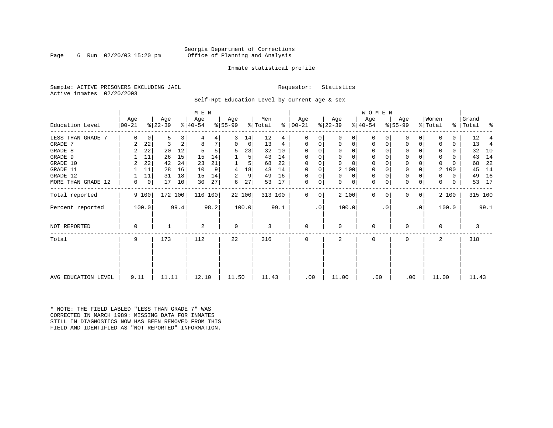### Georgia Department of Corrections Page 6 Run 02/20/03 15:20 pm Office of Planning and Analysis

### Inmate statistical profile

Sample: ACTIVE PRISONERS EXCLUDING JAIL **Requestor:** Statistics Active inmates 02/20/2003

Self-Rpt Education Level by current age & sex

|                     |           |             |           |      | M E N     |      |             |        |         |      |             |    |              |          | <b>WOMEN</b> |          |           |           |                |       |           |         |
|---------------------|-----------|-------------|-----------|------|-----------|------|-------------|--------|---------|------|-------------|----|--------------|----------|--------------|----------|-----------|-----------|----------------|-------|-----------|---------|
|                     | Age       |             | Age       |      | Age       |      | Aqe         |        | Men     |      | Aqe         |    | Age          |          | Aqe          |          | Age       |           | Women          |       | Grand     |         |
| Education Level     | $00 - 21$ |             | $ 22-39 $ |      | $ 40-54 $ |      | $ 55-99$    |        | % Total | ⊱    | $ 00-21$    |    | $ 22-39 $    |          | $ 40-54 $    |          | $8 55-99$ |           | % Total        |       | % Total % |         |
| LESS THAN GRADE 7   | $\Omega$  | 0           | 5         | 3    |           | 4    | 3           | 14     | 12      | 4    | $\Omega$    | 0  | $\Omega$     | 0        | 0            | O        | 0         |           |                | 0     | 12        |         |
| GRADE 7             | 2         | 22          | 3         | 2    | 8         |      | 0           | 0      | 13      | 4    | $\Omega$    | 0  | 0            | 0        | 0            | 0        | $\Omega$  |           |                | 0     | 13        | 4       |
| GRADE 8             | 2         | 22          | 20        | 12   |           |      | 5           | 23     | 32      | 10   | $\Omega$    |    | $\Omega$     | 0        | 0            | O        | 0         |           |                | 0     | 32        | 10      |
| GRADE 9             |           | 11          | 26        | 15   | 15        | 14   |             | 5      | 43      | 14   |             | 0  | $\Omega$     | $\Omega$ | 0            | O        | 0         |           | 0              | 0     | 43        | 14      |
| GRADE 10            | 2         | 22          | 42        | 24   | 23        | 21   |             | 5      | 68      | 22   | $\Omega$    | 0  | $\Omega$     | $\Omega$ | $\mathbf 0$  | $\Omega$ | 0         |           | $\Omega$       |       | 68        | 22      |
| GRADE 11            |           | 11          | 28        | 16   | 10        | 9    | 4           | 18     | 43      | 14   | $\Omega$    |    | 2 100        |          | 0            |          | 0         |           | 2              | 100   | 45        | 14      |
| GRADE 12            |           | 11          | 31        | 18   | 15        | 14   | 2           | 9      | 49      | 16   | $\Omega$    | 0  | $\Omega$     | 0        | 0            | $\Omega$ | 0         |           | O.             | 0     | 49        | 16      |
| MORE THAN GRADE 12  | 0         | $\mathbf 0$ | 17        | 10   | 30        | 27   | 6           | 27     | 53      | 17   | 0           | 0  | $\Omega$     | 0        | 0            | 0        | 0         | 0         | $\Omega$       | 0     | 53        | 17      |
| Total reported      |           | 9 100       | 172 100   |      | 110 100   |      |             | 22 100 | 313 100 |      | $\Omega$    | 0  | 2 100        |          | $\mathbf{0}$ | $\Omega$ | 0         | 0         |                | 2 100 |           | 315 100 |
| Percent reported    |           | 100.0       |           | 99.4 |           | 98.2 |             | 100.0  |         | 99.1 |             | .0 | 100.0        |          |              | . 0      |           | $\cdot$ 0 |                | 100.0 |           | 99.1    |
| NOT REPORTED        | 0         |             |           |      | 2         |      | $\mathbf 0$ |        | 3       |      | $\mathbf 0$ |    | 0            |          | $\mathbf 0$  |          | $\Omega$  |           | $\Omega$       |       | 3         |         |
| Total               | 9         |             | 173       |      | 112       |      | 22          |        | 316     |      | $\Omega$    |    | $\mathbf{2}$ |          | $\Omega$     |          | $\Omega$  |           | $\overline{a}$ |       | 318       |         |
|                     |           |             |           |      |           |      |             |        |         |      |             |    |              |          |              |          |           |           |                |       |           |         |
| AVG EDUCATION LEVEL | 9.11      |             | 11.11     |      | 12.10     |      | 11.50       |        | 11.43   |      | .00         |    | 11.00        |          | .00          |          | .00       |           | 11.00          |       | 11.43     |         |

\* NOTE: THE FIELD LABLED "LESS THAN GRADE 7" WAS CORRECTED IN MARCH 1989: MISSING DATA FOR INMATES STILL IN DIAGNOSTICS NOW HAS BEEN REMOVED FROM THIS FIELD AND IDENTIFIED AS "NOT REPORTED" INFORMATION.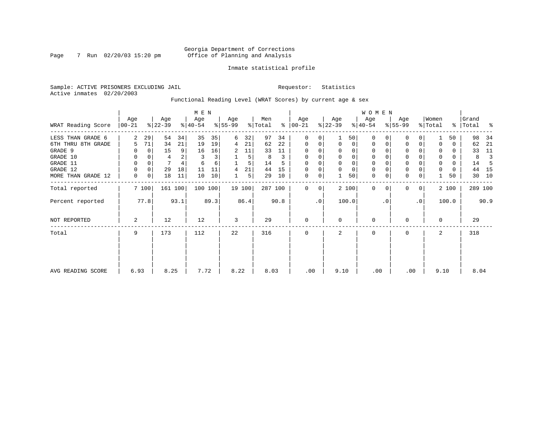### Georgia Department of Corrections Page 7 Run 02/20/03 15:20 pm Office of Planning and Analysis

### Inmate statistical profile

Sample: ACTIVE PRISONERS EXCLUDING JAIL **Requestor:** Statistics Active inmates 02/20/2003

Functional Reading Level (WRAT Scores) by current age & sex

|                    |                 |          |                  |         | M E N            |      |                  |        |                |      |                      |           |                  |                | W O M E N        |           |                  |                 |                  |          |                |      |
|--------------------|-----------------|----------|------------------|---------|------------------|------|------------------|--------|----------------|------|----------------------|-----------|------------------|----------------|------------------|-----------|------------------|-----------------|------------------|----------|----------------|------|
| WRAT Reading Score | Age<br>$ 00-21$ |          | Age<br>$ 22-39 $ |         | Age<br>$ 40-54 $ |      | Age<br>$ 55-99 $ |        | Men<br>% Total |      | Age<br>$8   00 - 21$ |           | Age<br>$ 22-39 $ |                | Age<br>$ 40-54 $ |           | Age<br>$ 55-99 $ |                 | Women<br>% Total | ွေ       | Grand<br>Total | ႜ    |
| LESS THAN GRADE 6  | 2               | 29       | 54               | 34      | 35               | 35   | 6                | 32     | 97             | 34   | $\Omega$             | 0         |                  | 501            | $\Omega$         |           | 0                | $\Omega$        |                  | 50       | 98             | 34   |
| 6TH THRU 8TH GRADE | 5               | 71       | 34               | 21      | 19               | 19   | 4                | 21     | 62             | 22   | $\mathbf 0$          | 0         | $\Omega$         | $\overline{0}$ | 0                | 0         | 0                | 0               |                  | 0        | 62             | 21   |
| GRADE 9            |                 | $\Omega$ | 15               | 9       | 16               | 16   | 2                | 11     | 33             | 11   | 0                    | $\Omega$  |                  | $\Omega$       | $\Omega$         |           | 0                |                 |                  | 0        | 33             | 11   |
| GRADE 10           | 0               | 0        | 4                |         | 3                | 3    |                  | 5      | 8              | 3    | 0                    | 0         |                  |                | 0                |           | $\mathbf 0$      |                 | 0                | 0        | 8              |      |
| GRADE 11           | 0               |          |                  |         | 6                | 6    |                  |        | 14             |      | $\Omega$             |           |                  |                |                  |           | $\mathbf 0$      |                 | $\Omega$         | $\Omega$ | 14             |      |
| GRADE 12           | 0               | 0        | 29               | 18      | 11               | 11   | 4                | 21     | 44             | 15   | $\Omega$             | 0         | $\Omega$         | $\Omega$       | 0                |           | $\mathbf 0$      |                 | 0                | 0        | 44             | -15  |
| MORE THAN GRADE 12 | 0               | 0        | 18               | 11      | 10               | 10   |                  | 5      | 29             | 10   | 0                    | 0         |                  | 50             | 0                | 0         | $\mathbf 0$      | 0               |                  | 50       | 30             | 10   |
| Total reported     |                 | 7 100    |                  | 161 100 | 100 100          |      |                  | 19 100 | 287 100        |      | $\Omega$             | 0         |                  | 2 100          | $\Omega$         | $\Omega$  | $\mathbf{0}$     | $\mathbf 0$     |                  | 2 100    | 289 100        |      |
| Percent reported   |                 | 77.8     |                  | 93.1    |                  | 89.3 |                  | 86.4   |                | 90.8 |                      | $\cdot$ 0 |                  | 100.0          |                  | $\cdot$ 0 |                  | .0 <sup>1</sup> |                  | 100.0    |                | 90.9 |
| NOT REPORTED       | 2               |          | 12               |         | 12               |      | 3                |        | 29             |      | $\mathbf 0$          |           | $\Omega$         |                | 0                |           | 0                |                 | $\Omega$         |          | 29             |      |
| Total              | 9               |          | 173              |         | 112              |      | 22               |        | 316            |      | $\mathbf 0$          |           | 2                |                | 0                |           | $\mathbf{0}$     |                 | 2                |          | 318            |      |
|                    |                 |          |                  |         |                  |      |                  |        |                |      |                      |           |                  |                |                  |           |                  |                 |                  |          |                |      |
| AVG READING SCORE  | 6.93            |          | 8.25             |         | 7.72             |      | 8.22             |        | 8.03           |      | .00                  |           | 9.10             |                | .00              |           | .00              |                 | 9.10             |          | 8.04           |      |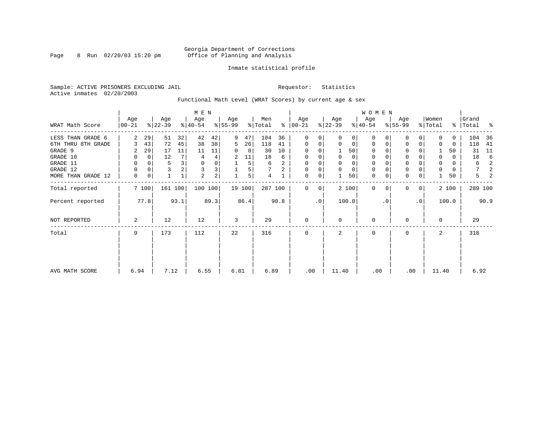### Georgia Department of Corrections Page 8 Run 02/20/03 15:20 pm Office of Planning and Analysis

### Inmate statistical profile

Sample: ACTIVE PRISONERS EXCLUDING JAIL **Requestor:** Statistics Active inmates 02/20/2003

Functional Math Level (WRAT Scores) by current age & sex

|                    |                 |             |                  |                         | M E N            |                |                  |        |                |               |                |           |                  |             | <b>WOMEN</b>     |           |                    |                 |                  |          |                 |      |
|--------------------|-----------------|-------------|------------------|-------------------------|------------------|----------------|------------------|--------|----------------|---------------|----------------|-----------|------------------|-------------|------------------|-----------|--------------------|-----------------|------------------|----------|-----------------|------|
| WRAT Math Score    | Age<br>$ 00-21$ |             | Age<br>$ 22-39 $ |                         | Age<br>$ 40-54 $ |                | Age<br>$8 55-99$ |        | Men<br>% Total | $\frac{1}{6}$ | Age<br>  00-21 |           | Age<br>$ 22-39 $ |             | Age<br>$ 40-54 $ |           | Age<br>$8155 - 99$ |                 | Women<br>% Total | ွေ       | Grand<br> Total | ႜ    |
| LESS THAN GRADE 6  | 2               | 29          | 51               | 32                      | 42               | 42             | 9                | 47     | 104            | 36            | 0              | 0         | $\Omega$         | $\Omega$    | $\Omega$         |           | 0                  | 0               | $\Omega$         | $\Omega$ | 104             | 36   |
| 6TH THRU 8TH GRADE | 3               | 43          | 72               | 45                      | 38               | 38             | 5                | 26     | 118            | 41            | 0              | 0         | 0                | 0           | 0                |           | $\mathbf 0$        | 0               | 0                | 0        | 118             | 41   |
| GRADE 9            | 2               | 29          | 17               | 11                      | 11               | 11             | 0                | 0      | 30             | 10            | 0              |           |                  | 50          | 0                |           |                    |                 |                  | 50       | 31              | 11   |
| GRADE 10           | 0               | $\mathbf 0$ | 12               | 7 <sup>1</sup>          | 4                | 4              | 2                | 11     | 18             | 6             | 0              | $\Omega$  | 0                | 0           | 0                |           | $\mathbf 0$        |                 | 0                | 0        | 18              | 6    |
| GRADE 11           | $\Omega$        |             | 5                | $\overline{\mathbf{3}}$ | $\mathbf 0$      |                |                  | 5      | 6              | 2             | 0              |           |                  | $\mathbf 0$ | 0                |           | $\Omega$           |                 | 0                | 0        | 6               | 2    |
| GRADE 12           | $\Omega$        |             |                  |                         | 3                | 3              |                  | 5      |                | 2             | 0              | 0         | $\Omega$         | $\mathbf 0$ | 0                |           | $\Omega$           |                 | 0                | 0        | 7               | 2    |
| MORE THAN GRADE 12 | 0               | 0           |                  |                         | $\overline{2}$   | 2 <sub>1</sub> |                  | 5      | 4              |               | $\mathbf 0$    | 0         |                  | 50          | $\mathbf 0$      | 0         | $\Omega$           | 0               |                  | 50       | 5               |      |
| Total reported     |                 | 7 100       | 161 100          |                         | 100 100          |                |                  | 19 100 | 287 100        |               | $\Omega$       | 0         |                  | 2 100       | $\Omega$         |           | 0                  | $\overline{0}$  |                  | 2 100    | 289 100         |      |
| Percent reported   |                 | 77.8        |                  | 93.1                    |                  | 89.3           |                  | 86.4   |                | 90.8          |                | $\cdot$ 0 |                  | 100.0       |                  | $\cdot$ 0 |                    | .0 <sup>1</sup> |                  | 100.0    |                 | 90.9 |
| NOT REPORTED       | 2               |             | 12               |                         | 12               |                | 3                |        | 29             |               | 0              |           | $\Omega$         |             | $\Omega$         |           | O                  |                 | $\Omega$         |          | 29              |      |
| Total              | 9               |             | 173              |                         | 112              |                | 22               |        | 316            |               | 0              |           | $\mathfrak{D}$   |             | 0                |           | $\Omega$           |                 | $\overline{a}$   |          | 318             |      |
|                    |                 |             |                  |                         |                  |                |                  |        |                |               |                |           |                  |             |                  |           |                    |                 |                  |          |                 |      |
| AVG MATH SCORE     | 6.94            |             | 7.12             |                         | 6.55             |                | 6.81             |        | 6.89           |               | .00            |           | 11.40            |             | .00              |           | .00                |                 | 11.40            |          | 6.92            |      |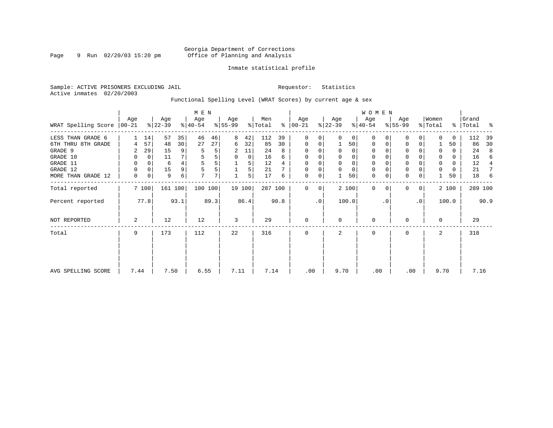### Georgia Department of Corrections Page 9 Run 02/20/03 15:20 pm Office of Planning and Analysis

### Inmate statistical profile

Sample: ACTIVE PRISONERS EXCLUDING JAIL **Requestor:** Statistics Active inmates 02/20/2003

Functional Spelling Level (WRAT Scores) by current age & sex

|                             |          |       |                  |         | M E N            |      |                  |        |                |      |                    |    |                  |          | <b>WOMEN</b>     |          |                  |           |                  |       |                    |      |
|-----------------------------|----------|-------|------------------|---------|------------------|------|------------------|--------|----------------|------|--------------------|----|------------------|----------|------------------|----------|------------------|-----------|------------------|-------|--------------------|------|
| WRAT Spelling Score   00-21 | Age      |       | Age<br>$ 22-39 $ |         | Age<br>$8 40-54$ |      | Age<br>$8 55-99$ |        | Men<br>% Total | ∻    | Age<br>$ 00 - 21 $ |    | Age<br>$ 22-39 $ |          | Age<br>$ 40-54 $ |          | Age<br>$8 55-99$ |           | Women<br>% Total |       | Grand<br>%   Total | ႜ    |
| LESS THAN GRADE 6           |          | 14    | 57               | 35      | 46               | 46   | 8                | 42     | 112            | 39   | $\mathbf 0$        | 0  | $\Omega$         | 0        | $\mathbf 0$      | $\Omega$ | $\Omega$         |           | <sup>0</sup>     | 0     | 112                | -39  |
| 6TH THRU 8TH GRADE          | 4        | 57    | 48               | 30      | 27               | 27   | 6                | 32     | 85             | 30   | 0                  | 0  |                  | 50       | 0                | 0        | 0                | 0         |                  | 50    | 86                 | 30   |
| GRADE 9                     | 2        | 29    | 15               | 9       | 5                |      | 2                | 11     | 24             | 8    | 0                  |    |                  | 0        | 0                |          | $\Omega$         |           | $\Omega$         | 0     | 24                 | 8    |
| GRADE 10                    | 0        | 0     | 11               |         |                  |      | 0                | 0      | 16             | 6    | 0                  |    | $\mathbf 0$      | 0        | 0                |          | 0                |           | $\Omega$         | 0     | 16                 | 6    |
| GRADE 11                    | 0        |       | 6                |         |                  |      |                  | 5      | 12             | 4    | 0                  |    |                  | $\Omega$ | 0                |          | $\Omega$         |           |                  | 0     | 12                 | 4    |
| GRADE 12                    | $\Omega$ | 0     | 15               | 9       |                  |      |                  | 5      | 21             |      | 0                  |    | $\Omega$         | $\Omega$ | 0                |          | 0                |           |                  | 0     | 21                 | 7    |
| MORE THAN GRADE 12          | 0        | 0     | 9                | 6       | 7                | 7    |                  | 5      | 17             | 6    | 0                  | 0  |                  | 50       | $\mathbf 0$      | 0        | $\mathbf 0$      | 0         |                  | 50    | 18                 | -6   |
| Total reported              |          | 7 100 |                  | 161 100 | 100 100          |      |                  | 19 100 | 287 100        |      | $\Omega$           | 0  |                  | 2 100    | $\Omega$         | $\Omega$ | $\Omega$         | 0         |                  | 2 100 | 289 100            |      |
| Percent reported            |          | 77.8  |                  | 93.1    |                  | 89.3 |                  | 86.4   |                | 90.8 |                    | .0 |                  | 100.0    |                  | . 0      |                  | $\cdot$ 0 |                  | 100.0 |                    | 90.9 |
| <b>NOT REPORTED</b>         | 2        |       | 12               |         | 12               |      | 3                |        | 29             |      | $\mathbf 0$        |    | $\Omega$         |          | 0                |          | $\Omega$         |           | $\Omega$         |       | 29                 |      |
| Total                       | 9        |       | 173              |         | 112              |      | 22               |        | 316            |      | $\mathbf 0$        |    | 2                |          | 0                |          | 0                |           | 2                |       | 318                |      |
|                             |          |       |                  |         |                  |      |                  |        |                |      |                    |    |                  |          |                  |          |                  |           |                  |       |                    |      |
| AVG SPELLING SCORE          | 7.44     |       | 7.50             |         | 6.55             |      | 7.11             |        | 7.14           |      | .00                |    | 9.70             |          | .00              |          | .00              |           | 9.70             |       | 7.16               |      |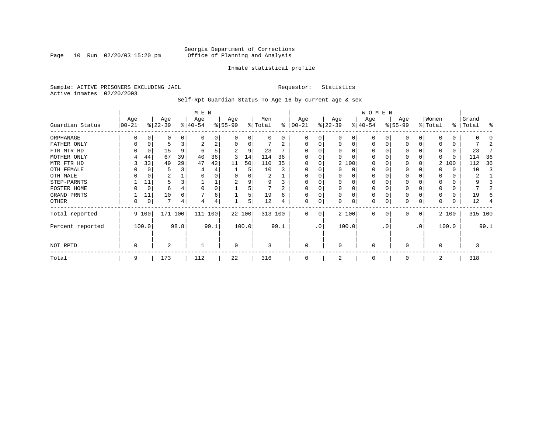Page 10 Run  $02/20/03$  15:20 pm

### Inmate statistical profile

Sample: ACTIVE PRISONERS EXCLUDING JAIL **Requestor:** Statistics Active inmates 02/20/2003

Self-Rpt Guardian Status To Age 16 by current age & sex

|                  | M E N             |       |                  |      |                  |      |                 |        |                |      |                  |                 |                  |          | WOMEN            |          |                  |           |                  |       |                    |         |
|------------------|-------------------|-------|------------------|------|------------------|------|-----------------|--------|----------------|------|------------------|-----------------|------------------|----------|------------------|----------|------------------|-----------|------------------|-------|--------------------|---------|
| Guardian Status  | Age<br>$ 00 - 21$ |       | Age<br>$ 22-39 $ |      | Age<br>$ 40-54 $ |      | Age<br>$ 55-99$ |        | Men<br>% Total | ∻    | Age<br>$00 - 21$ |                 | Age<br>$ 22-39 $ |          | Age<br>$ 40-54 $ |          | Age<br>$8 55-99$ |           | Women<br>% Total |       | Grand<br>%   Total | ႜ       |
| ORPHANAGE        |                   |       | O                |      |                  |      | O               | 0      | U              | 0    | 0                |                 | $\Omega$         | 0        | $\Omega$         |          | <sup>0</sup>     |           |                  |       |                    |         |
| FATHER ONLY      |                   |       |                  |      | 2                | 2    | $\Omega$        | 0      |                | 2    | $\Omega$         |                 | $\Omega$         | 0        | $\Omega$         | n        | $\Omega$         |           |                  |       |                    |         |
| FTR MTR HD       |                   |       | 15               | 9    | -6               |      |                 | 9      | 23             |      |                  |                 | $\Omega$         |          | $\Omega$         |          | $\Omega$         |           |                  |       | 23                 |         |
| MOTHER ONLY      |                   | 44    | 67               | 39   | 40               | 36   | 3               | 14     | 114            | 36   |                  |                 |                  |          | $\Omega$         |          | $\Omega$         |           |                  | 0     | 114                | 36      |
| MTR FTR HD       |                   | 33    | 49               | 29   | 47               | 42   | 11              | 50     | 110            | 35   | $\Omega$         |                 |                  | 2 100    | $\Omega$         |          | $\Omega$         |           |                  | 2 100 | 112                | 36      |
| OTH FEMALE       |                   |       |                  |      | 4                |      |                 | 5      | 10             |      | 0                |                 | U                | 0        | 0                |          | $\Omega$         |           |                  | 0     | 10                 | 3       |
| OTH MALE         |                   |       | 2                |      |                  |      |                 |        | 2              |      |                  |                 |                  |          | 0                |          |                  |           |                  |       | 2                  |         |
| STEP-PARNTS      |                   | 11    | 5                |      |                  |      | 2               | 9      | 9              | 3    | 0                |                 | 0                |          | 0                | 0        | $\Omega$         |           |                  |       | 9                  |         |
| FOSTER HOME      |                   | 0     | 6                |      |                  |      |                 | 5      |                | 2    | $\Omega$         |                 |                  |          | $\Omega$         |          | $\Omega$         |           |                  |       |                    |         |
| GRAND PRNTS      |                   | 11    | 10               | 6    |                  | 6    |                 | 5      | 19             | 6    | 0                |                 | 0                | $\Omega$ | $\Omega$         | 0        | 0                |           |                  | 0     | 19                 |         |
| OTHER            |                   | 0     | 7                | 4    | 4                | 4    |                 | 5      | 12             | 4    | $\Omega$         | $\Omega$        | U                | 0        | 0                | $\Omega$ | $\Omega$         |           |                  |       | 12                 |         |
| Total reported   |                   | 9 100 | 171 100          |      | 111 100          |      |                 | 22 100 | 313 100        |      | $\Omega$         | 0               |                  | 2 100    | $\mathbf 0$      | $\Omega$ | $\Omega$         | 0         |                  | 2 100 |                    | 315 100 |
| Percent reported |                   | 100.0 |                  | 98.8 |                  | 99.1 |                 | 100.0  |                | 99.1 |                  | .0 <sup>°</sup> |                  | 100.0    |                  | . 0      |                  | $\cdot$ 0 |                  | 100.0 |                    | 99.1    |
| NOT RPTD         | 0                 |       | 2                |      |                  |      | $\Omega$        |        | 3              |      | 0                |                 | $\Omega$         |          | $\Omega$         |          | $\Omega$         |           | $\Omega$         |       | 3                  |         |
| Total            | 9                 |       | 173              |      | 112              |      | 22              |        | 316            |      | $\Omega$         |                 |                  |          | $\Omega$         |          | $\Omega$         |           | 2                |       | 318                |         |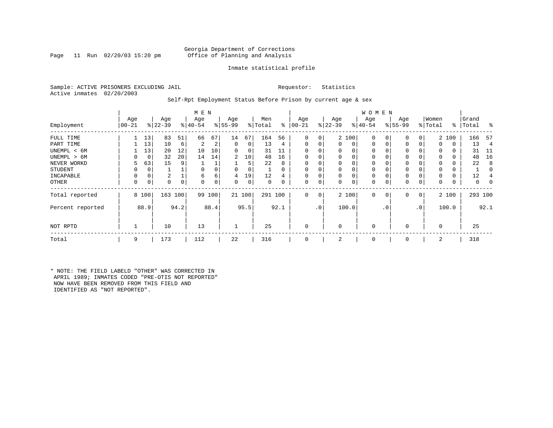Page 11 Run  $02/20/03$  15:20 pm

### Inmate statistical profile

Sample: ACTIVE PRISONERS EXCLUDING JAIL **Requestor:** Statistics Active inmates 02/20/2003

### Self-Rpt Employment Status Before Prison by current age & sex

|                  |                  |       |                  |    | M E N            |          |                  |        |                |      |                 |              |                  |       | W O M E N        |          |                    |                |                  |       |                    |          |
|------------------|------------------|-------|------------------|----|------------------|----------|------------------|--------|----------------|------|-----------------|--------------|------------------|-------|------------------|----------|--------------------|----------------|------------------|-------|--------------------|----------|
| Employment       | Age<br>$00 - 21$ |       | Age<br>$8 22-39$ |    | Age<br>$8 40-54$ |          | Age<br>$8 55-99$ |        | Men<br>% Total | ွေ   | Age<br>$ 00-21$ |              | Age<br>$ 22-39 $ |       | Age<br>$ 40-54 $ |          | Age<br>$8155 - 99$ |                | Women<br>% Total |       | Grand<br>%   Total | း        |
| FULL TIME        |                  | 13    | 83               | 51 | 66               | 67       | 14               | 67     | 164            | 56   | $\Omega$        | 0            |                  | 2 100 | $\mathbf 0$      |          | 0                  | 0              |                  | 2 100 | 166                | - 57     |
| PART TIME        |                  | 13    | 10               | 6  |                  | ∠        | 0                | 0      | 13             | 4    | $\Omega$        |              | $\Omega$         | 0     | $\mathbf 0$      | $\Omega$ | 0                  |                | $\Omega$         | 0     | 13                 | 4        |
| UNEMPL < 6M      |                  | 13    | 20               | 12 | 10               | 10       | $\Omega$         | 0      | 31             | 11   | $\Omega$        |              |                  | 0     | 0                |          | 0                  |                | 0                | 0     | 31                 | - 11     |
| UNEMPL > 6M      |                  | 0     | 32               | 20 | 14               | 14       | 2                | 10     | 48             | 16   | $\Omega$        |              | $\Omega$         |       | $\Omega$         |          | 0                  |                | $\Omega$         | 0     | 48                 | 16       |
| NEVER WORKD      | 5                | 63    | 15               | 9  |                  |          |                  | 5      | 22             | 8    | $\Omega$        |              |                  |       | 0                |          | 0                  |                | $\Omega$         | 0     | 22                 | 8        |
| STUDENT          | 0                | 0     |                  |    | $\Omega$         |          | $\Omega$         | 0      |                |      | $\Omega$        |              | $\Omega$         |       | 0                |          | 0                  |                | $\Omega$         | 0     |                    | $\left($ |
| INCAPABLE        | 0                |       | $\overline{2}$   |    | 6                | b        | 4                | 19     | 12             |      | $\Omega$        |              | $\mathbf 0$      |       | $\Omega$         |          | 0                  |                |                  | 0     | 12                 |          |
| OTHER            | 0                | 0     | 0                | 0  | $\Omega$         | $\Omega$ | 0                | 0      | $\Omega$       |      | $\Omega$        | 0            | 0                | 0     | 0                |          | 0                  | 0              | $\Omega$         | 0     | 0                  | 0        |
| Total reported   |                  | 8 100 | 163 100          |    |                  | 99 100   |                  | 21 100 | 291 100        |      | $\Omega$        | $\mathbf{0}$ |                  | 2 100 | $\Omega$         | 0        | $\Omega$           | $\overline{0}$ |                  | 2 100 | 293 100            |          |
| Percent reported |                  | 88.9  | 94.2             |    |                  | 88.4     |                  | 95.5   |                | 92.1 |                 | .0           |                  | 100.0 |                  | . 0      |                    | .0             |                  | 100.0 |                    | 92.1     |
| NOT RPTD         |                  |       | 10               |    | 13               |          |                  |        | 25             |      | $\Omega$        |              | $\Omega$         |       | $\Omega$         |          | $\Omega$           |                | $\Omega$         |       | 25                 |          |
| Total            | 9                |       | 173              |    | 112              |          | 22               |        | 316            |      | $\Omega$        |              | 2                |       | $\mathbf 0$      |          | $\mathbf 0$        |                | 2                |       | 318                |          |
|                  |                  |       |                  |    |                  |          |                  |        |                |      |                 |              |                  |       |                  |          |                    |                |                  |       |                    |          |

\* NOTE: THE FIELD LABELD "OTHER" WAS CORRECTED IN APRIL 1989; INMATES CODED "PRE-OTIS NOT REPORTED" NOW HAVE BEEN REMOVED FROM THIS FIELD AND IDENTIFIED AS "NOT REPORTED".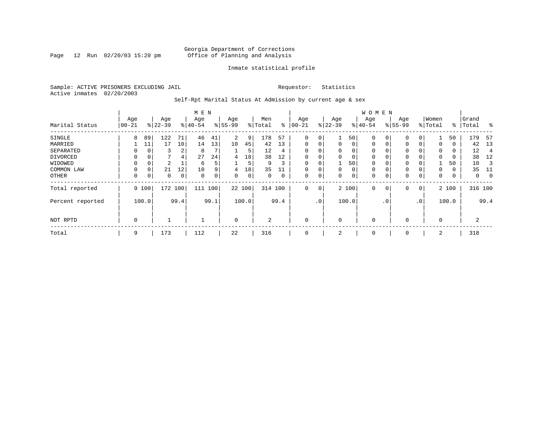Page 12 Run 02/20/03 15:20 pm

### Inmate statistical profile

Sample: ACTIVE PRISONERS EXCLUDING JAIL **Requestor:** Statistics Active inmates 02/20/2003

Self-Rpt Marital Status At Admission by current age & sex

|                  | M E N           |          |                  |      |                  |             |                  |       |                |      |                  |             |                 |          | W O M E N        |           |                    |          |                  |       |                |      |
|------------------|-----------------|----------|------------------|------|------------------|-------------|------------------|-------|----------------|------|------------------|-------------|-----------------|----------|------------------|-----------|--------------------|----------|------------------|-------|----------------|------|
| Marital Status   | Age<br>$ 00-21$ |          | Age<br>$8 22-39$ |      | Age<br>$8 40-54$ |             | Age<br>$8 55-99$ |       | Men<br>% Total | ႜ    | Age<br>$00 - 21$ |             | Age<br>$ 22-39$ |          | Age<br>$8 40-54$ |           | Age<br>$8155 - 99$ |          | Women<br>% Total | ∻     | Grand<br>Total | န္   |
|                  |                 |          |                  |      |                  |             |                  |       |                |      |                  |             |                 |          |                  |           |                    |          |                  |       |                |      |
| SINGLE           | 8               | 89       | 122              | 71   | 46               | 41          | 2                | 9     | 178            | -57  | 0                | 0           |                 | 50       | $\mathbf 0$      |           | $\mathbf 0$        |          |                  | 50    | 179            | 57   |
| MARRIED          |                 | 11       | 17               | 10   | 14               | 13          | 10               | 45    | 42             | 13   | $\mathbf 0$      | 0           | $\mathbf 0$     | $\Omega$ | $\mathbf 0$      | 0         | $\mathbf 0$        | 0        | 0                | 0     | 42             | 13   |
| SEPARATED        | 0               | $\Omega$ | 3                | 2    | 8                |             |                  | 5     | 12             | 4    | $\mathbf 0$      | 0           | $\Omega$        | $\Omega$ | $\mathbf 0$      |           | $\mathbf 0$        |          | 0                | 0     | 12             | 4    |
| DIVORCED         | 0               | 0        | 7                | 4    | 27               | 24          | 4                | 18    | 38             | 12   | $\mathbf 0$      | 0           | $\Omega$        | 0        | $\mathbf 0$      |           | 0                  |          | 0                | 0     | 38             | 12   |
| WIDOWED          |                 | 0        | 2                |      | 6                | 5           |                  | 5     | 9              | 3    | $\mathbf 0$      | 0           |                 | 50       | 0                |           | 0                  |          |                  | 50    | 10             |      |
| COMMON LAW       | $\Omega$        | 0        | 21               | 12   | 10               | 9           | 4                | 18    | 35             | 11   | $\Omega$         | 0           | $\Omega$        | $\Omega$ | $\mathbf 0$      |           | $\Omega$           |          | $\Omega$         | 0     | 35             | 11   |
| <b>OTHER</b>     | 0               | 0        | $\Omega$         | 0    | $\Omega$         | $\mathbf 0$ | $\Omega$         | 0     | 0              | 0    | $\mathbf 0$      | 0           | $\Omega$        | $\Omega$ | 0                |           | $\mathbf 0$        | $\Omega$ | 0                | 0     | 0              |      |
| Total reported   |                 | 9 100    | 172              | 100  | 111              | 100         | 22 100           |       | 314 100        |      | $\mathbf{0}$     | $\mathbf 0$ |                 | 2 100    | $\Omega$         | 0         | $\mathbf 0$        | 0        |                  | 2 100 | 316 100        |      |
| Percent reported |                 | 100.0    |                  | 99.4 |                  | 99.1        |                  | 100.0 |                | 99.4 |                  | .0'         |                 | 100.0    |                  | $\cdot$ 0 |                    | .0'      |                  | 100.0 |                | 99.4 |
|                  |                 |          |                  |      |                  |             |                  |       |                |      |                  |             |                 |          |                  |           |                    |          |                  |       |                |      |
| NOT RPTD         | 0               |          |                  |      |                  |             | $\mathbf 0$      |       | 2              |      | $\mathbf 0$      |             | $\Omega$        |          | $\mathbf 0$      |           | $\mathbf 0$        |          | $\mathbf 0$      |       | 2              |      |
| Total            | 9               |          | 173              |      | 112              |             | 22               |       | 316            |      | 0                |             | 2               |          | 0                |           | 0                  |          | 2                |       | 318            |      |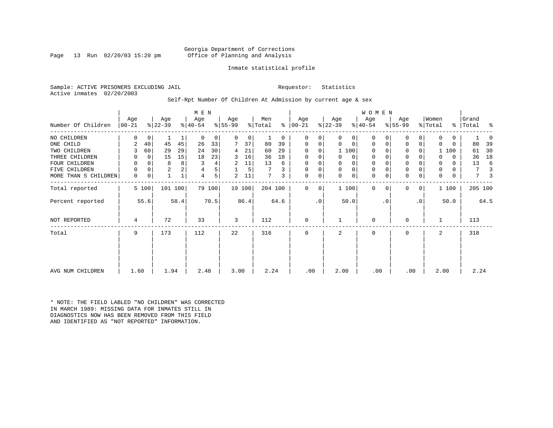Page 13 Run  $02/20/03$  15:20 pm

### Inmate statistical profile

Sample: ACTIVE PRISONERS EXCLUDING JAIL **Requestor:** Statistics Active inmates 02/20/2003

Self-Rpt Number Of Children At Admission by current age & sex

| Number Of Children   | Age<br>$ 00-21 $ |             | Age<br>$ 22-39 $ |      | M E N<br>Age<br>$ 40-54 $ |        | Age<br>$ 55-99 $ |        | Men<br>% Total |      | Age<br>$8   00 - 21$ |           | Age<br>$ 22-39 $ |             | <b>WOMEN</b><br>Age<br>$8 40-54$ |           | Age<br>$ 55-99 $ |           | Women<br>% Total | ៖            | Grand<br>Total | ႜ    |
|----------------------|------------------|-------------|------------------|------|---------------------------|--------|------------------|--------|----------------|------|----------------------|-----------|------------------|-------------|----------------------------------|-----------|------------------|-----------|------------------|--------------|----------------|------|
|                      |                  |             |                  |      |                           |        |                  |        |                |      |                      |           |                  |             |                                  |           |                  |           |                  |              |                |      |
| NO CHILDREN          | 0                | $\mathbf 0$ |                  |      | 0                         | 0      | 0                | 0      |                | 0    | 0                    | 0         | 0                | 0           | $\Omega$                         |           | 0                | $\Omega$  | 0                | $\mathbf{0}$ |                |      |
| ONE CHILD            | 2                | 40          | 45               | 45   | 26                        | 33     |                  | 37     | 80             | 39   | 0                    | 0         | 0                | $\mathbf 0$ | $\mathbf 0$                      | $\Omega$  | $\mathbf 0$      | 0         | 0                | 0            | 80             | 39   |
| TWO CHILDREN         | 3                | 60          | 29               | 29   | 24                        | 30     | 4                | 21     | 60             | 29   | 0                    | 0         |                  | 1 100       | $\Omega$                         |           | 0                | 0         |                  | 1 100        | 61             | 30   |
| THREE CHILDREN       | 0                | 0           | 15               | 15   | 18                        | 23     | 3                | 16     | 36             | 18   | 0                    | 0         | 0                | 0           | $\mathbf 0$                      |           | $\mathbf 0$      | 0         |                  | $\mathbf{0}$ | 36             | 18   |
| FOUR CHILDREN        | 0                | $\Omega$    | 8                | 8    |                           | 4      | 2                | 11     | 13             | 6    | 0                    |           | 0                | 0           | 0                                |           | $\mathbf 0$      |           | 0                | 0            | 13             | 6    |
| FIVE CHILDREN        | 0                | 0           | $\overline{2}$   |      | 4                         | 5      |                  | 5      |                |      | $\mathbf 0$          | 0         | $\mathbf 0$      | $\mathbf 0$ | $\mathbf 0$                      |           | $\mathbf 0$      |           | 0                | 0            | 7              |      |
| MORE THAN 5 CHILDREN | 0                | $\mathbf 0$ |                  |      | 4                         | 5      | 2                | 11     | 7              | 3    | 0                    | 0         | $\Omega$         | $\mathbf 0$ | $\Omega$                         |           | $\mathbf 0$      | 0         | 0                | 0            | 7              |      |
| Total reported       |                  | 5 100       | 101 100          |      |                           | 79 100 |                  | 19 100 | 204 100        |      | 0                    | 0         |                  | 1 100       | $\Omega$                         | $\Omega$  | $\Omega$         | 0         |                  | 1 100        | 205 100        |      |
| Percent reported     |                  | 55.6        |                  | 58.4 |                           | 70.5   |                  | 86.4   |                | 64.6 |                      | $\cdot$ 0 |                  | 50.0        |                                  | $\cdot$ 0 |                  | $\cdot$ 0 |                  | 50.0         |                | 64.5 |
| NOT REPORTED         | 4                |             | 72               |      | 33                        |        | 3                |        | 112            |      | 0                    |           |                  |             | 0                                |           | $\Omega$         |           |                  |              | 113            |      |
| Total                | 9                |             | 173              |      | 112                       |        | 22               |        | 316            |      | 0                    |           | $\overline{a}$   |             | $\mathbf 0$                      |           | 0                |           | 2                |              | 318            |      |
|                      |                  |             |                  |      |                           |        |                  |        |                |      |                      |           |                  |             |                                  |           |                  |           |                  |              |                |      |
| AVG NUM CHILDREN     | 1.60             |             | 1.94             |      | 2.48                      |        | 3.00             |        | 2.24           |      | .00                  |           | 2.00             |             | .00                              |           | .00              |           | 2.00             |              | 2.24           |      |

\* NOTE: THE FIELD LABLED "NO CHILDREN" WAS CORRECTED IN MARCH 1989: MISSING DATA FOR INMATES STILL IN DIAGNOSTICS NOW HAS BEEN REMOVED FROM THIS FIELD AND IDENTIFIED AS "NOT REPORTED" INFORMATION.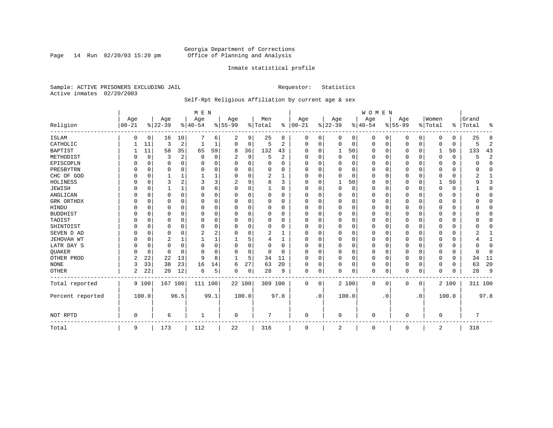Page 14 Run  $02/20/03$  15:20 pm

### Inmate statistical profile

Sample: ACTIVE PRISONERS EXCLUDING JAIL **Requestor:** Statistics Active inmates 02/20/2003

### Self-Rpt Religious Affiliation by current age & sex

|                  |           |             |          |          | M E N       |          |             |    |          |              |            |           |             |       | <b>WOMEN</b> |           |           |             |             |          |           |                |
|------------------|-----------|-------------|----------|----------|-------------|----------|-------------|----|----------|--------------|------------|-----------|-------------|-------|--------------|-----------|-----------|-------------|-------------|----------|-----------|----------------|
|                  | Age       |             | Age      |          | Age         |          | Age         |    | Men      |              | Age        |           | Age         |       | Age          |           | Age       |             | Women       |          | Grand     |                |
| Religion         | $00 - 21$ |             | $ 22-39$ |          | $ 40-54$    |          | $8 55-99$   |    | % Total  | ွေ           | $ 00 - 21$ |           | $8 22-39$   |       | $ 40-54$     |           | $8 55-99$ |             | % Total     |          | %   Total | ႜ              |
| ISLAM            | 0         | 0           | 16       | 10       | 7           | 6        | 2           | 9  | 25       | 8            | $\Omega$   | 0         | $\Omega$    | 0     | $\Omega$     | 0         | 0         | 0           | $\Omega$    | $\Omega$ | 25        | 8              |
| CATHOLIC         |           | 11          | 3        | 2        |             | 1        | $\Omega$    | 0  | 5        | 2            | $\Omega$   | $\Omega$  | $\mathbf 0$ | 0     | $\Omega$     | 0         | 0         | 0           | $\Omega$    | $\Omega$ | 5         | $\overline{2}$ |
| <b>BAPTIST</b>   |           | 11          | 58       | 35       | 65          | 59       | 8           | 36 | 132      | 43           | O          | $\Omega$  | 1           | 50    | $\Omega$     | 0         | 0         | $\Omega$    | 1           | 50       | 133       | 43             |
| METHODIST        |           | 0           | 3        | 2        | 0           | 0        | 2           | 9  | 5        | 2            | $\Omega$   | $\Omega$  | $\Omega$    | 0     | $\Omega$     | $\Omega$  | 0         | $\Omega$    | $\Omega$    | $\Omega$ | 5         | $\overline{2}$ |
| EPISCOPLN        |           | $\mathbf 0$ | 0        | $\Omega$ | $\Omega$    | 0        | U           | 0  | 0        | $\Omega$     | $\Omega$   | $\Omega$  | $\Omega$    | 0     | $\Omega$     | $\Omega$  | 0         | 0           | $\Omega$    | $\Omega$ | U         | $\mathbf 0$    |
| PRESBYTRN        |           | $\Omega$    | U        | $\Omega$ | $\Omega$    | 0        | U           | O  | $\Omega$ | O            | O          | $\Omega$  | $\Omega$    | 0     | O            | $\Omega$  | 0         | $\Omega$    | $\Omega$    | $\Omega$ | O         | $\Omega$       |
| CHC OF GOD       |           | $\Omega$    |          | 1        |             |          | 0           | 0  | 2        | -1           | $\Omega$   | $\Omega$  | $\Omega$    | 0     | $\Omega$     | $\Omega$  | $\Omega$  | $\Omega$    | $\Omega$    | $\Omega$ | 2         | 1              |
| HOLINESS         |           | $\mathbf 0$ | 3        | 2        | 3           | 3        |             | 9  | 8        | ζ            | $\Omega$   | $\Omega$  | -1          | 50    | $\Omega$     | $\Omega$  | 0         | $\Omega$    |             | 50       | 9         | 3              |
| <b>JEWISH</b>    |           | 0           |          | 1        | $\Omega$    | 0        | $\Omega$    | 0  |          | O            | $\Omega$   |           | $\Omega$    | 0     | $\Omega$     | $\Omega$  | 0         | $\Omega$    | $\Omega$    | $\Omega$ |           | $\mathbf 0$    |
| ANGLICAN         |           | 0           | 0        | $\Omega$ | 0           | 0        | U           | 0  | 0        | 0            | $\Omega$   | ∩         | 0           | 0     | $\Omega$     | 0         | 0         | 0           | $\Omega$    | 0        |           | $\mathbf 0$    |
| GRK ORTHDX       |           | $\Omega$    | U        | $\Omega$ | $\Omega$    | 0        | U           | O  | $\Omega$ | <sup>0</sup> | $\Omega$   | $\Omega$  | 0           | 0     | $\Omega$     | 0         | 0         | $\Omega$    | $\Omega$    | 0        |           | $\Omega$       |
| HINDU            |           | $\Omega$    | U        | $\Omega$ | $\Omega$    | $\Omega$ | U           | O  | $\Omega$ | $\Omega$     | $\Omega$   | $\Omega$  | $\Omega$    | 0     | $\Omega$     | $\Omega$  | 0         | $\Omega$    | $\Omega$    | $\Omega$ |           | $\Omega$       |
| <b>BUDDHIST</b>  |           | 0           | 0        | $\Omega$ | $\Omega$    | 0        | U           | 0  | $\Omega$ | 0            | $\Omega$   | $\Omega$  | 0           | 0     | $\Omega$     | $\Omega$  | 0         | $\Omega$    | $\Omega$    | $\Omega$ |           | $\Omega$       |
| TAOIST           |           | $\Omega$    |          | $\Omega$ | $\Omega$    | O        |             | O  | 0        | O            | O          | $\Omega$  | $\Omega$    | 0     | $\Omega$     | 0         | 0         | $\Omega$    | $\Omega$    | $\Omega$ |           | $\Omega$       |
| SHINTOIST        |           | $\Omega$    | U        | $\Omega$ | $\mathbf 0$ | $\Omega$ | U           | O  | $\Omega$ | O            | O          | $\Omega$  | $\Omega$    | 0     | O            | $\Omega$  | 0         | $\Omega$    | $\Omega$    | $\Omega$ |           | $\Omega$       |
| SEVEN D AD       |           | $\Omega$    | U        | $\Omega$ | 2           | 2        | U           | O  | 2        |              | O          | $\Omega$  | $\Omega$    | O     | $\Omega$     | $\Omega$  | 0         | $\Omega$    | $\Omega$    | $\Omega$ |           |                |
| JEHOVAH WT       |           | $\mathbf 0$ | 2        | 1        |             |          |             | 5  | 4        | 1            | $\Omega$   | $\Omega$  | $\Omega$    | 0     | $\Omega$     | $\Omega$  | $\Omega$  | $\Omega$    | $\Omega$    | $\Omega$ |           | $\mathbf{1}$   |
| LATR DAY S       |           | $\Omega$    | 0        | $\Omega$ | $\Omega$    | $\Omega$ | U           | 0  | 0        | O            | $\Omega$   |           | 0           | 0     | $\Omega$     | $\Omega$  | 0         | $\Omega$    | $\Omega$    | $\Omega$ |           | $\Omega$       |
| QUAKER           |           | $\mathbf 0$ | 0        | $\Omega$ | $\Omega$    | $\Omega$ | U           | 0  | $\Omega$ | $\Omega$     | ∩          | $\Omega$  | $\Omega$    | 0     | $\Omega$     | 0         | 0         | 0           | $\Omega$    | 0        | ∩         | 0              |
| OTHER PROD       | 2         | 22          | 22       | 13       | 9           | 8        | -1          | 5  | 34       | 11           | $\Omega$   | $\Omega$  | $\Omega$    | 0     | $\Omega$     | $\Omega$  | 0         | $\Omega$    | $\Omega$    | $\Omega$ | 34        | 11             |
| <b>NONE</b>      | 3         | 33          | 38       | 23       | 16          | 14       | 6           | 27 | 63       | 20           | $\Omega$   | $\Omega$  | $\Omega$    | 0     | $\Omega$     | 0         | $\Omega$  | $\Omega$    | $\Omega$    | $\Omega$ | 63        | 20             |
| OTHER            | 2         | 22          | 20       | 12       | 6           | 5        | O           | 0  | 28       | 9            | 0          | 0         | $\Omega$    | 0     | $\Omega$     | 0         | $\Omega$  | 0           | $\Omega$    | $\Omega$ | 28        | 9              |
| Total reported   |           | 9 100       | 167 100  |          | 111 100     |          | 22 100      |    | 309 100  |              | 0          | 0         |             | 2 100 | $\Omega$     | 0         | 0         | $\mathbf 0$ |             | 2 100    | 311 100   |                |
| Percent reported |           | 100.0       |          | 96.5     |             | 99.1     | 100.0       |    |          | 97.8         |            | $\cdot$ 0 |             | 100.0 |              | $\cdot$ 0 |           | . 0         |             | 100.0    |           | 97.8           |
| NOT RPTD         | $\Omega$  |             | 6        |          |             |          | $\mathbf 0$ |    | 7        |              | $\Omega$   |           | 0           |       | $\Omega$     |           | O         |             | $\mathbf 0$ |          | 7         |                |
| Total            | 9         |             | 173      |          | 112         |          | 22          |    | 316      |              | 0          |           | 2           |       | 0            |           | 0         |             | 2           |          | 318       |                |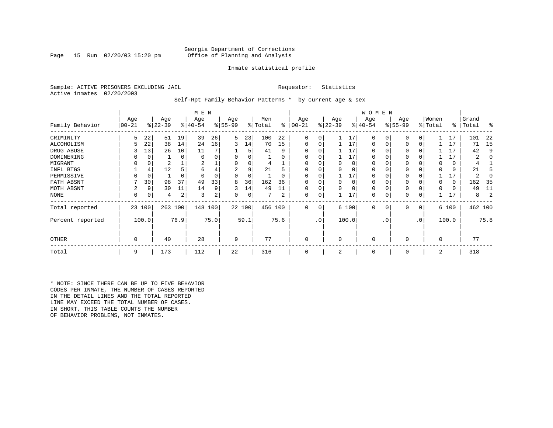Page 15 Run  $02/20/03$  15:20 pm

### Inmate statistical profile

Sample: ACTIVE PRISONERS EXCLUDING JAIL **Requestor:** Statistics Active inmates 02/20/2003

Self-Rpt Family Behavior Patterns \* by current age & sex

|                  |                 |          |                  |      | M E N            |      |                 |        |                |          |                  |                 |                  |          | W O M E N       |           |                 |           |                  |       |                |      |
|------------------|-----------------|----------|------------------|------|------------------|------|-----------------|--------|----------------|----------|------------------|-----------------|------------------|----------|-----------------|-----------|-----------------|-----------|------------------|-------|----------------|------|
| Family Behavior  | Age<br>$ 00-21$ |          | Age<br>$ 22-39 $ |      | Age<br>$ 40-54 $ |      | Age<br>$ 55-99$ |        | Men<br>% Total | ႜ        | Age<br>$00 - 21$ |                 | Age<br>$ 22-39 $ |          | Age<br>$ 40-54$ |           | Age<br>$ 55-99$ |           | Women<br>% Total | ∻     | Grand<br>Total | ႜ    |
| CRIMINLTY        | 5               | 22       | 51               | 19   | 39               | 26   | 5               | 23     | 100            | 22       | $\Omega$         | 0               |                  | 17       | $\Omega$        | 0         | $\Omega$        | 0         |                  | 17    | 101            | 22   |
| ALCOHOLISM       |                 | 22       | 38               | 14   | 24               | 16   | 3               | 14     | 70             | 15       | 0                | 0               |                  | 17       | 0               |           | $\Omega$        | 0         |                  | 17    | 71             | -15  |
| DRUG ABUSE       |                 | 13       | 26               | 10   | 11               |      |                 | 5      | 41             | 9        |                  |                 |                  | 17       | U               |           |                 |           |                  | 17    | 42             | q    |
| DOMINERING       |                 | $\Omega$ |                  | 0    | $\Omega$         |      |                 |        |                | O        |                  |                 |                  | 17       | <sup>0</sup>    |           |                 |           |                  | 17    | 2              |      |
| MIGRANT          |                 | 0        | 2                |      |                  |      |                 |        |                |          |                  |                 |                  | 0        | 0               |           | $\Omega$        |           |                  | 0     |                |      |
| INFL BTGS        |                 | 4        | 12               |      | 6                | 4    |                 | 9      | 21             | h        |                  |                 |                  | $\Omega$ | 0               |           | $\Omega$        |           |                  | 0     | 21             |      |
| PERMISSIVE       |                 | 0        |                  | 0    |                  |      | 0               | 0      |                | $\Omega$ | $\Omega$         | U               |                  | 17       | 0               |           | $\Omega$        |           |                  | 17    | 2              |      |
| FATH ABSNT       |                 | 30       | 98               | 37   | 49               | 33   | 8               | 36     | 162            | 36       |                  |                 |                  | $\Omega$ | 0               |           |                 |           |                  | 0     | 162            | - 35 |
| MOTH ABSNT       | 2               | 9        | 30               | 11   | 14               | 9    | 3               | 14     | 49             | 11       |                  | 0               |                  | $\Omega$ | 0               |           | $\Omega$        |           |                  | 0     | 49             | 11   |
| NONE             | 0               | 0        | 4                | 2    | 3                | 2    | 0               | 0      |                | 2        | 0                | 0               |                  | 17       | 0               |           | 0               |           |                  | 17    | 8              |      |
| Total reported   |                 | 23 100   | 263              | 100  | 148 100          |      |                 | 22 100 | 456 100        |          | 0                | 0               |                  | 6 100    | $\mathbf 0$     | 0         | 0               | 0         |                  | 6 100 | 462 100        |      |
| Percent reported |                 | 100.0    |                  | 76.9 |                  | 75.0 |                 | 59.1   |                | 75.6     |                  | .0 <sup>1</sup> |                  | 100.0    |                 | $\cdot$ 0 |                 | $\cdot$ 0 |                  | 100.0 |                | 75.8 |
| <b>OTHER</b>     | 0               |          | 40               |      | 28               |      | 9               |        | 77             |          | 0                |                 | $\Omega$         |          | $\Omega$        |           | $\Omega$        |           | $\Omega$         |       | 77             |      |
| Total            | 9               |          | 173              |      | 112              |      | 22              |        | 316            |          | 0                |                 | 2                |          | 0               |           | 0               |           | 2                |       | 318            |      |

\* NOTE: SINCE THERE CAN BE UP TO FIVE BEHAVIOR CODES PER INMATE, THE NUMBER OF CASES REPORTED IN THE DETAIL LINES AND THE TOTAL REPORTED LINE MAY EXCEED THE TOTAL NUMBER OF CASES. IN SHORT, THIS TABLE COUNTS THE NUMBER OF BEHAVIOR PROBLEMS, NOT INMATES.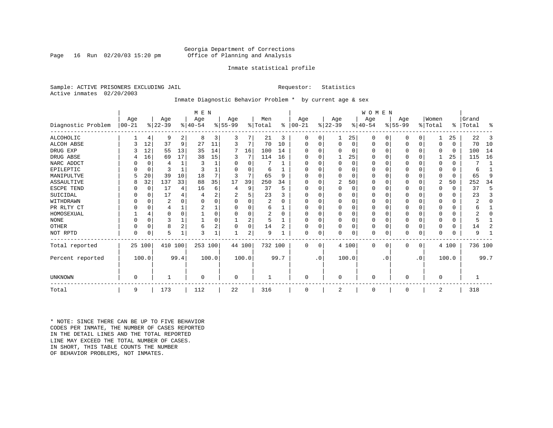Page 16 Run  $02/20/03$  15:20 pm

### Inmate statistical profile

Sample: ACTIVE PRISONERS EXCLUDING JAIL **Requestor:** Statistics Active inmates 02/20/2003

### Inmate Diagnostic Behavior Problem \* by current age & sex

|                    |            |                |           |                | M E N     |                |          |          |                |          |           |           |             |          | <b>WOMEN</b> |           |           |             |          |          |           |              |
|--------------------|------------|----------------|-----------|----------------|-----------|----------------|----------|----------|----------------|----------|-----------|-----------|-------------|----------|--------------|-----------|-----------|-------------|----------|----------|-----------|--------------|
|                    | Age        |                | Age       |                | Age       |                | Age      |          | Men            |          | Age       |           | Age         |          | Age          |           | Age       |             | Women    |          | Grand     |              |
| Diagnostic Problem | $ 00 - 21$ |                | $ 22-39 $ |                | $8 40-54$ |                | $ 55-99$ |          | % Total        | ွေ       | $ 00-21 $ |           | $ 22-39 $   |          | $ 40-54 $    |           | $ 55-99 $ |             | % Total  |          | %   Total | ႜ            |
| ALCOHOLIC          |            | 4              | 9         | 2              | 8         | 3              | 3        |          | 21             | 3        | 0         | 0         |             | 25       | 0            | 0         | 0         | 0           |          | 25       | 22        | 3            |
| <b>ALCOH ABSE</b>  |            | 12             | 37        | 9              | 27        | 11             | 3        | 7        | 70             | 10       | 0         | 0         | $\mathbf 0$ | 0        | 0            | 0         | 0         | $\mathbf 0$ | $\Omega$ | $\Omega$ | 70        | 10           |
| DRUG EXP           |            | 12             | 55        | 13             | 35        | 14             | 7        | 16       | 100            | 14       |           |           | $\Omega$    | 0        | $\Omega$     | 0         | 0         | $\Omega$    | $\Omega$ | 0        | 100       | 14           |
| DRUG ABSE          |            | 16             | 69        | 17             | 38        | 15             | 3        | 7        | 114            | 16       | U         |           |             | 25       | 0            | 0         | 0         | $\Omega$    |          | 25       | 115       | 16           |
| NARC ADDCT         |            | $\Omega$       | 4         | $\mathbf{1}$   | 3         |                | O        | $\Omega$ |                |          |           |           | $\Omega$    | $\Omega$ | $\Omega$     | $\Omega$  | U         | $\Omega$    | $\Omega$ | $\Omega$ |           | $\mathbf{1}$ |
| EPILEPTIC          |            | $\mathbf 0$    | 3         |                |           |                | U        | U        | 6              |          | U         |           | $\Omega$    | O        | $\Omega$     | $\Omega$  | U         | $\Omega$    | $\Omega$ | $\Omega$ | 6         |              |
| MANIPULTVE         |            | 20             | 39        | 10             | 18        |                |          | 7        | 65             | 9        |           |           | $\Omega$    | 0        | $\Omega$     | $\Omega$  | 0         | $\Omega$    | $\Omega$ | $\Omega$ | 65        | 9            |
| ASSAULTIVE         | 8          | 32             | 137       | 33             | 88        | 35             | 17       | 39       | 250            | 34       | U         |           | 2           | 50       | $\Omega$     | 0         | 0         | 0           | 2        | 50       | 252       | 34           |
| ESCPE TEND         |            | 0              | 17        | 4              | 16        | 6              |          | 9        | 37             | 5        | U         |           | $\Omega$    | 0        | $\Omega$     | $\Omega$  |           | O           | $\Omega$ | $\Omega$ | 37        | 5            |
| SUICIDAL           |            | 0              | 17        | 4              |           | 2              |          | 5        | 23             |          | ∩         |           | $\Omega$    | O        | $\Omega$     | $\Omega$  |           | O           | ∩        | 0        | 23        | 3            |
| WITHDRAWN          |            | $\Omega$       | 2         |                |           |                |          | U        | 2              |          |           |           | $\Omega$    | O        | 0            | $\Omega$  |           | O           |          | 0        |           | $\Omega$     |
| PR RLTY CT         |            | $\Omega$       | 4         |                |           |                |          | U        | 6              |          | $\Omega$  |           | $\Omega$    | O        | $\Omega$     | $\Omega$  |           | $\Omega$    | $\Omega$ | $\Omega$ |           |              |
| HOMOSEXUAL         |            | $\overline{4}$ | 0         | $\Omega$       |           |                |          | 0        | $\overline{2}$ | $\Omega$ | ∩         |           | $\Omega$    | $\Omega$ | $\Omega$     | $\Omega$  | 0         | $\Omega$    |          | U        |           | U            |
| <b>NONE</b>        |            | $\Omega$       | ς         |                |           |                |          | 2        | 5              |          | ∩         |           | $\Omega$    | O        | $\Omega$     | $\Omega$  | U         | $\Omega$    |          | 0        |           |              |
| OTHER              |            | $\Omega$       | 8         | $\overline{2}$ | 6         | $\overline{2}$ |          | 0        | 14             | 2        | U         |           | $\Omega$    | O        | 0            | $\Omega$  | 0         | $\Omega$    | $\Omega$ | $\Omega$ | 14        | 2            |
| NOT RPTD           | $\Omega$   | 0              | 5         |                | 3         |                |          | 2        | 9              |          | $\Omega$  | 0         | $\mathbf 0$ | 0        | 0            | 0         | U         | 0           | $\Omega$ | $\Omega$ | 9         |              |
| Total reported     |            | 25 100         | 410       | 100            | 253 100   |                |          | 44 100   | 732 100        |          | $\Omega$  | $\Omega$  |             | 4 100    | $\Omega$     | 0         | 0         | 0           |          | 4 100    | 736 100   |              |
| Percent reported   |            | 100.0          |           | 99.4           |           | 100.0          |          | 100.0    |                | 99.7     |           | $\cdot$ 0 |             | 100.0    |              | $\cdot$ 0 |           | $\cdot$ 0   |          | 100.0    |           | 99.7         |
|                    |            |                |           |                |           |                |          |          |                |          |           |           |             |          |              |           |           |             |          |          |           |              |
| UNKNOWN            | $\Omega$   |                |           |                | $\Omega$  |                | 0        |          |                |          | $\Omega$  |           | $\mathbf 0$ |          | $\Omega$     |           | 0         |             | $\Omega$ |          |           |              |
| Total              | 9          |                | 173       |                | 112       |                | 22       |          | 316            |          | $\Omega$  |           | 2           |          | 0            |           | 0         |             | 2        |          | 318       |              |

\* NOTE: SINCE THERE CAN BE UP TO FIVE BEHAVIOR CODES PER INMATE, THE NUMBER OF CASES REPORTED IN THE DETAIL LINES AND THE TOTAL REPORTED LINE MAY EXCEED THE TOTAL NUMBER OF CASES.IN SHORT, THIS TABLE COUNTS THE NUMBER OF BEHAVIOR PROBLEMS, NOT INMATES.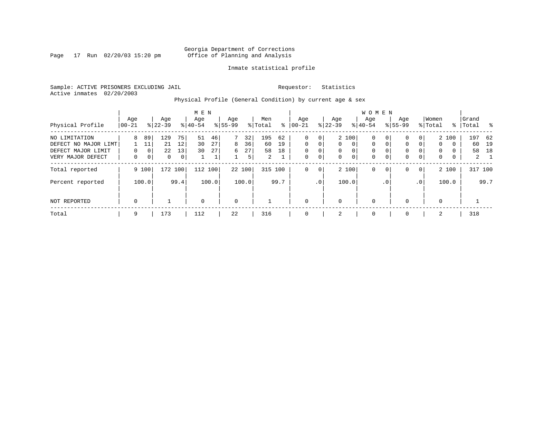Page 17 Run  $02/20/03$  15:20 pm

### Inmate statistical profile

Sample: ACTIVE PRISONERS EXCLUDING JAIL **Requestor:** Statistics Active inmates 02/20/2003

Physical Profile (General Condition) by current age & sex

|                      |             |                |              |      | M E N       |       |             |        |                |      |             |              |           |                | W O M E N   |                |              |             |             |          |       |             |
|----------------------|-------------|----------------|--------------|------|-------------|-------|-------------|--------|----------------|------|-------------|--------------|-----------|----------------|-------------|----------------|--------------|-------------|-------------|----------|-------|-------------|
|                      | Age         |                | Age          |      | Age         |       | Age         |        | Men            |      | Age         |              | Age       |                | Aqe         |                | Age          |             | Women       |          | Grand |             |
| Physical Profile     | 00-21       |                | $8 22-39$    |      | $8 40-54$   |       | $8 55-99$   |        | % Total        | ႜ    | $ 00-21$    |              | $ 22-39 $ |                | $8 40-54$   |                | $8155 - 99$  |             | % Total     | ႜ        | Total | - %         |
| NO LIMITATION        | 8           | 89             | 129          | 75   | 51          | 46    | 7           | 32     | 195            | 62   | $\mathbf 0$ | $\mathbf{0}$ |           | 2 100          | 0           | 0 <sup>1</sup> | $\mathbf{0}$ | 0           |             | 2 100    |       | 197 62      |
| DEFECT NO MAJOR LIMT |             | 11             | 21           | 12   | 30          | 27    | 8           | 36     | 60             | 19   | $\Omega$    | 0            | $\Omega$  | $\Omega$       | 0           | $\mathbf{0}$   | $\mathbf 0$  | $\Omega$    | $\mathbf 0$ | $\Omega$ | 60    | 19          |
| DEFECT MAJOR LIMIT   | 0           | 0 <sup>1</sup> | 22           | 13   | 30          | 27    | 6           | 27     | 58             | 18   | $\mathbf 0$ | $\mathbf 0$  | $\Omega$  | $\Omega$       | 0           |                | $\mathbf{0}$ |             | $\Omega$    | $\Omega$ | 58    | 18          |
| VERY MAJOR DEFECT    | 0           | 0 <sup>1</sup> | $\mathbf{0}$ | 0    |             | Τ.    |             | 5      | $\overline{2}$ |      | $\mathbf 0$ | 0            | 0         | $\overline{0}$ | $\mathbf 0$ | 0              | $\mathbf 0$  | 0           | 0           | 0        |       | $2 \quad 1$ |
| Total reported       |             | 9 100          | 172 100      |      | 112         | 100   |             | 22 100 | 315 100        |      | $\mathbf 0$ | 0            |           | 2 100          | 0           | $\mathbf{0}$   | $\mathbf{0}$ | $\mathbf 0$ |             | 2 100    |       | 317 100     |
| Percent reported     |             | 100.0          |              | 99.4 |             | 100.0 |             | 100.0  |                | 99.7 |             | $\cdot$ 0    |           | 100.0          |             | $\cdot$ 0      |              | .0'         |             | 100.0    |       | 99.7        |
| NOT REPORTED         | $\mathbf 0$ |                |              |      | $\mathbf 0$ |       | $\mathbf 0$ |        |                |      | $\Omega$    |              | $\Omega$  |                | $\mathbf 0$ |                | $\mathbf{0}$ |             | $\Omega$    |          |       |             |
| Total                | 9           |                | 173          |      | 112         |       | 22          |        | 316            |      | $\mathbf 0$ |              | 2         |                | 0           |                | $\mathbf{0}$ |             | 2           |          | 318   |             |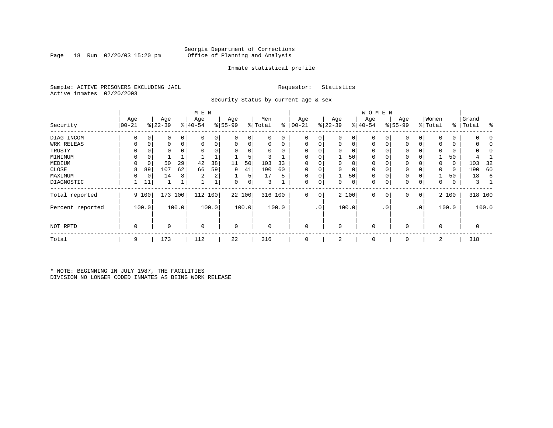Page 18 Run  $02/20/03$  15:20 pm

### Inmate statistical profile

Sample: ACTIVE PRISONERS EXCLUDING JAIL **Requestor:** Statistics Active inmates 02/20/2003

Security Status by current age & sex

|                  |                  |          |                  |       | M E N            |                |                  |          |                |          |                   |                 |                  |       | <b>WOMEN</b>     |             |                 |           |                  |       |                    |              |
|------------------|------------------|----------|------------------|-------|------------------|----------------|------------------|----------|----------------|----------|-------------------|-----------------|------------------|-------|------------------|-------------|-----------------|-----------|------------------|-------|--------------------|--------------|
| Security         | Age<br>$00 - 21$ |          | Age<br>$ 22-39 $ |       | Age<br>$ 40-54 $ |                | Age<br>$8 55-99$ |          | Men<br>% Total | ႜ        | Age<br>$ 00 - 21$ |                 | Age<br>$ 22-39 $ |       | Age<br>$ 40-54 $ |             | Age<br>$ 55-99$ |           | Women<br>% Total |       | Grand<br>%   Total | ႜ            |
|                  |                  |          |                  |       |                  |                |                  |          |                |          |                   |                 |                  |       |                  |             |                 |           |                  |       |                    |              |
| DIAG INCOM       | $\Omega$         | 0        | 0                | 0     | $\Omega$         |                | 0                | 0        | 0              | 0        | $\Omega$          | 0               | 0                | 0     | $\mathbf 0$      | 0           | $\Omega$        |           | <sup>0</sup>     | 0     |                    |              |
| WRK RELEAS       |                  | 0        | 0                | 0     | $\Omega$         | 0              | 0                | 0        | 0              | 0        | $\Omega$          | 0               | 0                | 0     | 0                | 0           | $\Omega$        |           |                  | 0     |                    |              |
| TRUSTY           |                  |          |                  |       |                  |                | $\Omega$         | $\Omega$ | O              | $\Omega$ |                   |                 | $\Omega$         | 0     | 0                | O           | $\Omega$        |           |                  | 0     |                    | <sup>r</sup> |
| MINIMUM          | $\Omega$         | $\Omega$ |                  |       |                  |                |                  | 5        |                |          |                   |                 |                  | 50    | 0                | $\Omega$    | 0               |           |                  | 50    |                    |              |
| MEDIUM           | $\Omega$         | 0        | 50               | 29    | 42               | 38             | 11               | 50       | 103            | 33       |                   |                 | 0                | 0     | 0                | $\Omega$    | 0               |           | $\Omega$         | 0     | 103                | 32           |
| CLOSE            | 8                | 89       | 107              | 62    | 66               | 59             | 9                | 41       | 190            | 60       |                   |                 | 0                | 0     | $\mathbf 0$      |             | 0               |           |                  | 0     | 190                | 60           |
| MAXIMUM          | $\Omega$         | 0        | 14               | 8     | 2                | 2 <sub>1</sub> |                  | 5        | 17             | 5        | $\Omega$          | 0               |                  | 50    | 0                | $\Omega$    | 0               |           |                  | 50    | 18                 | 6            |
| DIAGNOSTIC       |                  | 11       |                  |       |                  |                | 0                | 0        | 3              |          | 0                 | 0               | 0                | 0     | 0                | 0           | 0               | 0         | 0                | 0     | 3                  |              |
| Total reported   |                  | 9 100    | 173 100          |       | 112 100          |                |                  | 22 100   | 316 100        |          | $\mathbf 0$       | 0               |                  | 2 100 | $\mathbf 0$      | $\mathbf 0$ | 0               | 0         |                  | 2 100 |                    | 318 100      |
| Percent reported |                  | 100.0    |                  | 100.0 |                  | 100.0          |                  | 100.0    |                | 100.0    |                   | .0 <sup>1</sup> |                  | 100.0 |                  | . 0         |                 | $\cdot$ 0 |                  | 100.0 |                    | 100.0        |
| NOT RPTD         | $\mathbf 0$      |          | 0                |       | $\mathbf 0$      |                | $\mathbf 0$      |          | $\Omega$       |          | 0                 |                 | 0                |       | $\mathbf 0$      |             | $\Omega$        |           | $\Omega$         |       | 0                  |              |
| Total            | 9                |          | 173              |       | 112              |                | 22               |          | 316            |          | $\mathbf 0$       |                 | 2                |       | 0                |             | 0               |           | 2                |       | 318                |              |

\* NOTE: BEGINNING IN JULY 1987, THE FACILITIES DIVISION NO LONGER CODED INMATES AS BEING WORK RELEASE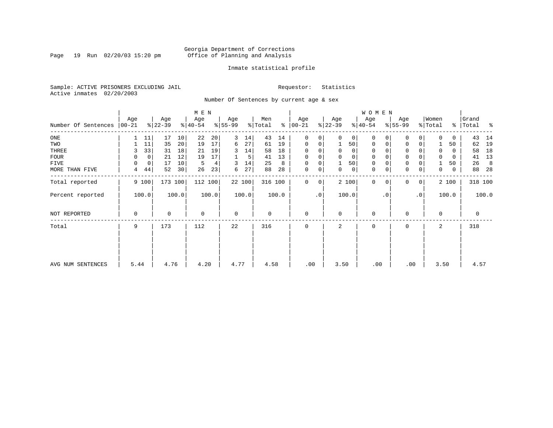Page 19 Run 02/20/03 15:20 pm

### Inmate statistical profile

Sample: ACTIVE PRISONERS EXCLUDING JAIL **Requestor:** Statistics Active inmates 02/20/2003

Number Of Sentences by current age & sex

|                     |             |             |             |       | M E N       |       |             |        |         |       |               |             |           |          | W O M E N   |           |             |                 |             |       |             |       |
|---------------------|-------------|-------------|-------------|-------|-------------|-------|-------------|--------|---------|-------|---------------|-------------|-----------|----------|-------------|-----------|-------------|-----------------|-------------|-------|-------------|-------|
|                     | Age         |             | Age         |       | Age         |       | Age         |        | Men     |       | Age           |             | Age       |          | Age         |           | Age         |                 | Women       |       | Grand       |       |
| Number Of Sentences | $ 00-21$    |             | $ 22-39 $   |       | $8 40-54$   |       | $ 55-99$    |        | % Total |       | $8   00 - 21$ |             | $ 22-39 $ |          | $ 40-54 $   |           | $8 55-99$   |                 | % Total     |       | %   Total   | ಿ     |
| $_{\rm ONE}$        |             | 11          | 17          | 10    | 22          | 20    | 3           | 14     | 43      | 14    | $\mathbf 0$   | 0           | $\Omega$  | 0        | $\Omega$    |           | $\Omega$    | 0               |             | 0     | 43          | 14    |
| TWO                 |             | 11          | 35          | 20    | 19          | 17    | 6           | 27     | 61      | 19    | $\mathbf 0$   | 0           |           | 50       | 0           | $\Omega$  | $\Omega$    | 0               |             | 50    | 62          | 19    |
| THREE               | 3           | 33          | 31          | 18    | 21          | 19    | 3           | 14     | 58      | 18    | $\Omega$      |             | 0         | 0        | 0           |           | $\mathbf 0$ |                 |             | 0     | 58          | 18    |
| <b>FOUR</b>         | $\Omega$    | $\mathbf 0$ | 21          | 12    | 19          | 17    |             | 5      | 41      | 13    | $\Omega$      | 0           | $\Omega$  | $\Omega$ | $\Omega$    |           | $\mathbf 0$ |                 | $\Omega$    | 0     | 41          | 13    |
| FIVE                | $\Omega$    | $\mathbf 0$ | 17          | 10    | 5           | 4     | 3           | 14     | 25      | 8     | $\mathbf 0$   | 0           |           | 50       | 0           |           | $\mathbf 0$ |                 |             | 50    | 26          | 8     |
| MORE THAN FIVE      | 4           | 44          | 52          | 30    | 26          | 23    | 6           | 27     | 88      | 28    | $\mathbf 0$   | 0           | 0         | 0        | $\mathbf 0$ | 0         | $\mathbf 0$ | 0               | 0           | 0     | 88          | -28   |
| Total reported      |             | 9 100       | 173 100     |       | 112 100     |       |             | 22 100 | 316 100 |       | $\mathbf 0$   | $\mathbf 0$ |           | 2 100    | $\Omega$    | $\Omega$  | $\Omega$    | $\overline{0}$  |             | 2 100 | 318 100     |       |
| Percent reported    |             | 100.0       |             | 100.0 |             | 100.0 |             | 100.0  |         | 100.0 |               | $\cdot$ 0   |           | 100.0    |             | $\cdot$ 0 |             | .0 <sup>1</sup> |             | 100.0 |             | 100.0 |
| NOT REPORTED        | $\mathbf 0$ |             | $\mathbf 0$ |       | $\mathbf 0$ |       | $\mathbf 0$ |        | 0       |       | $\mathbf 0$   |             | $\Omega$  |          | $\mathbf 0$ |           | $\Omega$    |                 | $\mathbf 0$ |       | $\mathbf 0$ |       |
| Total               | 9           |             | 173         |       | 112         |       | 22          |        | 316     |       | $\Omega$      |             | 2         |          | $\Omega$    |           | $\Omega$    |                 | 2           |       | 318         |       |
|                     |             |             |             |       |             |       |             |        |         |       |               |             |           |          |             |           |             |                 |             |       |             |       |
| AVG NUM SENTENCES   | 5.44        |             | 4.76        |       | 4.20        |       | 4.77        |        | 4.58    |       | .00           |             | 3.50      |          | .00         |           | .00         |                 | 3.50        |       | 4.57        |       |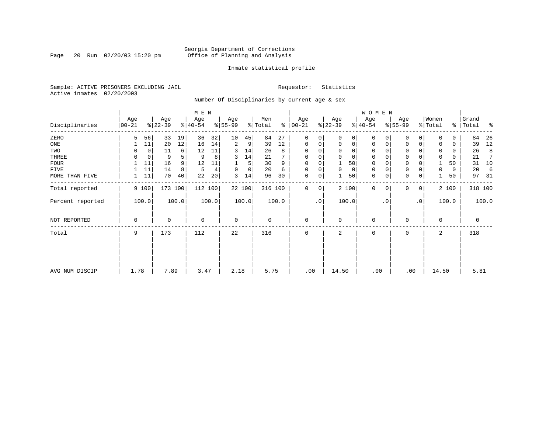Page 20 Run  $02/20/03$  15:20 pm

### Inmate statistical profile

Sample: ACTIVE PRISONERS EXCLUDING JAIL **Requestor:** Statistics Active inmates 02/20/2003

Number Of Disciplinaries by current age & sex

|                  |                  |       |                  |       | M E N                        |       |                 |        |                |       |                  |                 |                  |             | WOMEN            |           |                  |                |                  |           |                |         |
|------------------|------------------|-------|------------------|-------|------------------------------|-------|-----------------|--------|----------------|-------|------------------|-----------------|------------------|-------------|------------------|-----------|------------------|----------------|------------------|-----------|----------------|---------|
| Disciplinaries   | Age<br>$00 - 21$ |       | Age<br>$ 22-39 $ |       | Age<br>$\frac{1}{6}$   40-54 |       | Age<br>$ 55-99$ |        | Men<br>% Total | ွေ    | Age<br>$00 - 21$ |                 | Age<br>$ 22-39 $ |             | Age<br>$ 40-54 $ |           | Age<br>$8 55-99$ |                | Women<br>% Total | $\approx$ | Grand<br>Total | ႜ       |
| ZERO             | 5                | 56    | 33               | 19    | 36                           | 32    | 10              | 45     | 84             | 27    | $\mathbf{0}$     | 0               | $\Omega$         | 0           | $\Omega$         | $\Omega$  | $\Omega$         | $\Omega$       | $\Omega$         | $\Omega$  | 84             | 26      |
| ONE              |                  | 11    | 20               | 12    | 16                           | 14    | 2               | 9      | 39             | 12    | $\mathbf 0$      | 0               | $\mathbf 0$      | $\mathbf 0$ | 0                | 0         | $\mathbf 0$      | 0              | 0                | 0         | 39             | 12      |
| TWO              | 0                | 0     | 11               | 6     | 12                           | 11    | 3               | 14     | 26             | 8     | 0                |                 |                  | $\mathbf 0$ | 0                |           | $\Omega$         |                | 0                | 0         | 26             | 8       |
| THREE            | 0                | 0     | 9                | 5     | 9                            | 8     | 3               | 14     | 21             |       | $\mathbf 0$      |                 | $\Omega$         | $\mathbf 0$ | 0                |           | $\mathbf 0$      |                | 0                | 0         | 21             |         |
| <b>FOUR</b>      |                  | 11    | 16               | 9     | 12                           | 11    |                 | 5      | 30             | 9     | $\mathbf 0$      |                 |                  | 50          | 0                |           | $\mathbf 0$      |                |                  | 50        | 31             | 10      |
| FIVE             |                  | 11    | 14               | 8     | 5                            | 4     | 0               | 0      | 20             | 6     | 0                | 0               | $\mathbf 0$      | 0           | 0                |           | $\mathbf 0$      |                | 0                | 0         | 20             | 6       |
| MORE THAN FIVE   |                  | 11    | 70               | 40    | 22                           | 20    | 3               | 14     | 96             | 30    | 0                | 0               |                  | 50          | $\mathbf 0$      | 0         | $\mathbf 0$      | 0              |                  | 50        | 97             | -31     |
| Total reported   |                  | 9 100 | 173 100          |       | 112 100                      |       |                 | 22 100 | 316 100        |       | $\mathbf 0$      | 0               |                  | 2 100       | $\mathbf{0}$     | $\Omega$  | $\Omega$         | $\overline{0}$ |                  | 2 100     |                | 318 100 |
| Percent reported |                  | 100.0 |                  | 100.0 |                              | 100.0 |                 | 100.0  |                | 100.0 |                  | .0 <sup>1</sup> |                  | 100.0       |                  | $\cdot$ 0 |                  | $\cdot$ 0      |                  | 100.0     |                | 100.0   |
| NOT REPORTED     | 0                |       | 0                |       | $\mathbf 0$                  |       | $\mathbf 0$     |        | 0              |       | $\mathbf{0}$     |                 | $\Omega$         |             | 0                |           | $\mathbf 0$      |                | $\mathbf 0$      |           | $\mathbf 0$    |         |
| Total            | 9                |       | 173              |       | 112                          |       | 22              |        | 316            |       | 0                |                 | 2                |             | 0                |           | 0                |                | 2                |           | 318            |         |
|                  |                  |       |                  |       |                              |       |                 |        |                |       |                  |                 |                  |             |                  |           |                  |                |                  |           |                |         |
|                  |                  |       |                  |       |                              |       |                 |        |                |       |                  |                 |                  |             |                  |           |                  |                |                  |           |                |         |
| AVG NUM DISCIP   | 1.78             |       | 7.89             |       | 3.47                         |       | 2.18            |        | 5.75           |       | .00              |                 | 14.50            |             | .00              |           | .00              |                | 14.50            |           | 5.81           |         |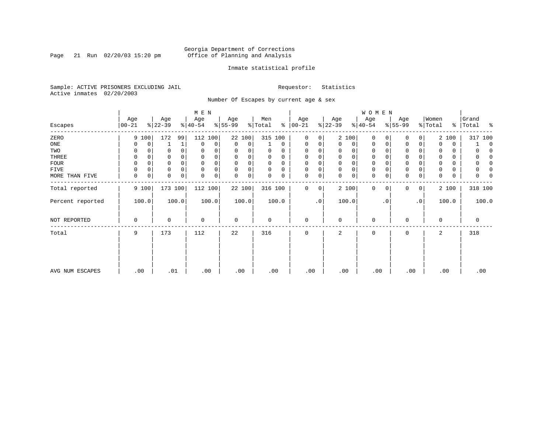Page 21 Run  $02/20/03$  15:20 pm

### Inmate statistical profile

Sample: ACTIVE PRISONERS EXCLUDING JAIL **Requestor:** Statistics Active inmates 02/20/2003

Number Of Escapes by current age & sex

|                  |                  |          |                  |          | M E N            |       |                  |       |                |          |                  |             |                  |             | WOMEN            |           |                  |                |                  |               |                |              |
|------------------|------------------|----------|------------------|----------|------------------|-------|------------------|-------|----------------|----------|------------------|-------------|------------------|-------------|------------------|-----------|------------------|----------------|------------------|---------------|----------------|--------------|
| Escapes          | Age<br>$00 - 21$ |          | Age<br>$ 22-39 $ |          | Age<br>$ 40-54 $ |       | Age<br>$ 55-99 $ |       | Men<br>% Total | ႜ        | Age<br>$00 - 21$ |             | Age<br>$ 22-39 $ |             | Age<br>$ 40-54 $ |           | Age<br>$ 55-99 $ |                | Women<br>% Total | $\frac{8}{6}$ | Grand<br>Total | ႜ            |
| ZERO             |                  | 9 100    | 172              | 99       | 112              | 100   | 22 100           |       | 315 100        |          | $\mathbf{0}$     | 0           | 2 100            |             | $\mathbf 0$      | 0         | 0                | 0              |                  | 2 100         | 317 100        |              |
| ONE              | 0                | 0        |                  | 1        | $\mathbf{0}$     | 0     | 0                | 0     |                | 0        | 0                | 0           | $\Omega$         | 0           | 0                | 0         | 0                | 0              | 0                | 0             |                | $\mathbf 0$  |
| TWO              | 0                |          |                  |          | 0                |       | 0                | 0     | 0              | 0        | 0                |             | $\Omega$         | 0           | 0                |           | 0                |                | 0                | 0             |                |              |
| THREE            | 0                |          |                  |          | 0                |       | 0                | 0     | U              | $\Omega$ | 0                |             | $\mathbf 0$      | 0           | 0                |           | 0                |                | 0                | 0             |                |              |
| <b>FOUR</b>      | $\Omega$         | $\Omega$ |                  | $\Omega$ | $\mathbf 0$      | 0     | $\Omega$         | 0     | 0              | $\Omega$ | 0                |             | $\Omega$         | $\mathbf 0$ | 0                |           | $\Omega$         |                | $\Omega$         | 0             |                | <sup>0</sup> |
| FIVE             |                  | 0        | 0                |          | $\mathbf 0$      | 0     | 0                | 0     | 0              | 0        | 0                | 0           | $\Omega$         | $\mathsf 0$ | 0                |           | $\Omega$         |                | 0                | 0             |                |              |
| MORE THAN FIVE   | 0                | 0        | 0                | 0        | 0                | 0     | 0                | 0     | 0              | 0        | 0                | 0           | $\Omega$         | 0           | $\mathbf 0$      | 0         | $\Omega$         | 0              | $\Omega$         | 0             |                |              |
| Total reported   |                  | 9 100    | 173 100          |          | 112 100          |       | 22 100           |       | 316 100        |          | 0                | $\mathbf 0$ | 2 100            |             | $\mathbf{0}$     | 0         | 0                | $\overline{0}$ |                  | 2 100         | 318 100        |              |
| Percent reported |                  | 100.0    |                  | 100.0    |                  | 100.0 |                  | 100.0 |                | 100.0    |                  | $\cdot$ 0   | 100.0            |             |                  | $\cdot$ 0 |                  | $\cdot$ 0      |                  | 100.0         |                | 100.0        |
| NOT REPORTED     | 0                |          | 0                |          | 0                |       | 0                |       | 0              |          | 0                |             | 0                |             | 0                |           | $\Omega$         |                | $\mathbf 0$      |               | 0              |              |
| Total            | 9                |          | 173              |          | 112              |       | 22               |       | 316            |          | $\mathbf{0}$     |             | 2                |             | 0                |           | 0                |                | 2                |               | 318            |              |
|                  |                  |          |                  |          |                  |       |                  |       |                |          |                  |             |                  |             |                  |           |                  |                |                  |               |                |              |
| AVG NUM ESCAPES  | .00              |          | .01              |          | .00              |       | .00              |       | .00            |          | .00              |             | .00              |             | .00              |           | .00              |                |                  | .00           | .00            |              |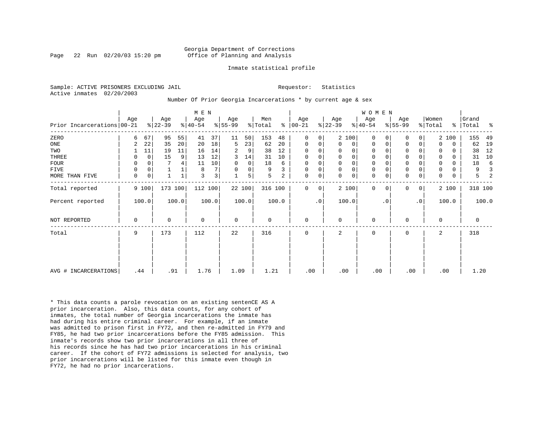Page 22 Run  $02/20/03$  15:20 pm

#### Inmate statistical profile

Sample: ACTIVE PRISONERS EXCLUDING JAIL **Requestor:** Statistics Active inmates 02/20/2003

Number Of Prior Georgia Incarcerations \* by current age & sex

| Prior Incarcerations   00-21 | Age         |             | Age<br>$ 22-39 $ |       | M E N<br>Age<br>$8 40-54$ |                | Age<br>$8 55-99$ |        | Men<br>% Total |       | Age<br>$8   00 - 21$ |           | Age<br>$ 22-39 $ |             | <b>WOMEN</b><br>Age<br>$8 40-54$ |           | Age<br>$ 55-99 $ |           | Women<br>% Total | နွ    | Grand<br>Total | ႜ     |
|------------------------------|-------------|-------------|------------------|-------|---------------------------|----------------|------------------|--------|----------------|-------|----------------------|-----------|------------------|-------------|----------------------------------|-----------|------------------|-----------|------------------|-------|----------------|-------|
| ZERO                         | 6           | 67          | 95               | 55    | 41                        | 37             | 11               | 50     | 153            | 48    | 0                    | 0         |                  | 2 100       | 0                                |           | $\Omega$         | 0         |                  | 2 100 | 155            | 49    |
| ONE                          | 2           | 22          | 35               | 20    | 20                        | 18             | 5                | 23     | 62             | 20    | 0                    | 0         | 0                | 0           | $\mathbf 0$                      | 0         | 0                | 0         | $\Omega$         | 0     | 62             | 19    |
| TWO                          |             | 11          | 19               | 11    | 16                        | 14             | 2                | 9      | 38             | 12    | $\Omega$             | 0         | 0                | 0           | 0                                |           | 0                |           |                  | 0     | 38             | 12    |
| THREE                        | 0           | $\mathbf 0$ | 15               | 9     | 13                        | 12             | 3                | 14     | 31             | 10    | $\Omega$             | 0         | 0                | $\mathsf 0$ | 0                                |           | 0                |           |                  | 0     | 31             | 10    |
| FOUR                         |             | $\Omega$    |                  |       | 11                        | 10             |                  | 0      | 18             | 6     | $\Omega$             | 0         |                  | $\mathsf 0$ | $\mathbf 0$                      |           | 0                |           |                  | 0     | 18             |       |
| FIVE                         | 0           | $\Omega$    |                  |       | 8                         | 7              |                  | 0      | 9              |       | $\mathbf 0$          | 0         | $\Omega$         | $\mathsf 0$ | 0                                |           | $\mathbf 0$      |           |                  |       | 9              |       |
| MORE THAN FIVE               | 0           | 0           |                  |       | 3                         | 3 <sup>1</sup> |                  | 5      | 5              | 2     | $\mathbf 0$          | 0         | $\Omega$         | $\mathbf 0$ | $\mathbf 0$                      |           | $\mathbf 0$      | 0         | $\Omega$         | 0     | 5              |       |
| Total reported               |             | 9 100       | 173 100          |       | 112 100                   |                |                  | 22 100 | 316 100        |       | 0                    | 0         |                  | 2 100       | $\mathbf 0$                      | 0         | 0                | 0         |                  | 2 100 | 318 100        |       |
| Percent reported             |             | 100.0       |                  | 100.0 |                           | 100.0          |                  | 100.0  |                | 100.0 |                      | $\cdot$ 0 |                  | 100.0       |                                  | $\cdot$ 0 |                  | $\cdot$ 0 |                  | 100.0 |                | 100.0 |
| <b>NOT REPORTED</b>          | $\mathbf 0$ |             | $\Omega$         |       | $\Omega$                  |                | $\mathbf 0$      |        | 0              |       | $\mathbf 0$          |           | $\Omega$         |             | $\mathbf 0$                      |           | $\mathbf 0$      |           | $\Omega$         |       | $\mathbf 0$    |       |
| Total                        | 9           |             | 173              |       | 112                       |                | 22               |        | 316            |       | $\mathbf 0$          |           | 2                |             | 0                                |           | 0                |           | 2                |       | 318            |       |
|                              |             |             |                  |       |                           |                |                  |        |                |       |                      |           |                  |             |                                  |           |                  |           |                  |       |                |       |
| AVG # INCARCERATIONS         | .44         |             | .91              |       | 1.76                      |                | 1.09             |        | 1.21           |       | .00                  |           | .00              |             | .00                              |           | .00              |           |                  | .00   | 1.20           |       |

\* This data counts a parole revocation on an existing sentenCE AS A prior incarceration. Also, this data counts, for any cohort of inmates, the total number of Georgia incarcerations the inmate has had during his entire criminal career. For example, if an inmate was admitted to prison first in FY72, and then re-admitted in FY79 and FY85, he had two prior incarcerations before the FY85 admission. This inmate's records show two prior incarcerations in all three of his records since he has had two prior incarcerations in his criminal career. If the cohort of FY72 admissions is selected for analysis, two prior incarcerations will be listed for this inmate even though in FY72, he had no prior incarcerations.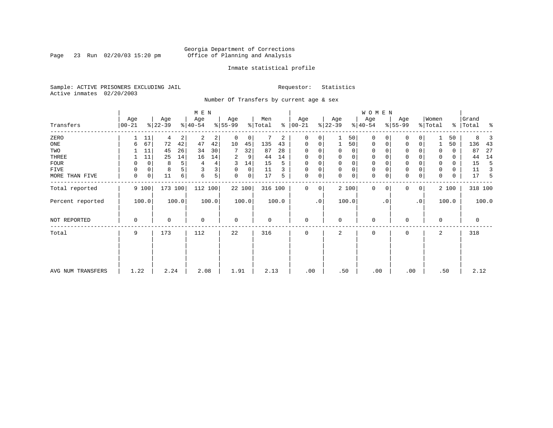Page 23 Run 02/20/03 15:20 pm

### Inmate statistical profile

Sample: ACTIVE PRISONERS EXCLUDING JAIL **Requestor:** Statistics Active inmates 02/20/2003

Number Of Transfers by current age & sex

|                   |                  |              |                  |       | M E N            |       |                 |        |                |       |                  |             |                  |             | <b>WOMEN</b>     |           |                  |                |                  |       |                    |       |
|-------------------|------------------|--------------|------------------|-------|------------------|-------|-----------------|--------|----------------|-------|------------------|-------------|------------------|-------------|------------------|-----------|------------------|----------------|------------------|-------|--------------------|-------|
| Transfers         | Age<br>$00 - 21$ |              | Age<br>$ 22-39 $ |       | Age<br>$ 40-54 $ |       | Age<br>$ 55-99$ |        | Men<br>% Total | ៖     | Age<br>$ 00-21 $ |             | Age<br>$ 22-39 $ |             | Age<br>$ 40-54 $ |           | Age<br>$ 55-99 $ |                | Women<br>% Total |       | Grand<br>%   Total | ಿ     |
| ZERO              |                  | 11           | 4                | 2     | 2                | 2     | 0               | 0      |                | 2     | 0                | 0           |                  | 50          | 0                |           | 0                |                |                  | 50    | 8                  |       |
| ONE               | 6                | 67           | 72               | 42    | 47               | 42    | 10              | 45     | 135            | 43    | 0                | 0           |                  | 50          | 0                | 0         | $\mathbf 0$      | 0              |                  | 50    | 136                | 43    |
| TWO               |                  | 11           | 45               | 26    | 34               | 30    | 7               | 32     | 87             | 28    | 0                |             | 0                | 0           | 0                |           |                  |                | 0                | 0     | 87                 | 27    |
| THREE             |                  | 11           | 25               | 14    | 16               | 14    | 2               | 9      | 44             | 14    | 0                |             | 0                | 0           | 0                |           | 0                |                | 0                | 0     | 44                 | 14    |
| FOUR              | 0                | $\mathbf 0$  | 8                | 5     | 4                | 4     | 3               | 14     | 15             | 5     | 0                | $\Omega$    | $\Omega$         | $\mathbf 0$ | $\Omega$         |           | $\Omega$         |                | $\Omega$         | 0     | 15                 | 5     |
| FIVE              | 0                | 0            | 8                | 5     |                  | 3     | 0               | 0      | 11             | 3     | 0                | 0           | $\Omega$         | $\mathbf 0$ | 0                |           | 0                |                | $\Omega$         | 0     | 11                 | 3     |
| MORE THAN FIVE    | $\mathbf 0$      | $\mathsf{O}$ | 11               | 6     | 6                | 5     | $\mathbf 0$     | 0      | 17             | 5     | $\mathbf 0$      | 0           | $\Omega$         | $\mathbf 0$ | $\mathbf 0$      |           | $\Omega$         | 0              | $\Omega$         | 0     | 17                 | 5     |
| Total reported    |                  | 9 100        | 173 100          |       | 112 100          |       |                 | 22 100 | 316 100        |       | 0                | $\mathbf 0$ |                  | 2 100       | $\mathbf{0}$     | $\Omega$  | $\Omega$         | 0 <sup>1</sup> |                  | 2 100 | 318 100            |       |
| Percent reported  |                  | 100.0        |                  | 100.0 |                  | 100.0 |                 | 100.0  |                | 100.0 |                  | .0          |                  | 100.0       |                  | $\cdot$ 0 |                  | $\cdot$ 0      |                  | 100.0 |                    | 100.0 |
| NOT REPORTED      | 0                |              | 0                |       | 0                |       | 0               |        | $\mathbf 0$    |       | 0                |             | 0                |             | 0                |           | $\Omega$         |                | $\mathbf 0$      |       | 0                  |       |
| Total             | 9                |              | 173              |       | 112              |       | 22              |        | 316            |       | 0                |             | 2                |             | 0                |           | 0                |                | 2                |       | 318                |       |
|                   |                  |              |                  |       |                  |       |                 |        |                |       |                  |             |                  |             |                  |           |                  |                |                  |       |                    |       |
|                   |                  |              |                  |       |                  |       |                 |        |                |       |                  |             |                  |             |                  |           |                  |                |                  |       |                    |       |
| AVG NUM TRANSFERS | 1.22             |              | 2.24             |       | 2.08             |       | 1.91            |        | 2.13           |       | .00              |             | .50              |             | .00              |           | .00              |                |                  | .50   | 2.12               |       |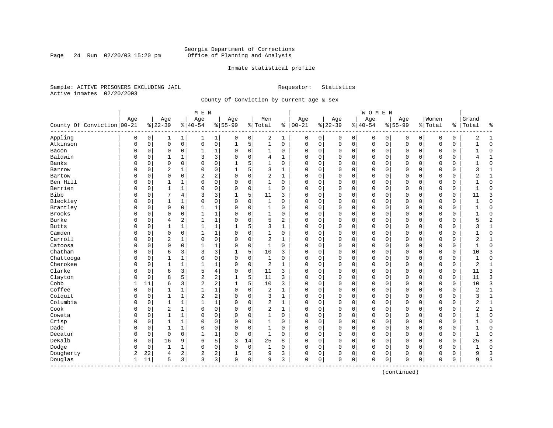Page 24 Run  $02/20/03$  15:20 pm

### Inmate statistical profile

Sample: ACTIVE PRISONERS EXCLUDING JAIL **Requestor:** Statistics Active inmates 02/20/2003

County Of Conviction by current age & sex

| Age<br>Age<br>Age<br>Age<br>County Of Conviction   00-21<br>$8 22-39$<br>$8 40-54$<br>$8155 - 99$<br>% Total<br>Appling<br>0<br>0<br>$\mathbf{1}$<br>0<br>1<br>1  <br>0<br>1<br>$\mathbf 0$<br>$\mathsf{O}\xspace$<br>0<br>5<br>Atkinson<br>$\mathbf 0$<br>$\mathsf 0$<br>$1\,$<br>0<br>Bacon<br>$\mathbf 0$<br>0<br>1<br>1<br>0<br>0<br>0<br>0 | Men<br>ి<br>2<br>1<br>$\mathbf{1}$<br>$\mathbf 0$<br>$\mathbf{1}$<br>0<br>4<br>$\mathbf{1}$<br>$\mathbf{1}$<br>$\Omega$<br>3<br>$\mathbf{1}$<br>$\overline{2}$<br>1<br>$\mathbf{1}$<br>$\mathbf 0$ | Age<br>$ 00-21$<br>0<br>O<br>$\Omega$<br>$\Omega$<br>$\Omega$<br>0<br>C | Age<br>$ 22-39$<br>0<br>0<br>0<br>0<br>0<br>$\Omega$<br>0<br>$\Omega$<br>0<br>$\Omega$<br>0<br>$\Omega$<br>0<br>$\Omega$ | 0<br>$\mathbf 0$<br>0<br>$\Omega$<br>$\Omega$<br>0 | Age<br>$8 40-54$<br>0<br>0<br>0<br>$\Omega$<br>$\Omega$<br>$\Omega$ | Age<br>$8155 - 99$<br>0<br>0<br>$\mathbf 0$<br>$\mathbf 0$<br>$\sqrt{ }$ | $\mathbf 0$<br>0<br>$\Omega$<br>$\mathbf 0$<br>0<br>$\Omega$<br>$\Omega$<br>$\Omega$<br>$\Omega$<br>$\Omega$ | Women<br>% Total<br>0<br>O<br>$\Omega$<br>$\Omega$<br>$\cap$ | ి<br>0<br>0<br>0<br>$\Omega$<br>0 | Grand<br>Total<br>ႜ<br>2<br>$\mathbf{1}$<br>$\mathbf 0$<br>$\mathbf{1}$<br>$\mathbf 0$<br>1<br>$\mathbf{1}$ |
|-------------------------------------------------------------------------------------------------------------------------------------------------------------------------------------------------------------------------------------------------------------------------------------------------------------------------------------------------|----------------------------------------------------------------------------------------------------------------------------------------------------------------------------------------------------|-------------------------------------------------------------------------|--------------------------------------------------------------------------------------------------------------------------|----------------------------------------------------|---------------------------------------------------------------------|--------------------------------------------------------------------------|--------------------------------------------------------------------------------------------------------------|--------------------------------------------------------------|-----------------------------------|-------------------------------------------------------------------------------------------------------------|
|                                                                                                                                                                                                                                                                                                                                                 |                                                                                                                                                                                                    |                                                                         |                                                                                                                          |                                                    |                                                                     |                                                                          |                                                                                                              |                                                              |                                   |                                                                                                             |
|                                                                                                                                                                                                                                                                                                                                                 |                                                                                                                                                                                                    |                                                                         |                                                                                                                          |                                                    |                                                                     |                                                                          |                                                                                                              |                                                              |                                   |                                                                                                             |
|                                                                                                                                                                                                                                                                                                                                                 |                                                                                                                                                                                                    |                                                                         |                                                                                                                          |                                                    |                                                                     |                                                                          |                                                                                                              |                                                              |                                   |                                                                                                             |
|                                                                                                                                                                                                                                                                                                                                                 |                                                                                                                                                                                                    |                                                                         |                                                                                                                          |                                                    |                                                                     |                                                                          |                                                                                                              |                                                              |                                   |                                                                                                             |
|                                                                                                                                                                                                                                                                                                                                                 |                                                                                                                                                                                                    |                                                                         |                                                                                                                          |                                                    |                                                                     |                                                                          |                                                                                                              |                                                              |                                   |                                                                                                             |
| 3<br>Baldwin<br>3<br>$\mathbf 0$<br>0<br>0<br>1<br>$\Omega$<br>1                                                                                                                                                                                                                                                                                |                                                                                                                                                                                                    |                                                                         |                                                                                                                          |                                                    |                                                                     |                                                                          |                                                                                                              |                                                              |                                   |                                                                                                             |
| Banks<br>0<br>5<br>$\Omega$<br>$\Omega$<br>$\Omega$<br>O<br>0                                                                                                                                                                                                                                                                                   |                                                                                                                                                                                                    |                                                                         |                                                                                                                          |                                                    |                                                                     |                                                                          |                                                                                                              |                                                              |                                   | $\Omega$                                                                                                    |
| $\overline{c}$<br>0<br>5<br>1<br>0<br>Barrow<br>0<br>0<br>1                                                                                                                                                                                                                                                                                     |                                                                                                                                                                                                    |                                                                         |                                                                                                                          |                                                    |                                                                     | $\Omega$                                                                 | $\Omega$<br>0                                                                                                | $\Omega$                                                     | 0                                 | 3<br>$\mathbf{1}$                                                                                           |
| 2<br>$\mathbf 0$<br>$\mathbf 0$<br>$\overline{2}$<br>$\mathbf 0$<br>0<br>$\Omega$<br>Bartow<br>0                                                                                                                                                                                                                                                |                                                                                                                                                                                                    |                                                                         |                                                                                                                          | $\mathsf 0$                                        | 0                                                                   | 0                                                                        | $\mathbf 0$<br>$\Omega$                                                                                      | 0                                                            | 0                                 | 2<br>$\mathbf{1}$                                                                                           |
| Ben Hill<br>0<br>$\mathbf 0$<br>$\Omega$<br>0<br>$\mathbf{1}$<br>$\Omega$<br>$\Omega$<br>$\mathbf{1}$                                                                                                                                                                                                                                           |                                                                                                                                                                                                    | $\Omega$                                                                | 0<br>$\Omega$                                                                                                            | $\mathbf 0$                                        | $\Omega$                                                            | $\mathbf 0$                                                              | $\Omega$<br>$\Omega$                                                                                         | $\Omega$                                                     | 0                                 | $\mathbf 0$<br>$\mathbf{1}$                                                                                 |
| Berrien<br>$\mathbf{1}$<br>$\mathbf{1}$<br>$\Omega$<br>0<br>$\Omega$<br>$\mathbf 0$<br>O<br>0                                                                                                                                                                                                                                                   | $\mathbf{1}$<br>$\Omega$                                                                                                                                                                           | $\Omega$                                                                | 0<br>$\Omega$                                                                                                            | $\mathbf 0$                                        | $\Omega$                                                            | $\mathbf 0$                                                              | $\Omega$<br>$\Omega$                                                                                         | $\Omega$                                                     | 0                                 | $\Omega$<br>$\mathbf{1}$                                                                                    |
| <b>Bibb</b><br>3<br>5<br>4<br>3<br>O<br>0                                                                                                                                                                                                                                                                                                       | 11<br>3                                                                                                                                                                                            | $\Omega$                                                                | 0<br>$\Omega$                                                                                                            | 0                                                  | 0                                                                   | $\mathbf 0$                                                              | $\Omega$<br>0                                                                                                | $\Omega$                                                     | 0                                 | 3<br>11                                                                                                     |
| Bleckley<br>0<br>$\mathbf 0$<br>O<br>0<br>$\mathbf{1}$<br>1<br>0<br>$\Omega$                                                                                                                                                                                                                                                                    | $\mathbf{1}$<br>0                                                                                                                                                                                  | $\Omega$                                                                | 0<br>$\Omega$                                                                                                            | $\Omega$                                           | $\Omega$                                                            | $\mathsf{C}$                                                             | $\Omega$<br>$\Omega$                                                                                         | $\Omega$                                                     | $\Omega$                          | $\mathbf 0$                                                                                                 |
| Brantley<br>1<br>$\mathbf 0$<br>0<br>$\mathbf{1}$<br>0<br>0<br>0<br>0                                                                                                                                                                                                                                                                           | 1<br>0                                                                                                                                                                                             | $\Omega$                                                                | 0<br>$\Omega$                                                                                                            | 0                                                  | 0                                                                   | $\mathbf 0$                                                              | $\Omega$<br>0                                                                                                | $\Omega$                                                     | 0                                 | $\mathbf 0$<br>1                                                                                            |
| Brooks<br>0<br>1<br>$\mathbf 0$<br>$\mathbf 0$<br>1<br>0<br>0<br>0                                                                                                                                                                                                                                                                              | 0<br>1                                                                                                                                                                                             | C                                                                       | 0<br>$\Omega$                                                                                                            | 0                                                  | 0                                                                   | 0                                                                        | 0<br>0                                                                                                       | O                                                            | 0                                 | $\mathbf 0$                                                                                                 |
| Burke<br>$\mathbf 0$<br>$\overline{a}$<br>$\mathbf{1}$<br>1<br>0<br>0<br>$\overline{4}$<br>$\Omega$                                                                                                                                                                                                                                             | 5<br>2                                                                                                                                                                                             | $\Omega$                                                                | 0<br>$\Omega$                                                                                                            | $\Omega$                                           | $\Omega$                                                            | $\mathbf 0$                                                              | $\Omega$<br>$\Omega$                                                                                         | $\Omega$                                                     | 0                                 | $\overline{c}$<br>5                                                                                         |
| 1<br>5<br><b>Butts</b><br>O<br>0<br>1<br>1<br>$\mathbf{1}$<br>-1                                                                                                                                                                                                                                                                                | 3<br>$\mathbf{1}$                                                                                                                                                                                  | $\Omega$                                                                | 0<br>$\Omega$                                                                                                            | 0                                                  | $\Omega$                                                            | $\Omega$                                                                 | $\Omega$<br>0                                                                                                | $\Omega$                                                     | 0                                 | $\mathbf{1}$<br>3                                                                                           |
| Camden<br>0<br>1<br>0<br>1<br>0<br>0<br>0<br>0                                                                                                                                                                                                                                                                                                  | 1<br>0                                                                                                                                                                                             | 0                                                                       | 0<br>$\Omega$                                                                                                            | 0                                                  | 0                                                                   | 0                                                                        | 0<br>0                                                                                                       | 0                                                            | 0                                 | $\mathbf 0$                                                                                                 |
| Carroll<br>$\overline{c}$<br>0<br>0<br>0<br>1<br>0<br>$\Omega$<br>0                                                                                                                                                                                                                                                                             | 2<br>1                                                                                                                                                                                             | $\Omega$                                                                | 0<br>$\Omega$                                                                                                            | $\Omega$                                           | 0                                                                   | $\mathsf{C}$                                                             | $\Omega$<br>0                                                                                                | $\Omega$                                                     | $\Omega$                          | 2<br>1                                                                                                      |
| Catoosa<br>$\mathbf 0$<br>$\mathbf 0$<br>$\mathbf{1}$<br>1<br>$\mathbf 0$<br>0<br>$\Omega$<br>$\Omega$                                                                                                                                                                                                                                          | $\mathbf{1}$<br>$\Omega$                                                                                                                                                                           | $\Omega$                                                                | 0<br>$\Omega$                                                                                                            | $\Omega$                                           | $\Omega$                                                            | $\Omega$                                                                 | $\Omega$<br>$\Omega$                                                                                         | $\Omega$                                                     | 0                                 | $\Omega$<br>$\mathbf{1}$                                                                                    |
| Chatham<br>3<br>3<br>5<br>6<br>3<br>O<br>0<br>1                                                                                                                                                                                                                                                                                                 | 10<br>3                                                                                                                                                                                            | C                                                                       | 0<br>$\Omega$                                                                                                            | $\mathbf 0$                                        | 0                                                                   | $\mathbf 0$                                                              | $\Omega$<br>$\Omega$                                                                                         | $\Omega$                                                     | 0                                 | 3<br>10                                                                                                     |
| Chattooga<br>$\mathbf{1}$<br>0<br>$\mathsf 0$<br>O<br>0<br>$\mathbf{1}$<br>$\Omega$<br>$\Omega$                                                                                                                                                                                                                                                 | $\mathbf{1}$<br>0                                                                                                                                                                                  | $\Omega$                                                                | 0<br>$\Omega$                                                                                                            | 0                                                  | 0                                                                   | $\mathbf 0$                                                              | $\Omega$<br>0                                                                                                | $\Omega$                                                     | 0                                 | $\mathbf 0$<br>1                                                                                            |
| Cherokee<br>1<br>$\mathbf 0$<br>O<br>0<br>1<br>1<br>$\mathbf{1}$<br>$\Omega$                                                                                                                                                                                                                                                                    | $\overline{2}$<br>1                                                                                                                                                                                | $\Omega$                                                                | 0<br>$\Omega$                                                                                                            | 0                                                  | $\Omega$                                                            | $\mathbf 0$                                                              | $\Omega$<br>0                                                                                                | $\Omega$                                                     | 0                                 | $\overline{2}$<br>$\mathbf{1}$                                                                              |
| Clarke<br>3<br>5<br>4<br>6<br>0<br>O<br>0<br>$\Omega$                                                                                                                                                                                                                                                                                           | 11<br>3                                                                                                                                                                                            | $\Omega$                                                                | 0<br>$\Omega$                                                                                                            | 0                                                  | $\Omega$                                                            | $\mathbf 0$                                                              | $\Omega$<br>$\Omega$                                                                                         | $\Omega$                                                     | 0                                 | 3<br>11                                                                                                     |
| 5<br>2<br>2<br>5<br>Clayton<br>$\Omega$<br>8<br>0                                                                                                                                                                                                                                                                                               | 11<br>3                                                                                                                                                                                            | $\Omega$                                                                | $\Omega$<br>$\Omega$                                                                                                     | $\mathbf 0$                                        | $\Omega$                                                            | $\mathsf{C}$                                                             | $\Omega$<br>$\Omega$                                                                                         | $\mathbf 0$                                                  | $\Omega$                          | 3<br>11                                                                                                     |
| Cobb<br>3<br>$\overline{2}$<br>2<br>5<br>11<br>6<br>1<br>1                                                                                                                                                                                                                                                                                      | 10<br>3                                                                                                                                                                                            | $\Omega$                                                                | 0<br>$\Omega$                                                                                                            | $\mathbf 0$                                        | $\Omega$                                                            | $\mathbf 0$                                                              | $\Omega$<br>$\Omega$                                                                                         | $\mathbf 0$                                                  | 0                                 | $\overline{3}$<br>10                                                                                        |
| Coffee<br>1<br>0<br>1<br>$\mathbf{1}$<br>$\mathbf 0$<br>1<br>$\Omega$<br>0                                                                                                                                                                                                                                                                      | $\sqrt{2}$<br>1                                                                                                                                                                                    | 0                                                                       | 0<br>$\Omega$                                                                                                            | 0                                                  | 0                                                                   | $\mathbf 0$                                                              | 0<br>0                                                                                                       | 0                                                            | 0                                 | $\mathbf{1}$<br>2                                                                                           |
| $\overline{a}$<br>Colquit<br>$\mathbf{1}$<br>$\overline{2}$<br>$\mathbf 0$<br>0<br>0<br>1<br>$\Omega$                                                                                                                                                                                                                                           | 3<br>$\mathbf{1}$                                                                                                                                                                                  | C                                                                       | 0<br>$\Omega$                                                                                                            | 0                                                  | 0                                                                   | 0                                                                        | $\Omega$<br>0                                                                                                | O                                                            | 0                                 | $\mathbf{1}$<br>3                                                                                           |
| Columbia<br>1<br>0<br>1<br>1<br>$\mathbf{1}$<br>$\Omega$<br>0<br>0                                                                                                                                                                                                                                                                              | $\overline{2}$<br>1                                                                                                                                                                                | $\Omega$                                                                | 0<br>$\Omega$                                                                                                            | 0                                                  | 0                                                                   | $\Omega$                                                                 | $\Omega$<br>0                                                                                                | $\Omega$                                                     | 0                                 | 2<br>1                                                                                                      |
| Cook<br>$\overline{c}$<br>$\mathbf{1}$<br>$\mathbf 0$<br>0<br>$\mathbf 0$<br>O<br>0<br>$\Omega$                                                                                                                                                                                                                                                 | 2<br>1                                                                                                                                                                                             | $\Omega$                                                                | 0<br>$\Omega$                                                                                                            | 0                                                  | 0                                                                   | $\Omega$                                                                 | $\Omega$<br>0                                                                                                | $\Omega$                                                     | 0                                 | $\mathbf{1}$<br>2                                                                                           |
| $\mathbf{1}$<br>0<br>$\mathbf 0$<br>Coweta<br>O<br>0<br>$\mathbf{1}$<br>$\Omega$<br>$\Omega$                                                                                                                                                                                                                                                    | $\mathbf{1}$<br>0                                                                                                                                                                                  | $\Omega$                                                                | 0<br>$\Omega$                                                                                                            | $\Omega$                                           | $\Omega$                                                            | $\mathbf 0$                                                              | $\Omega$<br>0                                                                                                | $\Omega$                                                     | $\Omega$                          | $\mathbf 0$                                                                                                 |
| Crisp<br>0<br>$\mathbf{1}$<br>1<br>0<br>$\Omega$<br>0<br>0<br>0                                                                                                                                                                                                                                                                                 | 1<br>$\Omega$                                                                                                                                                                                      | O                                                                       | 0<br>$\Omega$                                                                                                            | 0                                                  | 0                                                                   | 0                                                                        | $\Omega$<br>$\Omega$                                                                                         | $\Omega$                                                     | 0                                 | $\mathbf 0$<br>1                                                                                            |
| Dade<br>0<br>1<br>1<br>0<br>$\Omega$<br>0<br>0<br>0                                                                                                                                                                                                                                                                                             | 1<br>0                                                                                                                                                                                             | $\mathbf 0$                                                             | 0<br>$\Omega$                                                                                                            | 0                                                  | 0                                                                   | $\mathbf 0$                                                              | 0<br>0                                                                                                       | 0                                                            | 0                                 | $\mathbf 0$<br>1                                                                                            |
| $\mathbf 0$<br>$\mathbf 0$<br>$\mathbf 0$<br>0<br>$\mathbf{1}$<br>1<br>$\Omega$<br>Decatur<br>0                                                                                                                                                                                                                                                 | $\mathbf{1}$<br>$\Omega$                                                                                                                                                                           | $\Omega$                                                                | 0<br>$\Omega$                                                                                                            | $\mathbf 0$                                        | $\Omega$                                                            | $\mathbf 0$                                                              | $\mathbf 0$<br>$\Omega$                                                                                      | $\Omega$                                                     | 0                                 | $\mathbf{1}$<br>$\Omega$                                                                                    |
| 5<br>DeKalb<br>16<br>9<br>3<br>O<br>0<br>6<br>14                                                                                                                                                                                                                                                                                                | 25<br>8                                                                                                                                                                                            | $\Omega$                                                                | 0<br>$\Omega$                                                                                                            | 0                                                  | $\Omega$                                                            | $\mathbf 0$                                                              | $\Omega$<br>$\Omega$                                                                                         | $\Omega$                                                     | 0                                 | 25<br>8                                                                                                     |
| Dodge<br>0<br>$\mathbf 0$<br>0<br>0<br>$\mathbf{1}$<br>1<br>$\Omega$<br>$\Omega$                                                                                                                                                                                                                                                                | 1<br>0                                                                                                                                                                                             | $\Omega$                                                                | 0<br>$\Omega$                                                                                                            | 0                                                  | 0                                                                   | 0                                                                        | $\Omega$<br>0                                                                                                | 0                                                            | 0                                 | $\mathbf 0$                                                                                                 |
| Dougherty<br>2<br>2<br>5<br>2<br>22<br>2<br>4                                                                                                                                                                                                                                                                                                   | 9<br>3                                                                                                                                                                                             | 0                                                                       | 0<br>$\Omega$                                                                                                            | 0                                                  | 0                                                                   | 0                                                                        | $\Omega$<br>0                                                                                                | $\Omega$                                                     | 0                                 | 9<br>3                                                                                                      |
| 3<br>3<br>3<br>Douglas<br>1<br>11<br>5<br>0<br>0<br>-------------                                                                                                                                                                                                                                                                               | 9<br>3                                                                                                                                                                                             | 0                                                                       | 0<br>$\Omega$                                                                                                            | 0                                                  | 0                                                                   | 0                                                                        | $\Omega$<br>0                                                                                                | $\Omega$                                                     | 0                                 | ₹<br>9                                                                                                      |

(continued)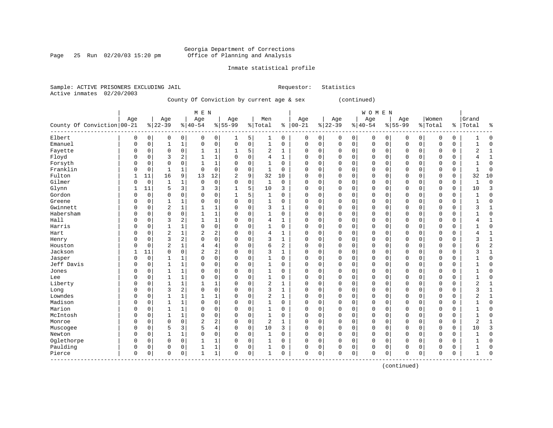Page 25 Run  $02/20/03$  15:20 pm

### Inmate statistical profile

|  | Sample: ACTIVE PRISONERS EXCLUDING JAIL |  |                                           |  | Requestor: Statistics |
|--|-----------------------------------------|--|-------------------------------------------|--|-----------------------|
|  | Active inmates 02/20/2003               |  |                                           |  |                       |
|  |                                         |  | County Of Conviction by current age & sex |  | (continued)           |

|                            |              |          |              |                | M E N                 |                |                |             |                |              |               |             |          |             | <b>WOMEN</b> |             |             |   |          |             |              |                |
|----------------------------|--------------|----------|--------------|----------------|-----------------------|----------------|----------------|-------------|----------------|--------------|---------------|-------------|----------|-------------|--------------|-------------|-------------|---|----------|-------------|--------------|----------------|
|                            | Age          |          | Age          |                | Age                   |                | Age            |             | Men            |              | Age           |             | Age      |             | Age          |             | Age         |   | Women    |             | Grand        |                |
| County Of Conviction 00-21 |              |          | $ 22-39$     |                | $\frac{1}{6}$   40-54 |                | $8 55-99$      |             | % Total        |              | $8   00 - 21$ |             | $ 22-39$ |             | $ 40-54$     |             | $8155 - 99$ |   | % Total  | နွ          | Total        | <sub>2</sub>   |
| Elbert                     | 0            | 0        | 0            | 0              | 0                     | $\overline{0}$ | 1              | 5           | 1              | 0            | 0             | 0           | 0        | 0           | 0            | 0           | 0           | 0 | 0        | 0           |              | $\Omega$       |
| Emanuel                    | $\Omega$     | 0        | 1            | $\mathbf{1}$   | 0                     | $\mathbf 0$    | $\mathbf 0$    | $\mathbf 0$ | $\mathbf{1}$   | 0            | $\Omega$      | $\mathbf 0$ | 0        | $\mathbf 0$ | $\mathbf 0$  | $\mathbf 0$ | 0           | 0 | $\Omega$ | 0           | 1            | $\Omega$       |
| Fayette                    | 0            | 0        | $\Omega$     | $\mathbf 0$    |                       | 1              | 1              | 5           | 2              | 1            | $\Omega$      | 0           | $\Omega$ | $\Omega$    | $\Omega$     | $\Omega$    | $\Omega$    | 0 | $\Omega$ | 0           | 2            | -1             |
| Floyd                      | n            | 0        | 3            | 2              | 1                     | $\mathbf{1}$   | $\Omega$       | $\Omega$    | $\overline{4}$ | 1            | <sup>0</sup>  | $\Omega$    | $\Omega$ | $\Omega$    | $\Omega$     | $\Omega$    | $\Omega$    | 0 | $\Omega$ | $\Omega$    | 4            | $\mathbf{1}$   |
| Forsyth                    | $\Omega$     | 0        | $\Omega$     | $\mathbf 0$    | 1                     | $\mathbf{1}$   | $\Omega$       | $\mathbf 0$ | 1              | 0            | O             | $\mathbf 0$ | $\Omega$ | $\Omega$    | $\Omega$     | $\Omega$    | $\mathbf 0$ | 0 | $\Omega$ | 0           |              | $\Omega$       |
| Franklin                   | 0            | 0        | 1            | $\mathbf{1}$   | 0                     | $\mathbf 0$    | $\mathbf 0$    | $\mathbf 0$ | $\mathbf 1$    | 0            |               | $\mathbf 0$ | 0        | 0           | $\Omega$     | 0           | 0           | 0 | $\Omega$ | 0           | 1            | C              |
| Fulton                     |              | 11       | 16           | 9              | 13                    | 12             | $\overline{2}$ | 9           | 32             | 10           |               | $\mathbf 0$ | $\Omega$ | $\Omega$    | $\mathbf 0$  | $\Omega$    | 0           | 0 | $\Omega$ | 0           | 32           | 10             |
| Gilmer                     | 0            | 0        | 1            | 1              | 0                     | $\mathbf 0$    | $\Omega$       | 0           | $\mathbf 1$    | $\mathbf 0$  |               | $\mathbf 0$ | 0        | $\Omega$    | $\Omega$     | $\Omega$    | 0           | 0 | $\Omega$ | 0           |              | $\Omega$       |
| Glynn                      | $\mathbf{1}$ | 11       | 5            | 3              | 3                     | 3              | 1              | 5           | 10             | 3            | $\Omega$      | 0           | $\Omega$ | $\Omega$    | $\Omega$     | $\Omega$    | $\Omega$    | 0 | $\Omega$ | 0           | 10           | 3              |
| Gordon                     | $\Omega$     | 0        | 0            | 0              | 0                     | 0              | 1              | 5           | 1              | 0            | $\Omega$      | 0           | $\Omega$ | $\Omega$    | $\Omega$     | $\Omega$    | $\Omega$    | 0 | $\Omega$ | 0           | $\mathbf{1}$ | $\Omega$       |
| Greene                     | 0            | 0        |              | 1              | 0                     | 0              | $\Omega$       | 0           | $\mathbf{1}$   | 0            |               | $\mathsf 0$ | 0        | O           | $\Omega$     | $\Omega$    | 0           | 0 | $\Omega$ | 0           |              | $\Omega$       |
| Gwinnett                   | n            | 0        | 2            | $\mathbf{1}$   |                       | $\mathbf{1}$   | $\Omega$       | $\mathbf 0$ | 3              | 1            | $\Omega$      | $\mathbf 0$ | $\Omega$ | $\sqrt{ }$  | $\Omega$     | $\Omega$    | $\Omega$    | 0 | $\Omega$ | 0           | 3            |                |
| Habersham                  | n            | 0        | $\Omega$     | $\mathbf 0$    | $\mathbf{1}$          | $\mathbf{1}$   | $\Omega$       | 0           | $\mathbf{1}$   | 0            | ∩             | $\mathbf 0$ | 0        | O           | $\Omega$     | $\Omega$    | 0           | 0 | $\Omega$ | 0           |              | $\cap$         |
| Hall                       | 0            | 0        | 3            | $\overline{c}$ | 1                     | $\mathbf{1}$   | $\Omega$       | $\Omega$    | 4              | 1            | $\Omega$      | $\Omega$    | $\Omega$ | $\Omega$    | $\Omega$     | $\Omega$    | $\Omega$    | 0 | $\Omega$ | $\Omega$    |              |                |
| Harris                     | 0            | 0        |              | 1              | 0                     | $\mathbf 0$    | $\Omega$       | $\Omega$    | $\mathbf{1}$   | 0            | 0             | $\mathbf 0$ | 0        | $\Omega$    | $\Omega$     | $\Omega$    | $\Omega$    | 0 | $\Omega$ | 0           |              | Ω              |
| Hart                       | O            | 0        | 2            | $\mathbf{1}$   | 2                     | 2              | $\Omega$       | 0           | 4              | 1            |               | $\mathsf 0$ | 0        | 0           | $\Omega$     | $\Omega$    | 0           | 0 | $\Omega$ | 0           | 4            |                |
| Henry                      | U            | 0        | 3            | $\overline{c}$ | $\Omega$              | $\mathbf 0$    | $\Omega$       | 0           | 3              | $\mathbf{1}$ |               | $\mathsf 0$ | $\Omega$ | $\Omega$    | $\Omega$     | $\Omega$    | 0           | 0 | $\Omega$ | 0           | 3            | -1             |
| Houston                    |              | $\Omega$ | 2            | $\mathbf 1$    | 4                     | 4              | $\Omega$       | 0           | 6              | 2            |               | $\mathbf 0$ | 0        | $\Omega$    | $\Omega$     | $\Omega$    | $\Omega$    | 0 | $\Omega$ | $\mathbf 0$ | 6            | $\overline{2}$ |
| Jackson                    |              | 11       | $\Omega$     | $\mathbf 0$    | $\overline{2}$        | $\mathbf{2}$   | $\Omega$       | 0           | 3              | 1            | $\Omega$      | $\mathbf 0$ | 0        | $\Omega$    | 0            | 0           | $\Omega$    | 0 | $\Omega$ | 0           | 3            | $\mathbf{1}$   |
| Jasper                     | 0            | 0        |              | 1              | 0                     | $\mathbf 0$    | $\Omega$       | $\Omega$    |                | 0            |               | $\mathbf 0$ | 0        | 0           | $\Omega$     | $\Omega$    | $\Omega$    | 0 | $\Omega$ | 0           |              | $\Omega$       |
| Jeff Davis                 | 0            | 0        |              | $1\,$          | 0                     | $\mathbf 0$    | $\Omega$       | 0           | $\mathbf{1}$   | 0            | $\Omega$      | $\mathbf 0$ | 0        | 0           | $\Omega$     | $\Omega$    | 0           | 0 | $\Omega$ | 0           |              | O              |
| Jones                      | $\Omega$     | 0        |              | 1              | 0                     | 0              | $\Omega$       | 0           | $\mathbf{1}$   | 0            | $\Omega$      | 0           | $\Omega$ | $\Omega$    | $\Omega$     | $\Omega$    | $\Omega$    | 0 | $\Omega$ | 0           |              | $\Omega$       |
| Lee                        | $\Omega$     | 0        | 1            | 1              | 0                     | $\mathbf 0$    | $\Omega$       | $\Omega$    | $\mathbf 1$    | 0            | ∩             | $\Omega$    | $\Omega$ | $\Omega$    | $\Omega$     | $\Omega$    | $\Omega$    | 0 | $\Omega$ | 0           |              | U              |
| Liberty                    | 0            | 0        | 1            | $\mathbf{1}$   | 1                     | $\mathbf{1}$   | $\Omega$       | 0           | 2              | 1            | $\Omega$      | $\mathbf 0$ | $\Omega$ | $\Omega$    | $\Omega$     | $\Omega$    | 0           | 0 | $\Omega$ | 0           | 2            |                |
| Long                       | 0            | 0        | 3            | $\overline{c}$ | 0                     | $\mathbf 0$    | $\mathbf 0$    | 0           | 3              | 1            | 0             | $\mathbf 0$ | 0        | 0           | 0            | 0           | 0           | 0 | $\Omega$ | 0           | 3            |                |
| Lowndes                    | 0            | 0        | 1            | $\mathbf{1}$   |                       | $\mathbf{1}$   | $\Omega$       | 0           | $\overline{2}$ | $\mathbf{1}$ |               | $\mathbf 0$ | $\Omega$ | $\Omega$    | $\Omega$     | $\Omega$    | 0           | 0 | $\Omega$ | 0           | 2            | -1             |
| Madison                    | 0            | 0        | $\mathbf{1}$ | 1              | $\Omega$              | $\mathbf 0$    | $\Omega$       | 0           | $\mathbf{1}$   | 0            |               | $\mathbf 0$ | 0        | 0           | $\Omega$     | $\Omega$    | $\Omega$    | 0 | $\Omega$ | $\Omega$    |              | $\Omega$       |
| Marion                     | 0            | 0        | 1            | 1              | 0                     | 0              | $\Omega$       | 0           | 1              | 0            |               | 0           | $\Omega$ | $\Omega$    | $\Omega$     | $\Omega$    | $\Omega$    | 0 | $\Omega$ | 0           |              | $\cap$         |
| McIntosh                   | $\Omega$     | 0        | 1            | $\mathbf{1}$   | 0                     | $\mathbf 0$    | $\Omega$       | 0           | $\mathbf{1}$   | 0            | $\cap$        | $\mathsf 0$ | 0        | $\Omega$    | $\Omega$     | $\Omega$    | $\Omega$    | 0 | $\Omega$ | 0           |              | $\cap$         |
| Monroe                     | 0            | 0        | $\Omega$     | $\mathbf 0$    | $\overline{2}$        | 2              | $\Omega$       | 0           | 2              | 1            |               | $\mathbf 0$ | 0        | 0           | $\Omega$     | $\Omega$    | 0           | 0 | $\Omega$ | 0           | 2            |                |
| Muscogee                   | 0            | 0        | 5            | 3              | 5                     | 4              | $\mathbf 0$    | $\mathbf 0$ | 10             | 3            | $\Omega$      | $\mathbf 0$ | 0        | 0           | $\Omega$     | $\Omega$    | $\Omega$    | 0 | $\Omega$ | 0           | 10           |                |
| Newton                     | 0            | 0        | 1            | $\mathbf{1}$   | $\Omega$              | $\mathbf 0$    | $\Omega$       | $\Omega$    | 1              | $\Omega$     | $\Omega$      | $\Omega$    | 0        | $\Omega$    | $\Omega$     | $\Omega$    | $\Omega$    | 0 | $\Omega$ | $\Omega$    | 1            | O              |
| Oglethorpe                 | $\Omega$     | 0        | 0            | 0              |                       | 1              | $\Omega$       | $\Omega$    | 1              | 0            | <sup>0</sup>  | $\Omega$    | O        | $\Omega$    | $\Omega$     | $\Omega$    | $\Omega$    | O | $\Omega$ | $\Omega$    |              |                |
| Paulding                   | $\Omega$     | 0        | 0            | 0              |                       | 1              | $\Omega$       | 0           | 1              | 0            | <sup>0</sup>  | 0           | 0        | 0           | $\Omega$     | 0           | 0           | 0 | $\Omega$ | 0           |              | $\cap$         |
| Pierce                     | $\Omega$     | 0        | 0            | $\mathbf 0$    | 1                     | $\mathbf{1}$   | $\Omega$       | 0           | $\mathbf{1}$   | 0            | $\Omega$      | 0           | $\Omega$ | 0           | $\Omega$     | 0           | $\mathbf 0$ | 0 | $\Omega$ | 0           | 1            |                |

------------------------------------------------------------------------------------------------------------------------------------

(continued)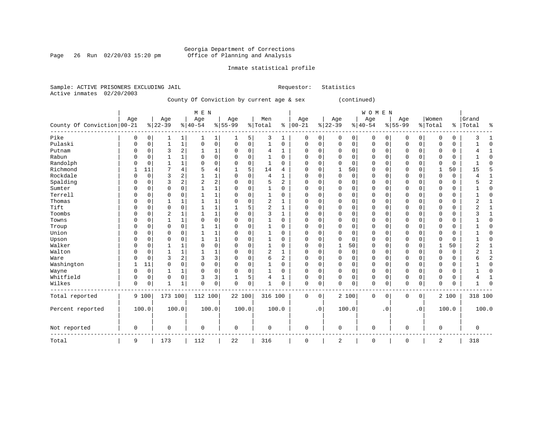Page 26 Run  $02/20/03$  15:20 pm

### Inmate statistical profile

|  | Sample: ACTIVE PRISONERS EXCLUDING JAIL |  |                                           |  | Requestor: Statistics |
|--|-----------------------------------------|--|-------------------------------------------|--|-----------------------|
|  | Active inmates 02/20/2003               |  |                                           |  |                       |
|  |                                         |  | County Of Conviction by current age & sex |  | (continued)           |

|                            |              |             |              |                | M E N          |                |           |       |                |          |               |             |              |                | WOMEN    |           |             |             |              |             |                |                |
|----------------------------|--------------|-------------|--------------|----------------|----------------|----------------|-----------|-------|----------------|----------|---------------|-------------|--------------|----------------|----------|-----------|-------------|-------------|--------------|-------------|----------------|----------------|
|                            | Age          |             | Age          |                | Age            |                | Age       |       | Men            |          | Age           |             | Age          |                | Age      |           | Age         |             | Women        |             | Grand          |                |
| County Of Conviction 00-21 |              |             | $ 22-39$     |                | $ 40-54$       |                | $8 55-99$ |       | %   Total      |          | $8   00 - 21$ |             | $ 22-39$     |                | $ 40-54$ |           | $8 55-99$   |             | % Total      | $\epsilon$  | Total          | ႜ              |
| Pike                       | 0            | 0           | 1            | 1              | 1              | 1              | 1         | 5     | 3              | 1        | 0             | 0           | 0            | 0 <sup>1</sup> | 0        | 0         | 0           | 0           | O            | 0           | 3              | 1              |
| Pulaski                    | 0            | 0           | $\mathbf{1}$ | $\mathbf 1$    | 0              | $\overline{0}$ | 0         | 0     | 1              | 0        | 0             | 0           | $\Omega$     | 0              | 0        | 0         | $\Omega$    | $\mathbf 0$ | O            | 0           | $\mathbf{1}$   | $\Omega$       |
| Putnam                     | 0            | 0           | 3            | $\sqrt{2}$     | 1              | $\mathbf{1}$   | 0         | 0     | 4              | 1        | 0             | 0           | 0            | 0              | 0        | 0         | 0           | $\mathbf 0$ | O            | 0           | 4              | 1              |
| Rabun                      | $\Omega$     | 0           | 1            | $\mathbf{1}$   | 0              | $\overline{0}$ | 0         | 0     | 1              | $\Omega$ | $\Omega$      | $\mathbf 0$ | $\Omega$     | $\Omega$       | 0        | $\Omega$  | $\Omega$    | $\Omega$    | $\Omega$     | 0           |                | $\mathbf{0}$   |
| Randolph                   | $\Omega$     | $\mathbf 0$ | $\mathbf{1}$ | $\mathbf{1}$   | $\Omega$       | 0              | 0         | 0     | 1              | $\Omega$ | $\Omega$      | $\mathbf 0$ | $\mathbf 0$  | $\Omega$       | 0        | $\Omega$  | $\Omega$    | $\Omega$    | $\Omega$     | $\mathbf 0$ | 1              | $\Omega$       |
| Richmond                   | $\mathbf{1}$ | 11          | 7            | $\overline{4}$ | 5              | 4              | 1         | 5     | 14             | 4        | 0             | $\mathbf 0$ | 1            | 50             | 0        | $\Omega$  | 0           | $\mathbf 0$ | 1            | 50          | 15             | 5              |
| Rockdale                   | $\Omega$     | $\mathbf 0$ | 3            | 2              |                | $\mathbf{1}$   | 0         | 0     | $\overline{4}$ | 1        | $\Omega$      | 0           | $\mathbf 0$  | 0              | 0        | 0         | 0           | 0           | $\Omega$     | 0           | 4              | 1              |
| Spalding                   | $\Omega$     | 0           | 3            | $\overline{2}$ | $\overline{2}$ | $\overline{2}$ | 0         | 0     | 5              | 2        | 0             | 0           | 0            | 0              | 0        | 0         | $\Omega$    | $\mathbf 0$ | $\Omega$     | 0           | 5              | $\overline{2}$ |
| Sumter                     | 0            | 0           | 0            | $\mathbf 0$    | 1              | $\mathbf{1}$   | 0         | 0     | 1              | 0        | 0             | $\mathbf 0$ | 0            | 0              | 0        | 0         | 0           | 0           | $\Omega$     | 0           |                | $\mathbf{0}$   |
| Terrell                    | $\Omega$     | 0           | 0            | 0              |                | $1\,$          | 0         | 0     | $\mathbf{1}$   | 0        | 0             | 0           | 0            | 0              | 0        | $\Omega$  | 0           | 0           | $\mathbf 0$  | 0           |                | $\mathbf{0}$   |
| Thomas                     | 0            | 0           | 1            | 1              |                | $\mathbf{1}$   | 0         | 0     | $\overline{2}$ |          | 0             | 0           | 0            | 0              | 0        | 0         | 0           | $\mathbf 0$ | 0            | 0           | 2              | 1              |
| Tift                       | 0            | 0           | 0            | $\mathsf 0$    |                | $\mathbf{1}$   |           | 5     | $\overline{2}$ |          | 0             | $\mathbf 0$ | 0            | 0              | 0        | 0         | 0           | $\mathbf 0$ | 0            | 0           | 2              | 1              |
| Toombs                     | 0            | 0           | 2            | $\mathbf 1$    |                | $\mathbf{1}$   | $\Omega$  | 0     | 3              | 1        | $\Omega$      | 0           | 0            | 0              | 0        | $\Omega$  | $\Omega$    | 0           | $\mathbf 0$  | 0           | 3              | 1              |
| Towns                      | $\Omega$     | $\mathsf 0$ | $\mathbf{1}$ | 1              | $\Omega$       | $\overline{0}$ | 0         | 0     | $\mathbf{1}$   | 0        | 0             | 0           | 0            | $\mathbf 0$    | 0        | $\Omega$  | $\Omega$    | $\mathbf 0$ | $\mathbf 0$  | 0           |                | $\mathbf 0$    |
| Troup                      | 0            | 0           | $\mathbf 0$  | $\mathbf 0$    |                | $\mathbf{1}$   | 0         | 0     | 1              | 0        | 0             | $\mathbf 0$ | 0            | $\mathbf 0$    | 0        | 0         | $\Omega$    | $\mathbf 0$ | $\Omega$     | 0           |                | $\mathbf 0$    |
| Union                      | 0            | $\mathsf 0$ | 0            | $\mathsf 0$    |                | $\mathbf{1}$   | 0         | 0     | 1              | 0        | 0             | 0           | $\Omega$     | $\mathbf 0$    | 0        | $\Omega$  | $\Omega$    | $\mathbf 0$ | $\Omega$     | 0           |                | $\mathbf 0$    |
| Upson                      | 0            | 0           | 0            | $\mathsf 0$    |                | $\mathbf{1}$   | 0         | 0     | 1              | 0        | 0             | 0           | $\mathbf 0$  | $\mathbf 0$    | 0        | 0         | $\Omega$    | 0           | $\Omega$     | 0           |                | $\mathbf 0$    |
| Walker                     | $\mathbf 0$  | 0           | 1            | 1              | $\mathbf 0$    | $\mathsf{O}$   | 0         | 0     | 1              | 0        | 0             | $\mathbf 0$ | 1            | 50             | 0        | 0         | $\Omega$    | 0           | $\mathbf{1}$ | 50          | 2              | 1              |
| Walton                     | $\mathbf 0$  | $\mathbf 0$ | $\mathbf{1}$ | 1              | 1              | $\mathbf{1}$   | $\Omega$  | 0     | $\overline{c}$ | 1        | $\Omega$      | $\mathbf 0$ | $\mathbf{0}$ | $\mathbf 0$    | 0        | $\Omega$  | $\Omega$    | $\Omega$    | $\Omega$     | 0           | $\overline{2}$ | $\mathbf 1$    |
| Ware                       | $\mathbf 0$  | $\mathbf 0$ | 3            | $\sqrt{2}$     | 3              | $\overline{3}$ | 0         | 0     | 6              | 2        | 0             | $\mathbf 0$ | $\mathbf{0}$ | $\mathbf 0$    | 0        | $\Omega$  | $\Omega$    | $\Omega$    | $\Omega$     | 0           | 6              | $\overline{2}$ |
| Washington                 | 1            | 11          | 0            | $\mathbf 0$    | $\mathbf 0$    | $\overline{0}$ | 0         | 0     | 1              | 0        | 0             | $\mathbf 0$ | $\mathbf 0$  | $\mathbf 0$    | 0        | 0         | 0           | $\mathbf 0$ | $\mathbf 0$  | 0           |                | $\mathbf{0}$   |
| Wayne                      | $\mathbf 0$  | $\mathbf 0$ | 1            | 1              | $\mathbf 0$    | $\mathbf 0$    | 0         | 0     | 1              | 0        | $\Omega$      | $\mathbf 0$ | $\mathbf{0}$ | $\Omega$       | 0        | $\Omega$  | 0           | $\Omega$    | $\mathbf 0$  | 0           | 1              | $\Omega$       |
| Whitfield                  | 0            | $\mathbf 0$ | 0            | $\mathbf 0$    | 3              | 3              | 1         | 5     | 4              | 1        | 0             | $\mathbf 0$ | $\Omega$     | $\mathbf 0$    | 0        | 0         | $\Omega$    | $\mathbf 0$ | $\mathbf 0$  | 0           | 4              | 1              |
| Wilkes                     | $\mathbf 0$  | 0           | $\mathbf{1}$ | $\mathbf{1}$   | $\mathbf 0$    | $\mathbf 0$    | 0         | 0     | $\mathbf{1}$   | 0        | 0             | 0           | $\mathbf 0$  | $\mathbf 0$    | 0        | $\Omega$  | 0           | 0           | $\mathbf 0$  | 0           |                | $\Omega$       |
| Total reported             |              | 9 100       | 173 100      |                | 112 100        |                | 22 100    |       | 316 100        |          | 0             | 0           |              | 2 100          | 0        | 0         | 0           | $\mathbf 0$ |              | 2 100       | 318 100        |                |
| Percent reported           |              | 100.0       |              | 100.0          |                | 100.0          |           | 100.0 |                | 100.0    |               | $\cdot$ 0   |              | 100.0          |          | $\cdot$ 0 |             | $\cdot$ 0   |              | 100.0       |                | 100.0          |
| Not reported               | $\mathbf 0$  |             | 0            |                | $\mathbf 0$    |                | 0         |       | 0              |          | 0             |             | $\mathbf 0$  |                | 0        |           | $\mathsf 0$ |             | $\mathbf 0$  |             | $\mathbf 0$    |                |
| Total                      | 9            |             | 173          |                | 112            |                | 22        |       | 316            |          | $\mathbf 0$   |             | 2            |                | 0        |           | $\mathsf 0$ |             | 2            |             | 318            |                |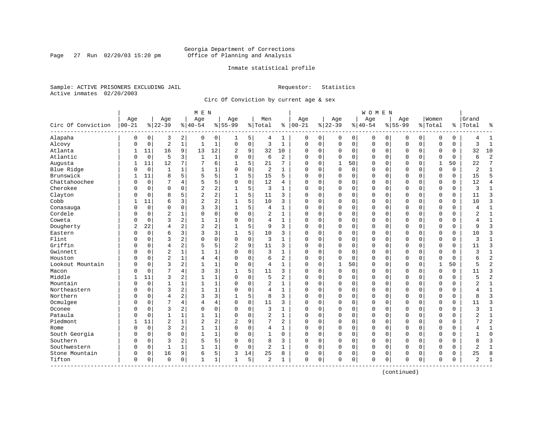Page 27 Run  $02/20/03$  15:20 pm

### Inmate statistical profile

Sample: ACTIVE PRISONERS EXCLUDING JAIL **Requestor:** Statistics Active inmates 02/20/2003

Circ Of Conviction by current age & sex

|                      |                   |             |                 |                | M E N            |                |                  |             |                |                |                   |   |                 |             | W O M E N        |             |                    |             |                  |          |                |                |
|----------------------|-------------------|-------------|-----------------|----------------|------------------|----------------|------------------|-------------|----------------|----------------|-------------------|---|-----------------|-------------|------------------|-------------|--------------------|-------------|------------------|----------|----------------|----------------|
| Circ Of Conviction   | Age<br>$ 00 - 21$ |             | Age<br>$ 22-39$ |                | Age<br>$8 40-54$ |                | Age<br>$8 55-99$ |             | Men<br>% Total |                | Age<br>$% 100-21$ |   | Age<br>$ 22-39$ |             | Age<br>$8 40-54$ |             | Age<br>$8155 - 99$ |             | Women<br>% Total | ႜ        | Grand<br>Total | ٩,             |
| Alapaha              | 0                 | 0           | 3               | 2              | 0                | 0              | 1                | 5           | 4              | 1              | 0                 | 0 | $\Omega$        | 0           | 0                | 0           | 0                  | 0           | 0                | 0        | 4              | $\mathbf{1}$   |
| Alcovy               | 0                 | $\mathbf 0$ | $\overline{2}$  | $\mathbf{1}$   | $\mathbf{1}$     | $\mathbf 1$    | $\mathbf 0$      | $\mathbf 0$ | 3              | $\mathbf{1}$   | $\mathbf 0$       | 0 | $\Omega$        | $\mathbf 0$ | 0                | $\mathbf 0$ | $\mathbf 0$        | 0           | 0                | 0        | 3              | $\overline{1}$ |
| Atlanta              | 1                 | 11          | 16              | 9              | 13               | 12             | 2                | 9           | 32             | 10             | $\Omega$          | 0 | $\Omega$        | 0           | 0                | 0           | $\Omega$           | 0           | 0                | 0        | 32             | 10             |
| Atlantic             | 0                 | $\mathbf 0$ | 5               | 3              | $\mathbf{1}$     | $\mathbf 1$    | $\Omega$         | $\mathbf 0$ | 6              | 2              | $\Omega$          | 0 | $\Omega$        | $\Omega$    | $\Omega$         | $\Omega$    | $\Omega$           | $\Omega$    | $\Omega$         | $\Omega$ | 6              | $\overline{c}$ |
| Augusta              | 1                 | 11          | 12              | 7              | 7                | 6              |                  | 5           | 21             | 7              | $\Omega$          | 0 | 1               | 50          | 0                | O           | $\Omega$           | $\Omega$    | $\mathbf{1}$     | 50       | 22             | 7              |
| Blue Ridge           | 0                 | $\mathbf 0$ | $\mathbf{1}$    |                | 1                | 1              | O                | $\mathbf 0$ | 2              | $\mathbf{1}$   | 0                 | 0 | $\Omega$        | 0           | $\Omega$         | O           | $\Omega$           | $\Omega$    | 0                | 0        | 2              |                |
| Brunswick            | 1                 | 11          | 8               | 5              | 5                | 5              |                  | 5           | 15             | 5              | 0                 | 0 | $\Omega$        | $\mathbf 0$ | 0                | 0           | $\Omega$           | 0           | 0                | 0        | 15             | 5              |
| Chattahoochee        | O                 | $\mathbf 0$ | 7               | $\overline{4}$ | 5                | 5              | $\Omega$         | $\Omega$    | 12             | 4              | $\Omega$          | 0 | $\Omega$        | $\Omega$    | $\Omega$         | 0           | $\Omega$           | $\Omega$    | $\Omega$         | 0        | 12             | 4              |
| Cherokee             | O                 | $\mathbf 0$ | $\Omega$        | $\Omega$       | $\overline{c}$   | $\overline{c}$ | 1                | 5           | 3              | $\mathbf{1}$   | $\Omega$          | 0 | $\Omega$        | $\mathbf 0$ | $\Omega$         | $\Omega$    | $\Omega$           | $\Omega$    | 0                | 0        | 3              | $\mathbf{1}$   |
| Clayton              | U                 | $\Omega$    | 8               | 5              | $\overline{2}$   | 2              |                  | 5           | 11             | 3              | $\Omega$          | 0 | $\Omega$        | $\Omega$    | $\Omega$         | 0           | $\Omega$           | 0           | $\Omega$         | 0        | 11             | 3              |
| Cobb                 |                   | 11          | 6               | 3              | $\overline{2}$   | 2              |                  | 5           | 10             | 3              | $\Omega$          | 0 | $\Omega$        | 0           | $\Omega$         | $\Omega$    | $\Omega$           | $\Omega$    | 0                | 0        | 10             | ζ              |
| Conasauga            | 0                 | $\Omega$    | $\Omega$        | $\Omega$       | 3                | 3              |                  | 5           | 4              | $\mathbf{1}$   | $\Omega$          | 0 | $\Omega$        | $\Omega$    | $\Omega$         | $\Omega$    | $\Omega$           | $\Omega$    | $\Omega$         | 0        | 4              | $\mathbf{1}$   |
| Cordele              | U                 | $\mathbf 0$ | $\overline{2}$  |                | $\Omega$         | 0              | $\Omega$         | $\mathbf 0$ | 2              | $\mathbf{1}$   | $\Omega$          | 0 | $\Omega$        | $\mathbf 0$ | $\Omega$         | $\Omega$    | $\Omega$           | $\Omega$    | $\Omega$         | 0        | 2              | $\mathbf{1}$   |
| Coweta               | N                 | $\mathbf 0$ | 3               | $\overline{2}$ | $\mathbf{1}$     | $\mathbf 1$    | Λ                | $\mathbf 0$ | 4              | $\mathbf{1}$   | $\Omega$          | 0 | $\Omega$        | $\Omega$    | 0                | 0           | $\Omega$           | $\Omega$    | $\Omega$         | 0        | 4              | $\mathbf{1}$   |
| Dougherty            | 2                 | 22          | $\overline{4}$  | 2              | $\overline{2}$   | 2              |                  | 5           | 9              | 3              | $\Omega$          | 0 | $\Omega$        | 0           | 0                | 0           | $\Omega$           | $\Omega$    | 0                | 0        | 9              | 3              |
| Eastern              | 0                 | $\mathbf 0$ | 6               | 3              | 3                | 3              |                  | 5           | 10             | 3              | $\Omega$          | 0 | $\Omega$        | $\Omega$    | $\Omega$         | 0           | $\Omega$           | $\Omega$    | $\Omega$         | 0        | 10             | 3              |
| Flint                | U                 | $\Omega$    | 3               | 2              | $\Omega$         | 0              | $\Omega$         | $\Omega$    | 3              | $\mathbf{1}$   | $\Omega$          | 0 | $\Omega$        | $\Omega$    | $\Omega$         | O           | $\Omega$           | $\Omega$    | $\Omega$         | 0        | ζ              |                |
| Griffin              | 0                 | $\Omega$    | $\overline{4}$  | 2              | 5                | 5              | $\overline{2}$   | 9           | 11             | 3              | $\Omega$          | 0 | $\Omega$        | $\Omega$    | $\Omega$         | O           | $\Omega$           | $\Omega$    | $\Omega$         | 0        | 11             | 3              |
| Gwinnett             | 0                 | $\mathbf 0$ | $\overline{2}$  |                |                  | 1              |                  | $\mathbf 0$ | 3              | $\mathbf{1}$   | 0                 | 0 | $\Omega$        | $\mathbf 0$ | $\Omega$         | 0           | $\Omega$           | $\mathbf 0$ | $\Omega$         | 0        | 3              | $\mathbf{1}$   |
| Houston              | O                 | $\mathbf 0$ | $\overline{c}$  | 1              | 4                | 4              |                  | 0           | 6              | 2              | $\Omega$          | 0 | $\Omega$        | 0           | 0                | $\Omega$    | $\Omega$           | 0           | $\Omega$         | 0        | 6              | $\overline{c}$ |
| Lookout Mountain     | O                 | $\mathbf 0$ | 3               | 2              | $\mathbf{1}$     | $\mathbf 1$    | $\Omega$         | $\mathbf 0$ | 4              | $\mathbf{1}$   | $\Omega$          | 0 | 1               | 50          | $\Omega$         | $\Omega$    | $\Omega$           | $\Omega$    | $\mathbf{1}$     | 50       | 5              | $\overline{c}$ |
| Macon                | U                 | $\mathbf 0$ | 7               | 4              | 3                | 3              |                  | 5           | 11             | 3              | $\Omega$          | 0 | $\Omega$        | 0           | 0                | 0           | $\Omega$           | $\Omega$    | $\Omega$         | 0        | 11             | 3              |
| Middle               |                   | 11          | 3               | 2              | $\mathbf{1}$     | $\mathbf{1}$   | $\Omega$         | $\Omega$    | 5              | 2              | $\Omega$          | 0 | $\Omega$        | 0           | $\Omega$         | O           | $\Omega$           | $\Omega$    | $\Omega$         | 0        | 5              | $\overline{c}$ |
| Mountain             | 0                 | $\mathbf 0$ | 1               | 1              | $\mathbf{1}$     | 1              | $\Omega$         | 0           | $\overline{2}$ | 1              | $\Omega$          | 0 | $\Omega$        | 0           | $\Omega$         | $\Omega$    | $\Omega$           | 0           | 0                | 0        | 2              | 1              |
| Northeastern         | 0                 | $\mathbf 0$ | 3               | 2              | $\mathbf{1}$     | 1              |                  | $\mathbf 0$ | 4              | $\mathbf{1}$   | $\Omega$          | 0 | $\Omega$        | $\mathbf 0$ | $\Omega$         | $\Omega$    | $\Omega$           | $\Omega$    | $\Omega$         | 0        | 4              | $\mathbf{1}$   |
| Northern             | O                 | $\Omega$    | $\overline{4}$  | 2              | 3                | 3              |                  | 5           | 8              | 3              | $\Omega$          | 0 | $\Omega$        | $\mathbf 0$ | $\Omega$         | $\Omega$    | $\Omega$           | $\Omega$    | $\Omega$         | 0        | 8              | 3              |
| Ocmulgee             | 0                 | $\mathbf 0$ | 7               | 4              | 4                | 4              | $\Omega$         | 0           | 11             | 3              | $\Omega$          | 0 | $\Omega$        | 0           | 0                | 0           | $\Omega$           | 0           | 0                | 0        | 11             | 3              |
| Oconee               | 0                 | $\Omega$    | 3               | 2              | $\Omega$         | 0              | O                | $\Omega$    | 3              | 1              | $\Omega$          | 0 | $\Omega$        | $\Omega$    | $\Omega$         | $\Omega$    | $\Omega$           | $\Omega$    | $\Omega$         | 0        | 3              | 1              |
| Pataula              | U                 | $\Omega$    | 1               |                | $\mathbf{1}$     | $\mathbf{1}$   | $\Omega$         | $\Omega$    | $\overline{2}$ | $\mathbf{1}$   | $\Omega$          | 0 | $\Omega$        | $\Omega$    | $\Omega$         | O           | $\Omega$           | $\Omega$    | $\Omega$         | 0        | 2              | $\mathbf{1}$   |
| Piedmont             | -1                | 11          | $\overline{2}$  | $\mathbf{1}$   | $\overline{a}$   | 2              | $\overline{c}$   | 9           | 7              | $\overline{a}$ | $\Omega$          | 0 | $\Omega$        | $\Omega$    | $\Omega$         | U           | $\Omega$           | $\Omega$    | $\Omega$         | $\Omega$ | 7              | $\overline{a}$ |
| Rome                 | 0                 | $\mathbf 0$ | 3               | $\overline{2}$ | $\mathbf{1}$     | $\mathbf 1$    |                  | $\mathbf 0$ | 4              | 1              | 0                 | 0 | $\Omega$        | $\mathbf 0$ | 0                | 0           | $\Omega$           | $\Omega$    | $\Omega$         | 0        | 4              | $\mathbf{1}$   |
| South Georgia        | 0                 | $\mathbf 0$ | $\Omega$        | 0              | $\mathbf{1}$     | $\mathbf{1}$   |                  | $\mathbf 0$ | $\mathbf{1}$   | 0              | $\Omega$          | 0 | $\Omega$        | 0           | $\Omega$         | $\Omega$    | $\Omega$           | $\Omega$    | $\Omega$         | 0        |                | $\Omega$       |
| Southern             | U                 | $\mathbf 0$ | 3               | 2              | 5                | 5              | O                | 0           | 8              | 3              | $\Omega$          | 0 | $\Omega$        | $\Omega$    | $\Omega$         | $\Omega$    | $\Omega$           | $\Omega$    | $\Omega$         | 0        | 8              | ζ              |
| Southwestern         | 0                 | 0           | $\mathbf{1}$    |                |                  | $\mathbf 1$    | n                | $\mathbf 0$ | 2              | 1              | $\Omega$          | 0 | $\Omega$        | 0           | 0                | 0           | $\Omega$           | 0           | 0                | 0        | 2              | $\mathbf{1}$   |
| Stone Mountain       | 0                 | 0           | 16              | 9              | 6                | 5              | 3                | 14          | 25             | 8              | 0                 | 0 | $\Omega$        | 0           | 0                | 0           | $\Omega$           | 0           | 0                | 0        | 25             | 8              |
| Tifton<br>---------- | 0                 | $\mathbf 0$ | $\Omega$        | 0              | $\mathbf{1}$     | 1              | 1                | 5           | $\overline{2}$ | 1              | $\Omega$          | 0 | $\Omega$        | 0           | 0                | $\Omega$    | $\mathbf 0$        | 0           | $\Omega$         | 0        | 2              |                |

(continued)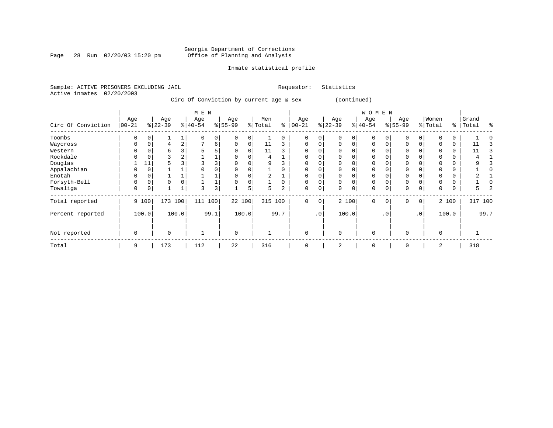Page 28 Run 02/20/03 15:20 pm

### Inmate statistical profile

Sample: ACTIVE PRISONERS EXCLUDING JAIL **Requestor:** Statistics Active inmates 02/20/2003

Circ Of Conviction by current age & sex (continued)

|                    |                   |          |                 |                | M E N            |                |                  |       |                |          |                  |             |                  |             | WOMEN            |           |                  |                 |                  |       |                |      |
|--------------------|-------------------|----------|-----------------|----------------|------------------|----------------|------------------|-------|----------------|----------|------------------|-------------|------------------|-------------|------------------|-----------|------------------|-----------------|------------------|-------|----------------|------|
| Circ Of Conviction | Age<br>$ 00 - 21$ |          | Age<br>$ 22-39$ |                | Age<br>$ 40-54 $ |                | Age<br>$8 55-99$ |       | Men<br>% Total | နွ       | Age<br>$00 - 21$ | %           | Age<br>$22 - 39$ |             | Age<br>$ 40-54 $ |           | Age<br>$8 55-99$ |                 | Women<br>% Total | ွေ    | Grand<br>Total | ႜ    |
|                    |                   |          |                 |                |                  |                |                  |       |                |          |                  |             |                  |             |                  |           |                  |                 |                  |       |                |      |
| Toombs             | 0                 |          |                 |                | $\Omega$         | 0              |                  |       |                | $\Omega$ | $\Omega$         | $\Omega$    |                  | 0           | 0                |           |                  | $\Omega$        |                  | 0     |                |      |
| Waycross           | 0                 | $\Omega$ | 4               | $\overline{a}$ |                  | 6              | $\Omega$         | 0     | 11             | 3        | $\Omega$         | $\Omega$    | $\Omega$         | $\Omega$    | $\Omega$         | 0         | $\Omega$         | 0               |                  | 0     | 11             |      |
| Western            | 0                 |          | 6               |                |                  | 5              |                  |       | 11             |          | $\Omega$         | O           |                  |             | $\Omega$         |           |                  |                 |                  |       | 11             |      |
| Rockdale           |                   |          |                 |                |                  |                |                  |       | 4              |          | $\Omega$         | 0           |                  |             | 0                |           |                  |                 |                  | 0     |                |      |
| Douglas            |                   | 11       |                 |                |                  | 3              |                  |       | 9              |          | $\Omega$         |             |                  |             | 0                |           |                  |                 |                  |       |                |      |
| Appalachian        |                   | 0        |                 |                |                  |                |                  |       |                |          | $\Omega$         | O           |                  |             | $\Omega$         |           |                  |                 |                  |       |                |      |
| Enotah             | 0                 |          |                 |                |                  |                |                  |       | 2              |          | $\Omega$         | 0           |                  |             | 0                |           |                  |                 |                  | 0     |                |      |
| Forsyth-Bell       | $\Omega$          | $\Omega$ | $\Omega$        |                |                  |                |                  |       |                | $\Omega$ | $\Omega$         | 0           | $\Omega$         | $\Omega$    | $\Omega$         |           | $\mathbf 0$      |                 |                  | 0     |                |      |
| Towaliga           | 0                 | 0        |                 |                | 3                | 3 <sup>1</sup> |                  | 5     | 5.             | 2        | 0                | 0           | $\Omega$         | $\mathbf 0$ | 0                | 0         | 0                | 0               | 0                | 0     | 5.             |      |
| Total reported     |                   | 9 100    | 173 100         |                | 111              | 100            | 22 100           |       | 315 100        |          | $\mathbf{0}$     | $\mathbf 0$ |                  | 2 100       | $\Omega$         | $\Omega$  | $\Omega$         | $\circ$         |                  | 2 100 | 317 100        |      |
| Percent reported   |                   | 100.0    |                 | 100.0          |                  | 99.1           |                  | 100.0 |                | 99.7     |                  | .0          |                  | 100.0       |                  | $\cdot$ 0 |                  | .0 <sup>1</sup> |                  | 100.0 |                | 99.7 |
| Not reported       | 0                 |          | $\Omega$        |                |                  |                | $\mathbf 0$      |       |                |          | $\Omega$         |             | $\Omega$         |             | $\mathbf 0$      |           | $\Omega$         |                 | $\Omega$         |       |                |      |
| Total              | 9                 |          | 173             |                | 112              |                | 22               |       | 316            |          | $\Omega$         |             | 2                |             | $\Omega$         |           | $\Omega$         |                 | 2                |       | 318            |      |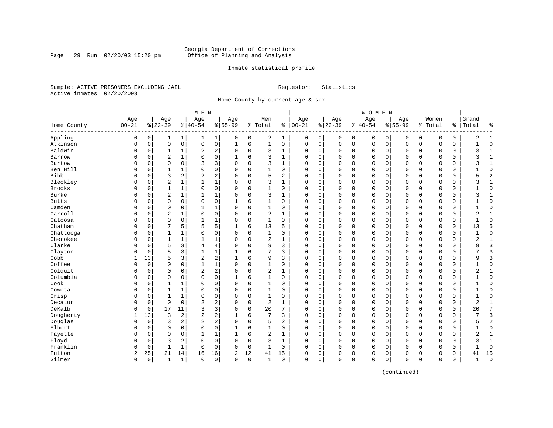Page 29 Run  $02/20/03$  15:20 pm

### Inmate statistical profile

Sample: ACTIVE PRISONERS EXCLUDING JAIL **Requestor:** Statistics Active inmates 02/20/2003

Home County by current age & sex

| Age<br>Women<br>Age<br>Age<br>Age<br>Men<br>Age<br>Age<br>Grand<br>Age<br>Age<br>$ 22-39$<br>$00 - 21$<br>$8 22-39$<br>$8 40-54$<br>$8155 - 99$<br>% Total<br>$ 00-21$<br>$ 40-54$<br>$8155 - 99$<br>နွ<br>% Total<br>ႜ<br>Total<br>Home County<br>Appling<br>2<br>$\mathbf 0$<br>0<br>0<br>$\mathbf{1}$<br>0<br>0<br>1<br>0<br>0<br>0<br>0<br>1<br>1  <br>0<br>0<br>0<br>0<br>0<br>1<br>Atkinson<br>$\mathbf 0$<br>$\mathsf{O}\xspace$<br>$\mathsf 0$<br>0<br>6<br>$\mathbf{1}$<br>$\mathbf 0$<br>$1\,$<br>$\mathbf 0$<br>0<br>$\mathbf 0$<br>$\mathbf 0$<br>$\mathbf 0$<br>$\mathbf C$<br>0<br>0<br>0<br>0<br>0<br>0<br>Baldwin<br>$\overline{2}$<br>2<br>3<br>0<br>1<br>0<br>0<br>1<br>$\Omega$<br>0<br>0<br>0<br>$\mathbf 0$<br>$\Omega$<br>0<br>$\Omega$<br>0<br>0<br>$\mathbf{1}$<br>$\Omega$<br>$\overline{2}$<br>0<br>3<br>$\mathbf{1}$<br>$\mathbf 0$<br>6<br>$\Omega$<br>$\Omega$<br>Barrow<br>0<br>0<br>$\mathbf{1}$<br>$\Omega$<br>0<br>$\Omega$<br>$\Omega$<br>$\mathbf 0$<br>$\Omega$<br>$\mathbf 0$<br>0<br>1<br>3<br>Bartow<br>$\Omega$<br>$\Omega$<br>3<br>$\mathbf 0$<br>3<br>$\mathbf{1}$<br>O<br>$\Omega$<br>$\Omega$<br>$\cap$<br>0<br>$\Omega$<br>$\Omega$<br>$\Omega$<br>$\sqrt{ }$<br>$\Omega$<br>$\Omega$<br>$\Omega$<br>0<br>Ben Hill<br>$\mathbf 0$<br>0<br>$\mathbf 0$<br>$\mathbf{1}$<br>0<br>$\mathbf 0$<br>0<br>1<br>1<br>$\Omega$<br>0<br>$\Omega$<br>$\Omega$<br>$\Omega$<br>$\mathbf 0$<br>$\Omega$<br>$\Omega$<br>$\Omega$<br>0<br>0<br><b>Bibb</b><br>$\overline{a}$<br>2<br>2<br>3<br>$\overline{2}$<br>$\mathbf 0$<br>5<br>0<br>$\mathsf 0$<br>$\mathbf 0$<br>0<br>0<br>$\Omega$<br>$\Omega$<br>0<br>$\Omega$<br>$\Omega$<br>0<br>0<br>$\Omega$<br>Bleckley<br>$\overline{2}$<br>$\mathbf{1}$<br>$\mathbf 1$<br>$\mathbf 0$<br>3<br>$\mathbf{1}$<br>$\Omega$<br>0<br>$\mathbf{1}$<br>$\Omega$<br>$\Omega$<br>$\mathbf 0$<br>$\mathbf 0$<br>$\Omega$<br>$\mathbf 0$<br>$\Omega$<br>$\Omega$<br>$\Omega$<br>0<br>$\Omega$<br><b>Brooks</b><br>0<br>$\Omega$<br>$\mathbf{1}$<br>$\mathbf{1}$<br>$\mathbf 0$<br>$\Omega$<br>$\mathbf 0$<br>$\mathbf{1}$<br>$\mathbf 0$<br>$\Omega$<br>0<br>$\mathbf 0$<br>$\Omega$<br>$\Omega$<br>$\Omega$<br>$\Omega$<br>0<br>$\Omega$<br>$\mathbf 0$<br>0<br>Burke<br>$\overline{2}$<br>$\mathbf{1}$<br>1<br>$\mathbf 0$<br>3<br>$\mathbf 0$<br>O<br>0<br>$\mathbf{1}$<br>$\Omega$<br>1<br>$\Omega$<br>0<br>$\Omega$<br>0<br>$\mathbf 0$<br>$\Omega$<br>$\Omega$<br>$\Omega$<br>0<br><b>Butts</b><br>$\mathbf 0$<br>$\mathbf 0$<br>$\mathbf 0$<br>0<br>6<br>O<br>0<br>$\mathbf{1}$<br>0<br>$\Omega$<br>0<br>$\Omega$<br>0<br>$\Omega$<br>$\mathsf{C}$<br>$\Omega$<br>$\Omega$<br>$\mathbf 0$<br>$\Omega$<br>1<br>Camden<br>1<br>$\mathbf{1}$<br>$\mathbf 0$<br>0<br>$\mathbf 0$<br>0<br>$\mathbf{1}$<br>$\Omega$<br>0<br>0<br>0<br>$\Omega$<br>0<br>$\mathbf 0$<br>$\Omega$<br>0<br>$\Omega$<br>0<br>0<br>$\Omega$<br>Carroll<br>$\overline{2}$<br>0<br>$\mathbf 0$<br>$\sqrt{2}$<br>0<br>$\mathbf 0$<br>$\mathbf 0$<br>0<br>1<br>0<br>0<br>1<br>$\mathbf 0$<br>0<br>0<br>O<br>$\Omega$<br>0<br>0<br>0<br>$\mathbf 0$<br>Catoosa<br>$\mathbf 0$<br>0<br>$\mathbf{1}$<br>1<br>$\mathbf{1}$<br>$\Omega$<br>0<br>$\Omega$<br>$\Omega$<br>0<br>0<br>$\Omega$<br>$\Omega$<br>$\Omega$<br>$\Omega$<br>$\mathbf 0$<br>$\Omega$<br>$\Omega$<br>0<br>Chatham<br>7<br>5<br>5<br>5<br>6<br>13<br>0<br>$\mathbf 0$<br>13<br>O<br>0<br>1<br>5<br>$\Omega$<br>$\Omega$<br>$\Omega$<br>$\mathbf 0$<br>$\Omega$<br>0<br>$\Omega$<br>0<br>Chattooga<br>0<br>0<br>1<br>0<br>$\Omega$<br>0<br>1<br>0<br>0<br>0<br>0<br>0<br>0<br>1<br>0<br>$\Omega$<br>0<br>0<br>0<br>0<br>Cherokee<br>$\overline{2}$<br>0<br>0<br>1<br>1<br>$\mathbf{1}$<br>1<br>$\Omega$<br>$\mathbf 0$<br>1<br>0<br>0<br>$\Omega$<br>$\Omega$<br>0<br>$\Omega$<br>$\Omega$<br>$\Omega$<br>$\Omega$<br>$\mathsf{C}$<br>Clarke<br>5<br>3<br>4<br>9<br>$\Omega$<br>$\mathbf 0$<br>3<br>0<br>$\Omega$<br>$\Omega$<br>$\Omega$<br>$\Omega$<br>0<br>$\Omega$<br>4<br>$\Omega$<br>$\Omega$<br>$\Omega$<br>$\Omega$<br>$\Omega$ |                             |
|---------------------------------------------------------------------------------------------------------------------------------------------------------------------------------------------------------------------------------------------------------------------------------------------------------------------------------------------------------------------------------------------------------------------------------------------------------------------------------------------------------------------------------------------------------------------------------------------------------------------------------------------------------------------------------------------------------------------------------------------------------------------------------------------------------------------------------------------------------------------------------------------------------------------------------------------------------------------------------------------------------------------------------------------------------------------------------------------------------------------------------------------------------------------------------------------------------------------------------------------------------------------------------------------------------------------------------------------------------------------------------------------------------------------------------------------------------------------------------------------------------------------------------------------------------------------------------------------------------------------------------------------------------------------------------------------------------------------------------------------------------------------------------------------------------------------------------------------------------------------------------------------------------------------------------------------------------------------------------------------------------------------------------------------------------------------------------------------------------------------------------------------------------------------------------------------------------------------------------------------------------------------------------------------------------------------------------------------------------------------------------------------------------------------------------------------------------------------------------------------------------------------------------------------------------------------------------------------------------------------------------------------------------------------------------------------------------------------------------------------------------------------------------------------------------------------------------------------------------------------------------------------------------------------------------------------------------------------------------------------------------------------------------------------------------------------------------------------------------------------------------------------------------------------------------------------------------------------------------------------------------------------------------------------------------------------------------------------------------------------------------------------------------------------------------------------------------------------------------------------------------------------------------------------------------------------------------------------------------------------------------------------------------------------------------------------------------------------------------------------------------------------------------------------------------------------------------------------------------------------------------------------------------------------------------------------------------------------------------------------------------------------------------------------|-----------------------------|
|                                                                                                                                                                                                                                                                                                                                                                                                                                                                                                                                                                                                                                                                                                                                                                                                                                                                                                                                                                                                                                                                                                                                                                                                                                                                                                                                                                                                                                                                                                                                                                                                                                                                                                                                                                                                                                                                                                                                                                                                                                                                                                                                                                                                                                                                                                                                                                                                                                                                                                                                                                                                                                                                                                                                                                                                                                                                                                                                                                                                                                                                                                                                                                                                                                                                                                                                                                                                                                                                                                                                                                                                                                                                                                                                                                                                                                                                                                                                                                                                                                             |                             |
|                                                                                                                                                                                                                                                                                                                                                                                                                                                                                                                                                                                                                                                                                                                                                                                                                                                                                                                                                                                                                                                                                                                                                                                                                                                                                                                                                                                                                                                                                                                                                                                                                                                                                                                                                                                                                                                                                                                                                                                                                                                                                                                                                                                                                                                                                                                                                                                                                                                                                                                                                                                                                                                                                                                                                                                                                                                                                                                                                                                                                                                                                                                                                                                                                                                                                                                                                                                                                                                                                                                                                                                                                                                                                                                                                                                                                                                                                                                                                                                                                                             | ႜ                           |
|                                                                                                                                                                                                                                                                                                                                                                                                                                                                                                                                                                                                                                                                                                                                                                                                                                                                                                                                                                                                                                                                                                                                                                                                                                                                                                                                                                                                                                                                                                                                                                                                                                                                                                                                                                                                                                                                                                                                                                                                                                                                                                                                                                                                                                                                                                                                                                                                                                                                                                                                                                                                                                                                                                                                                                                                                                                                                                                                                                                                                                                                                                                                                                                                                                                                                                                                                                                                                                                                                                                                                                                                                                                                                                                                                                                                                                                                                                                                                                                                                                             | 2<br>$\mathbf{1}$           |
|                                                                                                                                                                                                                                                                                                                                                                                                                                                                                                                                                                                                                                                                                                                                                                                                                                                                                                                                                                                                                                                                                                                                                                                                                                                                                                                                                                                                                                                                                                                                                                                                                                                                                                                                                                                                                                                                                                                                                                                                                                                                                                                                                                                                                                                                                                                                                                                                                                                                                                                                                                                                                                                                                                                                                                                                                                                                                                                                                                                                                                                                                                                                                                                                                                                                                                                                                                                                                                                                                                                                                                                                                                                                                                                                                                                                                                                                                                                                                                                                                                             | $\mathbf 0$<br>$\mathbf{1}$ |
|                                                                                                                                                                                                                                                                                                                                                                                                                                                                                                                                                                                                                                                                                                                                                                                                                                                                                                                                                                                                                                                                                                                                                                                                                                                                                                                                                                                                                                                                                                                                                                                                                                                                                                                                                                                                                                                                                                                                                                                                                                                                                                                                                                                                                                                                                                                                                                                                                                                                                                                                                                                                                                                                                                                                                                                                                                                                                                                                                                                                                                                                                                                                                                                                                                                                                                                                                                                                                                                                                                                                                                                                                                                                                                                                                                                                                                                                                                                                                                                                                                             | 3<br>$\mathbf{1}$           |
|                                                                                                                                                                                                                                                                                                                                                                                                                                                                                                                                                                                                                                                                                                                                                                                                                                                                                                                                                                                                                                                                                                                                                                                                                                                                                                                                                                                                                                                                                                                                                                                                                                                                                                                                                                                                                                                                                                                                                                                                                                                                                                                                                                                                                                                                                                                                                                                                                                                                                                                                                                                                                                                                                                                                                                                                                                                                                                                                                                                                                                                                                                                                                                                                                                                                                                                                                                                                                                                                                                                                                                                                                                                                                                                                                                                                                                                                                                                                                                                                                                             | $\mathbf{1}$<br>3           |
|                                                                                                                                                                                                                                                                                                                                                                                                                                                                                                                                                                                                                                                                                                                                                                                                                                                                                                                                                                                                                                                                                                                                                                                                                                                                                                                                                                                                                                                                                                                                                                                                                                                                                                                                                                                                                                                                                                                                                                                                                                                                                                                                                                                                                                                                                                                                                                                                                                                                                                                                                                                                                                                                                                                                                                                                                                                                                                                                                                                                                                                                                                                                                                                                                                                                                                                                                                                                                                                                                                                                                                                                                                                                                                                                                                                                                                                                                                                                                                                                                                             | $\mathbf{1}$<br>3           |
|                                                                                                                                                                                                                                                                                                                                                                                                                                                                                                                                                                                                                                                                                                                                                                                                                                                                                                                                                                                                                                                                                                                                                                                                                                                                                                                                                                                                                                                                                                                                                                                                                                                                                                                                                                                                                                                                                                                                                                                                                                                                                                                                                                                                                                                                                                                                                                                                                                                                                                                                                                                                                                                                                                                                                                                                                                                                                                                                                                                                                                                                                                                                                                                                                                                                                                                                                                                                                                                                                                                                                                                                                                                                                                                                                                                                                                                                                                                                                                                                                                             | $\mathbf 0$                 |
|                                                                                                                                                                                                                                                                                                                                                                                                                                                                                                                                                                                                                                                                                                                                                                                                                                                                                                                                                                                                                                                                                                                                                                                                                                                                                                                                                                                                                                                                                                                                                                                                                                                                                                                                                                                                                                                                                                                                                                                                                                                                                                                                                                                                                                                                                                                                                                                                                                                                                                                                                                                                                                                                                                                                                                                                                                                                                                                                                                                                                                                                                                                                                                                                                                                                                                                                                                                                                                                                                                                                                                                                                                                                                                                                                                                                                                                                                                                                                                                                                                             | $\overline{2}$<br>5         |
|                                                                                                                                                                                                                                                                                                                                                                                                                                                                                                                                                                                                                                                                                                                                                                                                                                                                                                                                                                                                                                                                                                                                                                                                                                                                                                                                                                                                                                                                                                                                                                                                                                                                                                                                                                                                                                                                                                                                                                                                                                                                                                                                                                                                                                                                                                                                                                                                                                                                                                                                                                                                                                                                                                                                                                                                                                                                                                                                                                                                                                                                                                                                                                                                                                                                                                                                                                                                                                                                                                                                                                                                                                                                                                                                                                                                                                                                                                                                                                                                                                             | $\mathbf{1}$<br>3           |
|                                                                                                                                                                                                                                                                                                                                                                                                                                                                                                                                                                                                                                                                                                                                                                                                                                                                                                                                                                                                                                                                                                                                                                                                                                                                                                                                                                                                                                                                                                                                                                                                                                                                                                                                                                                                                                                                                                                                                                                                                                                                                                                                                                                                                                                                                                                                                                                                                                                                                                                                                                                                                                                                                                                                                                                                                                                                                                                                                                                                                                                                                                                                                                                                                                                                                                                                                                                                                                                                                                                                                                                                                                                                                                                                                                                                                                                                                                                                                                                                                                             | $\mathbf 0$<br>1            |
|                                                                                                                                                                                                                                                                                                                                                                                                                                                                                                                                                                                                                                                                                                                                                                                                                                                                                                                                                                                                                                                                                                                                                                                                                                                                                                                                                                                                                                                                                                                                                                                                                                                                                                                                                                                                                                                                                                                                                                                                                                                                                                                                                                                                                                                                                                                                                                                                                                                                                                                                                                                                                                                                                                                                                                                                                                                                                                                                                                                                                                                                                                                                                                                                                                                                                                                                                                                                                                                                                                                                                                                                                                                                                                                                                                                                                                                                                                                                                                                                                                             | 3<br>1                      |
|                                                                                                                                                                                                                                                                                                                                                                                                                                                                                                                                                                                                                                                                                                                                                                                                                                                                                                                                                                                                                                                                                                                                                                                                                                                                                                                                                                                                                                                                                                                                                                                                                                                                                                                                                                                                                                                                                                                                                                                                                                                                                                                                                                                                                                                                                                                                                                                                                                                                                                                                                                                                                                                                                                                                                                                                                                                                                                                                                                                                                                                                                                                                                                                                                                                                                                                                                                                                                                                                                                                                                                                                                                                                                                                                                                                                                                                                                                                                                                                                                                             | $\mathbf 0$                 |
|                                                                                                                                                                                                                                                                                                                                                                                                                                                                                                                                                                                                                                                                                                                                                                                                                                                                                                                                                                                                                                                                                                                                                                                                                                                                                                                                                                                                                                                                                                                                                                                                                                                                                                                                                                                                                                                                                                                                                                                                                                                                                                                                                                                                                                                                                                                                                                                                                                                                                                                                                                                                                                                                                                                                                                                                                                                                                                                                                                                                                                                                                                                                                                                                                                                                                                                                                                                                                                                                                                                                                                                                                                                                                                                                                                                                                                                                                                                                                                                                                                             | $\mathbf{1}$<br>$\mathbf 0$ |
|                                                                                                                                                                                                                                                                                                                                                                                                                                                                                                                                                                                                                                                                                                                                                                                                                                                                                                                                                                                                                                                                                                                                                                                                                                                                                                                                                                                                                                                                                                                                                                                                                                                                                                                                                                                                                                                                                                                                                                                                                                                                                                                                                                                                                                                                                                                                                                                                                                                                                                                                                                                                                                                                                                                                                                                                                                                                                                                                                                                                                                                                                                                                                                                                                                                                                                                                                                                                                                                                                                                                                                                                                                                                                                                                                                                                                                                                                                                                                                                                                                             | 2<br>1                      |
|                                                                                                                                                                                                                                                                                                                                                                                                                                                                                                                                                                                                                                                                                                                                                                                                                                                                                                                                                                                                                                                                                                                                                                                                                                                                                                                                                                                                                                                                                                                                                                                                                                                                                                                                                                                                                                                                                                                                                                                                                                                                                                                                                                                                                                                                                                                                                                                                                                                                                                                                                                                                                                                                                                                                                                                                                                                                                                                                                                                                                                                                                                                                                                                                                                                                                                                                                                                                                                                                                                                                                                                                                                                                                                                                                                                                                                                                                                                                                                                                                                             | $\mathbf{1}$<br>$\Omega$    |
|                                                                                                                                                                                                                                                                                                                                                                                                                                                                                                                                                                                                                                                                                                                                                                                                                                                                                                                                                                                                                                                                                                                                                                                                                                                                                                                                                                                                                                                                                                                                                                                                                                                                                                                                                                                                                                                                                                                                                                                                                                                                                                                                                                                                                                                                                                                                                                                                                                                                                                                                                                                                                                                                                                                                                                                                                                                                                                                                                                                                                                                                                                                                                                                                                                                                                                                                                                                                                                                                                                                                                                                                                                                                                                                                                                                                                                                                                                                                                                                                                                             | 5                           |
|                                                                                                                                                                                                                                                                                                                                                                                                                                                                                                                                                                                                                                                                                                                                                                                                                                                                                                                                                                                                                                                                                                                                                                                                                                                                                                                                                                                                                                                                                                                                                                                                                                                                                                                                                                                                                                                                                                                                                                                                                                                                                                                                                                                                                                                                                                                                                                                                                                                                                                                                                                                                                                                                                                                                                                                                                                                                                                                                                                                                                                                                                                                                                                                                                                                                                                                                                                                                                                                                                                                                                                                                                                                                                                                                                                                                                                                                                                                                                                                                                                             | $\mathbf 0$                 |
|                                                                                                                                                                                                                                                                                                                                                                                                                                                                                                                                                                                                                                                                                                                                                                                                                                                                                                                                                                                                                                                                                                                                                                                                                                                                                                                                                                                                                                                                                                                                                                                                                                                                                                                                                                                                                                                                                                                                                                                                                                                                                                                                                                                                                                                                                                                                                                                                                                                                                                                                                                                                                                                                                                                                                                                                                                                                                                                                                                                                                                                                                                                                                                                                                                                                                                                                                                                                                                                                                                                                                                                                                                                                                                                                                                                                                                                                                                                                                                                                                                             | 2<br>$\mathbf{1}$           |
|                                                                                                                                                                                                                                                                                                                                                                                                                                                                                                                                                                                                                                                                                                                                                                                                                                                                                                                                                                                                                                                                                                                                                                                                                                                                                                                                                                                                                                                                                                                                                                                                                                                                                                                                                                                                                                                                                                                                                                                                                                                                                                                                                                                                                                                                                                                                                                                                                                                                                                                                                                                                                                                                                                                                                                                                                                                                                                                                                                                                                                                                                                                                                                                                                                                                                                                                                                                                                                                                                                                                                                                                                                                                                                                                                                                                                                                                                                                                                                                                                                             | 9<br>3                      |
| 3<br>1<br>6<br>7<br>Clayton<br>5<br>$\mathbf{1}$<br>3<br>0<br>$\mathbf 0$<br>$\Omega$<br>0<br>0<br>$\Omega$<br>$\Omega$<br>0<br>$\Omega$<br>$\mathbf 0$<br>0<br>1<br>O                                                                                                                                                                                                                                                                                                                                                                                                                                                                                                                                                                                                                                                                                                                                                                                                                                                                                                                                                                                                                                                                                                                                                                                                                                                                                                                                                                                                                                                                                                                                                                                                                                                                                                                                                                                                                                                                                                                                                                                                                                                                                                                                                                                                                                                                                                                                                                                                                                                                                                                                                                                                                                                                                                                                                                                                                                                                                                                                                                                                                                                                                                                                                                                                                                                                                                                                                                                                                                                                                                                                                                                                                                                                                                                                                                                                                                                                      | 3                           |
| $\overline{\mathbf{c}}$<br>Cobb<br>$\sqrt{2}$<br>13<br>5<br>3<br>6<br>9<br>3<br>1<br>1<br>$\Omega$<br>0<br>$\Omega$<br>0<br>$\Omega$<br>$\mathbf 0$<br>$\Omega$<br>0<br>$\Omega$<br>0                                                                                                                                                                                                                                                                                                                                                                                                                                                                                                                                                                                                                                                                                                                                                                                                                                                                                                                                                                                                                                                                                                                                                                                                                                                                                                                                                                                                                                                                                                                                                                                                                                                                                                                                                                                                                                                                                                                                                                                                                                                                                                                                                                                                                                                                                                                                                                                                                                                                                                                                                                                                                                                                                                                                                                                                                                                                                                                                                                                                                                                                                                                                                                                                                                                                                                                                                                                                                                                                                                                                                                                                                                                                                                                                                                                                                                                       | $\overline{3}$<br>9         |
| Coffee<br>$\mathbf 0$<br>1<br>$\mathbf 0$<br>$\mathbf{1}$<br>$\mathbf 0$<br>O<br>0<br>0<br>$\mathbf{1}$<br>$\Omega$<br>0<br>$\Omega$<br>0<br>$\Omega$<br>$\Omega$<br>$\mathbf 0$<br>$\Omega$<br>0<br>$\Omega$<br>0                                                                                                                                                                                                                                                                                                                                                                                                                                                                                                                                                                                                                                                                                                                                                                                                                                                                                                                                                                                                                                                                                                                                                                                                                                                                                                                                                                                                                                                                                                                                                                                                                                                                                                                                                                                                                                                                                                                                                                                                                                                                                                                                                                                                                                                                                                                                                                                                                                                                                                                                                                                                                                                                                                                                                                                                                                                                                                                                                                                                                                                                                                                                                                                                                                                                                                                                                                                                                                                                                                                                                                                                                                                                                                                                                                                                                          | $\mathbf 0$<br>1            |
| 2<br>Colquit<br>2<br>$\mathbf 0$<br>$\Omega$<br>$\Omega$<br>0<br>2<br>0<br>0<br>$\Omega$<br>0<br>0<br>1<br>$\Omega$<br>$\Omega$<br>$\Omega$<br>$\mathbf 0$<br>$\Omega$<br>$\Omega$<br>0                                                                                                                                                                                                                                                                                                                                                                                                                                                                                                                                                                                                                                                                                                                                                                                                                                                                                                                                                                                                                                                                                                                                                                                                                                                                                                                                                                                                                                                                                                                                                                                                                                                                                                                                                                                                                                                                                                                                                                                                                                                                                                                                                                                                                                                                                                                                                                                                                                                                                                                                                                                                                                                                                                                                                                                                                                                                                                                                                                                                                                                                                                                                                                                                                                                                                                                                                                                                                                                                                                                                                                                                                                                                                                                                                                                                                                                     | 2<br>1                      |
| Columbia<br>0<br>0<br>$\mathbf 0$<br>0<br>$\mathbf 0$<br>6<br>$\mathbf{1}$<br>$\Omega$<br>0<br>$\mathbf 0$<br>$\Omega$<br>0<br>$\Omega$<br>$\Omega$<br>$\Omega$<br>$\Omega$<br>$\Omega$<br>$\Omega$<br>$\Omega$                                                                                                                                                                                                                                                                                                                                                                                                                                                                                                                                                                                                                                                                                                                                                                                                                                                                                                                                                                                                                                                                                                                                                                                                                                                                                                                                                                                                                                                                                                                                                                                                                                                                                                                                                                                                                                                                                                                                                                                                                                                                                                                                                                                                                                                                                                                                                                                                                                                                                                                                                                                                                                                                                                                                                                                                                                                                                                                                                                                                                                                                                                                                                                                                                                                                                                                                                                                                                                                                                                                                                                                                                                                                                                                                                                                                                             | $\mathbf 0$                 |
| Cook<br>$\mathbf 0$<br>0<br>$\mathbf 0$<br>$\mathbf{1}$<br>0<br>$\mathbf 0$<br>$\Omega$<br>$\Omega$<br>$\mathbf 0$<br>O<br>0<br>$\mathbf{1}$<br>1<br>0<br>$\Omega$<br>$\Omega$<br>$\Omega$<br>$\Omega$<br>$\Omega$<br>0                                                                                                                                                                                                                                                                                                                                                                                                                                                                                                                                                                                                                                                                                                                                                                                                                                                                                                                                                                                                                                                                                                                                                                                                                                                                                                                                                                                                                                                                                                                                                                                                                                                                                                                                                                                                                                                                                                                                                                                                                                                                                                                                                                                                                                                                                                                                                                                                                                                                                                                                                                                                                                                                                                                                                                                                                                                                                                                                                                                                                                                                                                                                                                                                                                                                                                                                                                                                                                                                                                                                                                                                                                                                                                                                                                                                                     | $\Omega$<br>1               |
| $\mathbf{1}$<br>0<br>$\mathbf 0$<br>0<br>$\mathbf 0$<br>$\mathbf 0$<br>Coweta<br>0<br>1<br>0<br>$\Omega$<br>1<br>$\Omega$<br>0<br>0<br>0<br>0<br>0<br>$\Omega$<br>0<br>0                                                                                                                                                                                                                                                                                                                                                                                                                                                                                                                                                                                                                                                                                                                                                                                                                                                                                                                                                                                                                                                                                                                                                                                                                                                                                                                                                                                                                                                                                                                                                                                                                                                                                                                                                                                                                                                                                                                                                                                                                                                                                                                                                                                                                                                                                                                                                                                                                                                                                                                                                                                                                                                                                                                                                                                                                                                                                                                                                                                                                                                                                                                                                                                                                                                                                                                                                                                                                                                                                                                                                                                                                                                                                                                                                                                                                                                                    | $\mathbf 0$<br>1            |
| Crisp<br>0<br>$\mathbf 0$<br>$\mathbf 1$<br>0<br>0<br>1<br>1<br>0<br>$\Omega$<br>0<br>0<br>0<br>0<br>0<br>$\Omega$<br>0<br>O<br>0<br>O<br>$\Omega$                                                                                                                                                                                                                                                                                                                                                                                                                                                                                                                                                                                                                                                                                                                                                                                                                                                                                                                                                                                                                                                                                                                                                                                                                                                                                                                                                                                                                                                                                                                                                                                                                                                                                                                                                                                                                                                                                                                                                                                                                                                                                                                                                                                                                                                                                                                                                                                                                                                                                                                                                                                                                                                                                                                                                                                                                                                                                                                                                                                                                                                                                                                                                                                                                                                                                                                                                                                                                                                                                                                                                                                                                                                                                                                                                                                                                                                                                          | $\mathbf 0$<br>1            |
| $\mathbf 0$<br>$\mathbf 0$<br>$\overline{2}$<br>2<br>$\mathbf 0$<br>$\overline{2}$<br>Decatur<br>0<br>$\Omega$<br>1<br>$\Omega$<br>0<br>0<br>0<br>$\Omega$<br>$\Omega$<br>0<br>$\Omega$<br>0<br>$\Omega$<br>0                                                                                                                                                                                                                                                                                                                                                                                                                                                                                                                                                                                                                                                                                                                                                                                                                                                                                                                                                                                                                                                                                                                                                                                                                                                                                                                                                                                                                                                                                                                                                                                                                                                                                                                                                                                                                                                                                                                                                                                                                                                                                                                                                                                                                                                                                                                                                                                                                                                                                                                                                                                                                                                                                                                                                                                                                                                                                                                                                                                                                                                                                                                                                                                                                                                                                                                                                                                                                                                                                                                                                                                                                                                                                                                                                                                                                               | 2<br>1                      |
| 3<br>DeKalb<br>17<br>11<br>3<br>$\mathbf 0$<br>20<br>7<br>$\mathbf 0$<br>O<br>0<br>$\Omega$<br>$\Omega$<br>0<br>$\Omega$<br>0<br>$\mathbf 0$<br>$\Omega$<br>0<br>$\Omega$<br>0                                                                                                                                                                                                                                                                                                                                                                                                                                                                                                                                                                                                                                                                                                                                                                                                                                                                                                                                                                                                                                                                                                                                                                                                                                                                                                                                                                                                                                                                                                                                                                                                                                                                                                                                                                                                                                                                                                                                                                                                                                                                                                                                                                                                                                                                                                                                                                                                                                                                                                                                                                                                                                                                                                                                                                                                                                                                                                                                                                                                                                                                                                                                                                                                                                                                                                                                                                                                                                                                                                                                                                                                                                                                                                                                                                                                                                                              | 7<br>20                     |
| 2<br>Dougherty<br>13<br>3<br>$\overline{a}$<br>2<br>6<br>7<br>$\mathbf 0$<br>3<br>$\Omega$<br>0<br>$\Omega$<br>$\Omega$<br>$\mathbf 0$<br>$\Omega$<br>$\Omega$<br>$\Omega$<br>$\Omega$                                                                                                                                                                                                                                                                                                                                                                                                                                                                                                                                                                                                                                                                                                                                                                                                                                                                                                                                                                                                                                                                                                                                                                                                                                                                                                                                                                                                                                                                                                                                                                                                                                                                                                                                                                                                                                                                                                                                                                                                                                                                                                                                                                                                                                                                                                                                                                                                                                                                                                                                                                                                                                                                                                                                                                                                                                                                                                                                                                                                                                                                                                                                                                                                                                                                                                                                                                                                                                                                                                                                                                                                                                                                                                                                                                                                                                                      | 3                           |
| Douglas<br>2<br>2<br>$\overline{2}$<br>2<br>0<br>3<br>0<br>0<br>5<br>0<br>0<br>$\Omega$<br>$\Omega$<br>$\mathbf 0$<br>0<br>U<br>$\Omega$<br>$\Omega$<br>0<br>0                                                                                                                                                                                                                                                                                                                                                                                                                                                                                                                                                                                                                                                                                                                                                                                                                                                                                                                                                                                                                                                                                                                                                                                                                                                                                                                                                                                                                                                                                                                                                                                                                                                                                                                                                                                                                                                                                                                                                                                                                                                                                                                                                                                                                                                                                                                                                                                                                                                                                                                                                                                                                                                                                                                                                                                                                                                                                                                                                                                                                                                                                                                                                                                                                                                                                                                                                                                                                                                                                                                                                                                                                                                                                                                                                                                                                                                                              | $\overline{c}$<br>5         |
| 0<br>$\Omega$<br>6<br>Elbert<br>$\mathbf 0$<br>0<br>1<br>0<br>0<br>0<br>0<br>0<br>1<br>0<br>0<br>$\Omega$<br>0<br>0<br>0<br>0<br>0                                                                                                                                                                                                                                                                                                                                                                                                                                                                                                                                                                                                                                                                                                                                                                                                                                                                                                                                                                                                                                                                                                                                                                                                                                                                                                                                                                                                                                                                                                                                                                                                                                                                                                                                                                                                                                                                                                                                                                                                                                                                                                                                                                                                                                                                                                                                                                                                                                                                                                                                                                                                                                                                                                                                                                                                                                                                                                                                                                                                                                                                                                                                                                                                                                                                                                                                                                                                                                                                                                                                                                                                                                                                                                                                                                                                                                                                                                          | $\mathbf 0$<br>1            |
| 6<br>$\overline{2}$<br>$\mathbf{1}$<br>Fayette<br>0<br>$\mathbf 0$<br>0<br>$\mathbf{1}$<br>$\mathbf 1$<br>$\mathbf 0$<br>$\mathbf 0$<br>$\mathbf 0$<br>$\Omega$<br>$\Omega$<br>$\Omega$<br>0<br>0<br>1<br>$\Omega$<br>$\Omega$<br>$\Omega$                                                                                                                                                                                                                                                                                                                                                                                                                                                                                                                                                                                                                                                                                                                                                                                                                                                                                                                                                                                                                                                                                                                                                                                                                                                                                                                                                                                                                                                                                                                                                                                                                                                                                                                                                                                                                                                                                                                                                                                                                                                                                                                                                                                                                                                                                                                                                                                                                                                                                                                                                                                                                                                                                                                                                                                                                                                                                                                                                                                                                                                                                                                                                                                                                                                                                                                                                                                                                                                                                                                                                                                                                                                                                                                                                                                                  | 2<br>$\mathbf{1}$           |
| $\overline{\mathbf{c}}$<br>Floyd<br>3<br>$\mathbf 0$<br>0<br>$\mathbf 0$<br>3<br>$\mathbf{1}$<br>O<br>0<br>0<br>$\Omega$<br>0<br>$\Omega$<br>0<br>$\Omega$<br>$\mathbf 0$<br>$\Omega$<br>$\Omega$<br>$\Omega$<br>0                                                                                                                                                                                                                                                                                                                                                                                                                                                                                                                                                                                                                                                                                                                                                                                                                                                                                                                                                                                                                                                                                                                                                                                                                                                                                                                                                                                                                                                                                                                                                                                                                                                                                                                                                                                                                                                                                                                                                                                                                                                                                                                                                                                                                                                                                                                                                                                                                                                                                                                                                                                                                                                                                                                                                                                                                                                                                                                                                                                                                                                                                                                                                                                                                                                                                                                                                                                                                                                                                                                                                                                                                                                                                                                                                                                                                          | $\mathbf{1}$<br>3           |
| Franklin<br>0<br>$\mathbf 0$<br>0<br>0<br>$\mathbf{1}$<br>1<br>0<br>$\Omega$<br>1<br>0<br>$\Omega$<br>0<br>0<br>0<br>0<br>$\Omega$<br>0<br>$\Omega$<br>0<br>$\Omega$                                                                                                                                                                                                                                                                                                                                                                                                                                                                                                                                                                                                                                                                                                                                                                                                                                                                                                                                                                                                                                                                                                                                                                                                                                                                                                                                                                                                                                                                                                                                                                                                                                                                                                                                                                                                                                                                                                                                                                                                                                                                                                                                                                                                                                                                                                                                                                                                                                                                                                                                                                                                                                                                                                                                                                                                                                                                                                                                                                                                                                                                                                                                                                                                                                                                                                                                                                                                                                                                                                                                                                                                                                                                                                                                                                                                                                                                        | $\mathbf 0$                 |
| Fulton<br>25<br>14<br>16<br>12<br>15<br>2<br>21<br>2<br>41<br>0<br>0<br>0<br>0<br>16<br>0<br>$\Omega$<br>0<br>0<br>0<br>$\Omega$<br>41                                                                                                                                                                                                                                                                                                                                                                                                                                                                                                                                                                                                                                                                                                                                                                                                                                                                                                                                                                                                                                                                                                                                                                                                                                                                                                                                                                                                                                                                                                                                                                                                                                                                                                                                                                                                                                                                                                                                                                                                                                                                                                                                                                                                                                                                                                                                                                                                                                                                                                                                                                                                                                                                                                                                                                                                                                                                                                                                                                                                                                                                                                                                                                                                                                                                                                                                                                                                                                                                                                                                                                                                                                                                                                                                                                                                                                                                                                      | 15                          |
| $\mathbf 0$<br>$\mathbf 0$<br>Gilmer<br>0<br>1<br>0<br>0<br>0<br>$\mathbf{1}$<br>0<br>0<br>0<br>0<br>0<br>0<br>$\mathbf{1}$<br>0<br>0<br>$\Omega$<br>0<br>$\mathbf 0$                                                                                                                                                                                                                                                                                                                                                                                                                                                                                                                                                                                                                                                                                                                                                                                                                                                                                                                                                                                                                                                                                                                                                                                                                                                                                                                                                                                                                                                                                                                                                                                                                                                                                                                                                                                                                                                                                                                                                                                                                                                                                                                                                                                                                                                                                                                                                                                                                                                                                                                                                                                                                                                                                                                                                                                                                                                                                                                                                                                                                                                                                                                                                                                                                                                                                                                                                                                                                                                                                                                                                                                                                                                                                                                                                                                                                                                                       | $\Omega$<br>1               |

(continued)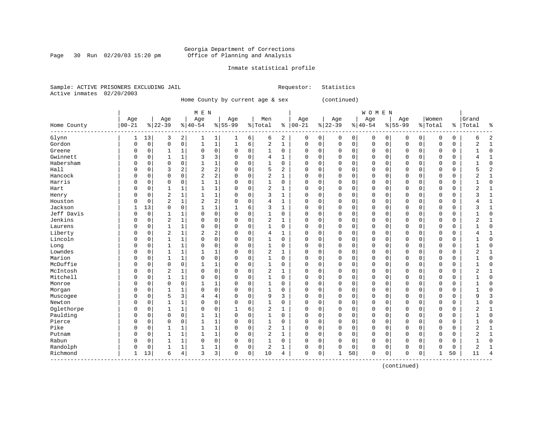#### Georgia Department of Corrections Page 30 Run 02/20/03 15:20 pm Office of Planning and Analysis

#### Inmate statistical profile

Sample: ACTIVE PRISONERS EXCLUDING JAIL **Requestor:** Statistics Active inmates 02/20/2003

Home County by current age & sex (continued)

| M E N | W O M E N | Age | Age | Age | Age | Men | Age | Age | Age | Age |Women |Grand Home County |00-21 %|22-39 %|40-54 %|55-99 %|Total % |00-21 %|22-39 %|40-54 %|55-99 %|Total % |Total % ------------------------------------------------------------------------------------------------------------------------------------Glynn | 1 13| 3 2| 1 1| 1 6| 6 2 | 0 0| 0 0| 0 0| 0 0| 0 0 | 6 2 Gordon | 0 0| 0 0| 1 1| 1 6| 2 1 | 0 0| 0 0| 0 0| 0 0| 0 0 | 2 1 Greene | 0 0| 1 1| 0 0| 0 0| 1 0 | 0 0| 0 0| 0 0| 0 0| 0 0 | 1 0 Gwinnett | 0 0| 1 1| 3 3| 0 0| 4 1 | 0 0| 0 0| 0 0| 0 0| 0 0 | 4 1 Habersham | 0 0| 0 0| 1 1| 0 0| 1 0 | 0 0| 0 0| 0 0| 0 0| 0 0 | 1 0 Hall | 0 0| 3 2| 2 2| 0 0| 5 2 | 0 0| 0 0| 0 0| 0 0| 0 0 | 5 2 Hancock | 0 0| 0 0| 2 2| 0 0| 2 1 | 0 0| 0 0| 0 0| 0 0| 0 0 | 2 1 Harris | 0 0| 0 0| 1 1| 0 0| 1 0 | 0 0| 0 0| 0 0| 0 0| 0 0 | 1 0 Hart | 0 0| 1 1| 1 1| 0 0| 2 1 | 0 0| 0 0| 0 0| 0 0| 0 0 | 2 1 Henry | 0 0| 2 1| 1 1| 0 0| 3 1 | 0 0| 0 0| 0 0| 0 0| 0 0 | 3 1 Houston | 0 0| 2 1| 2 2| 0 0| 4 1 | 0 0| 0 0| 0 0| 0 0| 0 0 | 4 1 Jackson | 1 13| 0 0| 1 1| 1 6| 3 1 | 0 0| 0 0| 0 0| 0 0| 0 0 | 3 1 Jeff Davis | 0 0| 1 1| 0 0| 0 0| 1 0 | 0 0| 0 0| 0 0| 0 0| 0 0 | 1 0 Jenkins | 0 0| 2 1| 0 0| 0 0| 2 1 | 0 0| 0 0| 0 0| 0 0| 0 0 | 2 1 Laurens | 0 0| 1 1| 0 0| 0 0| 1 0 | 0 0| 0 0| 0 0| 0 0| 0 0 | 1 0 Liberty | 0 0| 2 1| 2 2| 0 0| 4 1 | 0 0| 0 0| 0 0| 0 0| 0 0 | 4 1 Lincoln | 0 0| 1 1| 0 0| 0 0| 1 0 | 0 0| 0 0| 0 0| 0 0| 0 0 | 1 0 Long | 0 0| 1 1| 0 0| 0 0| 1 0 | 0 0| 0 0| 0 0| 0 0| 0 0 | 1 0 Lowndes | 0 0| 1 1| 1 1| 0 0| 2 1 | 0 0| 0 0| 0 0| 0 0| 0 0 | 2 1 Marion | 0 0| 1 1| 0 0| 0 0| 1 0 | 0 0| 0 0| 0 0| 0 0| 0 0 | 1 0 McDuffie | 0 0| 0 0| 1 1| 0 0| 1 0 | 0 0| 0 0| 0 0| 0 0| 0 0 | 1 0 McIntosh | 0 0| 2 1| 0 0| 0 0| 2 1 | 0 0| 0 0| 0 0| 0 0| 0 0 | 2 1 Mitchell | 0 0| 1 1| 0 0| 0 0| 1 0 | 0 0| 0 0| 0 0| 0 0| 0 0 | 1 0 Monroe | 0 0| 0 0| 1 1| 0 0| 1 0 | 0 0| 0 0| 0 0| 0 0| 0 0 | 1 0 Morgan | 0 0| 1 1| 0 0| 0 0| 1 0 | 0 0| 0 0| 0 0| 0 0| 0 0 | 1 0 Muscogee | 0 0| 5 3| 4 4| 0 0| 9 3 | 0 0| 0 0| 0 0| 0 0| 0 0 | 9 3 Newton | 0 0| 1 1| 0 0| 0 0| 1 0 | 0 0| 0 0| 0 0| 0 0| 0 0 | 1 0 Oglethorpe | 0 0| 1 1| 0 0| 1 6| 2 1 | 0 0| 0 0| 0 0| 0 0| 0 0 | 2 1 Paulding | 0 0| 0 0| 1 1| 0 0| 1 0 | 0 0| 0 0| 0 0| 0 0| 0 0 | 1 0 Pierce | 0 0| 0 0| 1 1| 0 0| 1 0 | 0 0| 0 0| 0 0| 0 0| 0 0 | 1 0 Pike | 0 0| 1 1| 1 1| 0 0| 2 1 | 0 0| 0 0| 0 0| 0 0| 0 0 | 2 1 Putnam | 0 0| 1 1| 1 1| 0 0| 2 1 | 0 0| 0 0| 0 0| 0 0| 0 0 | 2 1 Rabun | 0 0| 1 1| 0 0| 0 0| 1 0 | 0 0| 0 0| 0 0| 0 0| 0 0 | 1 0 Randolph | 0 0| 1 1| 1 1| 0 0| 2 1 | 0 0| 0 0| 0 0| 0 0| 0 0 | 2 1 Richmond | 1 13| 6 4| 3 3| 0 0| 10 4 | 0 0| 1 50| 0 0| 0 0| 1 50 | 11 4 ------------------------------------------------------------------------------------------------------------------------------------

(continued)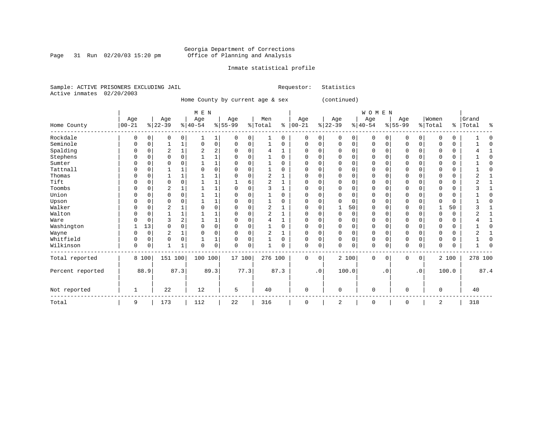Page 31 Run  $02/20/03$  15:20 pm

### Inmate statistical profile

|  | Sample: ACTIVE PRISONERS EXCLUDING JAIL |  | Requestor: Statistics |  |
|--|-----------------------------------------|--|-----------------------|--|
|  | Active inmates 02/20/2003               |  |                       |  |

Home County by current age & sex (continued)

|                  |                   |             |                  |          | M E N            |      |                  |             |                |          |                      |           |                 |             | <b>WOMEN</b>    |           |                  |                 |                  |             |                |      |
|------------------|-------------------|-------------|------------------|----------|------------------|------|------------------|-------------|----------------|----------|----------------------|-----------|-----------------|-------------|-----------------|-----------|------------------|-----------------|------------------|-------------|----------------|------|
|                  | Age<br>$ 00 - 21$ |             | Age<br>$ 22-39 $ |          | Age<br>$8 40-54$ |      | Age<br>$8 55-99$ |             | Men<br>% Total |          | Age<br>$8   00 - 21$ |           | Age<br>$ 22-39$ |             | Age<br>$ 40-54$ |           | Age<br>$8 55-99$ |                 | Women<br>% Total | န္          | Grand<br>Total | ៖    |
| Home County      |                   |             |                  |          |                  |      |                  |             |                |          |                      |           |                 |             |                 |           |                  |                 |                  |             |                |      |
| Rockdale         | 0                 | $\mathbf 0$ | 0                | 0        |                  | 1    | 0                | 0           |                | $\Omega$ | $\mathbf 0$          | 0         | 0               | 0           | 0               | 0         | $\mathbf 0$      | 0               | 0                | 0           |                |      |
| Seminole         | 0                 | $\mathbf 0$ |                  | 1        | $\Omega$         | 0    | $\Omega$         | 0           |                | 0        | $\Omega$             | 0         | $\Omega$        | 0           | 0               | 0         | $\mathbf 0$      | $\mathbf 0$     | 0                | 0           |                |      |
| Spalding         | $\Omega$          | $\Omega$    | 2                |          | 2                | 2    |                  | 0           |                |          | C                    | 0         |                 | $\Omega$    | $\Omega$        | $\Omega$  | <sup>0</sup>     | 0               | $\Omega$         | 0           |                |      |
| Stephens         |                   | $\Omega$    | O                | $\Omega$ |                  |      |                  | $\Omega$    |                | $\Omega$ | $\Omega$             | O         |                 | O           | U               | U         | <sup>0</sup>     | $\Omega$        | O                | $\Omega$    |                |      |
| Sumter           |                   | 0           | U                |          |                  |      |                  |             |                | U        | n                    | 0         |                 |             | U               |           | <sup>0</sup>     | 0               | 0                | 0           |                |      |
| Tattnall         |                   | $\Omega$    |                  |          |                  | 0    |                  | $\Omega$    |                |          |                      | O         |                 | $\Omega$    |                 |           |                  | O               | 0                | 0           |                |      |
| Thomas           | O                 | $\Omega$    |                  |          |                  |      |                  | 0           | $\overline{2}$ |          | C                    | 0         | $\Omega$        | $\Omega$    | <sup>0</sup>    | U         | $\Omega$         | $\Omega$        | $\Omega$         | $\mathbf 0$ |                |      |
| Tift             | 0                 | $\Omega$    | $\Omega$         | $\Omega$ |                  |      |                  | 6           | $\overline{2}$ |          | O                    | 0         |                 | $\Omega$    | 0               | O         | $\Omega$         | 0               | $\Omega$         | 0           |                |      |
| Toombs           | 0                 | $\Omega$    | 2                |          |                  |      |                  | $\Omega$    | 3              |          | $\Omega$             | 0         | ∩               | $\Omega$    | 0               | $\Omega$  | $\Omega$         | $\mathbf 0$     | $\Omega$         | 0           |                |      |
| Union            |                   | 0           | 0                | $\Omega$ |                  |      |                  |             |                | U        | C                    | 0         |                 |             | U               |           | $\Omega$         | 0               | 0                | 0           |                |      |
| Upson            |                   | n           | 0                |          |                  |      |                  |             |                |          | C                    | O         |                 | $\Omega$    | U               |           | 0                | 0               |                  | 0           |                |      |
| Walker           | 0                 | $\Omega$    | 2                |          |                  | 0    |                  | $\Omega$    | 2              |          | O                    | 0         |                 | 50          | 0               | U         | $\Omega$         | 0               |                  | 50          |                |      |
| Walton           | $\Omega$          | $\Omega$    |                  |          |                  |      |                  | 0           | 2              |          | O                    | 0         | $\Omega$        | $\Omega$    | $\Omega$        | 0         | <sup>0</sup>     | 0               | $\Omega$         | $\mathbf 0$ |                |      |
| Ware             |                   | $\mathbf 0$ | 3                |          |                  |      |                  | $\Omega$    |                |          | C                    | O         | ∩               | $\Omega$    | <sup>0</sup>    | O         | $\Omega$         | $\Omega$        | $\Omega$         | 0           |                |      |
| Washington       |                   | 13          | $\Omega$         | $\Omega$ |                  | 0    |                  | $\Omega$    |                | U        | C                    | 0         |                 | O           | U               |           | $\Omega$         | 0               | 0                | 0           |                |      |
| Wayne            |                   | $\mathbf 0$ | 2                |          | n                | 0    |                  | 0           | 2              |          | C                    | 0         | 0               | $\Omega$    | 0               |           | 0                | 0               | 0                | 0           |                |      |
| Whitfield        | 0                 | $\mathbf 0$ | 0                | $\Omega$ |                  |      |                  | 0           |                | 0        | $\Omega$             | 0         | $\Omega$        | $\Omega$    | 0               | 0         | $\mathbf 0$      | 0               | $\Omega$         | 0           |                |      |
| Wilkinson        | 0                 | $\mathbf 0$ |                  |          | $\Omega$         | 0    | $\Omega$         | $\mathbf 0$ |                | 0        | $\Omega$             | 0         | $\Omega$        | $\mathbf 0$ | 0               | 0         | $\Omega$         | $\mathbf 0$     | $\Omega$         | 0           |                |      |
| Total reported   |                   | 8 100       | 151 100          |          | 100 100          |      | 17 100           |             | 276 100        |          | $\Omega$             | 0         |                 | 2 100       | 0               | $\Omega$  | $\Omega$         | 0               |                  | 2 100       | 278 100        |      |
| Percent reported |                   | 88.9        |                  | 87.3     |                  | 89.3 |                  | 77.3        |                | 87.3     |                      | $\cdot$ 0 |                 | 100.0       |                 | $\cdot$ 0 |                  | .0 <sup>1</sup> |                  | 100.0       |                | 87.4 |
| Not reported     | 1                 |             | 22               |          | 12               |      | 5                |             | 40             |          | 0                    |           | $\Omega$        |             | $\Omega$        |           | $\Omega$         |                 | $\Omega$         |             | 40             |      |
| Total            | 9                 |             | 173              |          | 112              |      | 22               |             | 316            |          | 0                    |           | 2               |             | 0               |           | 0                |                 | 2                |             | 318            |      |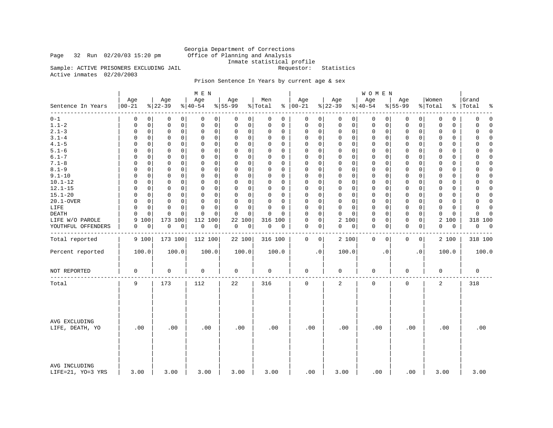Page 32 Run  $02/20/03$  15:20 pm

Inmate statistical profile<br>Requestor: Statistics

Sample: ACTIVE PRISONERS EXCLUDING JAIL Active inmates 02/20/2003

### Prison Sentence In Years by current age & sex

|                                    |                   |                                 | M E N                   |                  |                      |                            |                                    | <b>WOMEN</b>     |                            |                             |                         |
|------------------------------------|-------------------|---------------------------------|-------------------------|------------------|----------------------|----------------------------|------------------------------------|------------------|----------------------------|-----------------------------|-------------------------|
| Sentence In Years                  | Age<br>$ 00 - 21$ | Age<br>$ 22-39 $                | Age<br>$ 40-54$         | Age<br>$8 55-99$ | Men<br>% Total       | Age<br>$% 100-21$          | Age<br>$ 22-39$                    | Age<br>$ 40-54$  | Age<br>$8 55-99$           | Women<br>% Total            | Grand<br>%   Total<br>⊱ |
| --------<br>$0 - 1$                | 0                 | 0<br>0<br>0                     | 0<br>0                  | 0<br>0           | $\Omega$<br>0        | 0<br>0                     | 0<br>0                             | 0<br>0           | 0<br>0                     | 0<br>0                      | 0<br>$\mathbf 0$        |
| $1.1 - 2$                          | 0                 | $\mathbf 0$<br>0<br>0           | $\mathbf 0$<br>0        | 0<br>0           | 0<br>0               | 0<br>0                     | $\mathbf 0$<br>0                   | 0<br>0           | 0<br>$\mathbf 0$           | $\mathbf 0$<br>0            | 0<br>$\Omega$           |
| $2.1 - 3$                          | 0                 | $\mathbf 0$<br>0<br>0           | $\mathbf 0$<br>0        | 0<br>0           | 0<br>0               | 0<br>0                     | $\mathsf{O}\xspace$<br>$\mathbf 0$ | 0<br>0           | $\mathbf 0$<br>0           | $\mathbf 0$<br>$\mathbf 0$  | $\mathbf 0$<br>$\Omega$ |
| $3.1 - 4$                          | $\Omega$          | $\Omega$<br>$\mathbf 0$<br>0    | $\mathbf 0$<br>$\Omega$ | 0<br>0           | $\Omega$<br>$\Omega$ | 0<br>0                     | $\Omega$<br>$\mathbf 0$            | 0<br>0           | 0<br>$\Omega$              | $\Omega$<br>$\Omega$        | U<br>$\Omega$           |
| $4.1 - 5$                          | $\Omega$          | 0<br>0<br>0                     | $\mathbf 0$<br>0        | $\mathbf 0$<br>0 | $\Omega$<br>0        | 0<br>0                     | $\mathbf 0$<br>$\mathbf 0$         | 0<br>0           | $\mathbf 0$<br>0           | $\mathbf 0$<br>$\mathbf 0$  | $\Omega$<br>0           |
| $5.1 - 6$                          | $\Omega$          | $\Omega$<br>$\Omega$<br>0       | $\Omega$<br>0           | 0<br>0           | $\Omega$<br>$\Omega$ | $\mathbf 0$<br>$\Omega$    | $\Omega$<br>$\mathbf 0$            | 0<br>0           | $\mathbf 0$<br>0           | $\mathbf 0$<br>$\Omega$     | $\Omega$<br>$\Omega$    |
| $6.1 - 7$                          | $\Omega$          | 0<br>$\Omega$<br>0              | $\mathbf 0$<br>$\Omega$ | 0<br>$\mathbf 0$ | $\Omega$<br>0        | $\mathbf 0$<br>$\mathbf 0$ | $\Omega$<br>$\mathbf 0$            | $\mathsf 0$<br>0 | $\mathbf 0$<br>0           | $\mathbf 0$<br>$\mathbf 0$  | 0<br>$\Omega$           |
| $7.1 - 8$                          | 0                 | $\Omega$<br>0<br>0              | $\Omega$<br>0           | 0<br>0           | $\Omega$<br>$\Omega$ | $\mathbf 0$<br>0           | $\mathbf 0$<br>$\mathbf{0}$        | 0<br>0           | 0<br>$\Omega$              | $\Omega$<br>$\Omega$        | $\Omega$<br>$\Omega$    |
| $8.1 - 9$                          | $\Omega$          | 0<br>0<br>0                     | $\mathbf 0$<br>0        | 0<br>$\Omega$    | 0<br>0               | $\mathbf 0$<br>0           | $\mathbf 0$<br>$\mathbf 0$         | 0<br>0           | $\mathbf 0$<br>$\mathbf 0$ | $\mathbf{0}$<br>$\mathbf 0$ | $\Omega$<br>0           |
| $9.1 - 10$                         | $\Omega$          | $\mathbf 0$<br>$\mathbf 0$<br>0 | $\mathbf 0$<br>$\Omega$ | 0<br>$\mathbf 0$ | $\Omega$<br>0        | $\mathbf 0$<br>0           | 0<br>$\mathbf 0$                   | $\mathbf 0$<br>0 | $\mathbf 0$<br>0           | $\mathbf 0$<br>$\mathbf 0$  | 0<br>$\Omega$           |
| $10.1 - 12$                        | $\Omega$          | 0<br>0<br>$\Omega$              | 0<br>0                  | 0<br>0           | $\Omega$<br>$\Omega$ | 0<br>0                     | 0<br>$\mathbf 0$                   | 0<br>0           | 0<br>0                     | $\mathbf 0$<br>0            | $\Omega$<br>0           |
| $12.1 - 15$                        | $\Omega$          | 0<br>0<br>0                     | $\mathbf 0$<br>0        | 0<br>0           | $\Omega$<br>0        | $\mathbf 0$<br>0           | $\mathbf 0$<br>$\mathbf 0$         | $\mathsf 0$<br>0 | $\mathbf 0$<br>0           | 0<br>$\mathbf 0$            | 0<br>$\Omega$           |
| $15.1 - 20$                        | $\Omega$          | $\Omega$<br>$\mathbf 0$<br>0    | $\Omega$<br>$\Omega$    | 0<br>$\mathbf 0$ | $\Omega$<br>$\Omega$ | 0<br>0                     | $\Omega$<br>$\Omega$               | 0<br>0           | 0<br>$\Omega$              | $\mathbf 0$<br>0            | 0<br>$\Omega$           |
| 20.1-OVER                          | $\Omega$          | 0<br>0<br>0                     | $\mathbf 0$<br>0        | 0<br>0           | 0<br>0               | 0<br>0                     | $\mathbf 0$<br>$\mathbf 0$         | 0<br>0           | $\mathbf 0$<br>0           | $\mathbf 0$<br>0            | 0<br>$\Omega$           |
| LIFE                               | $\Omega$          | 0<br>$\Omega$<br>0              | $\Omega$<br>0           | 0<br>$\mathbf 0$ | $\Omega$<br>$\Omega$ | 0<br>0                     | 0<br>$\mathbf 0$                   | 0<br>0           | 0<br>0                     | 0<br>0                      | 0<br>$\Omega$           |
| DEATH                              | $\Omega$          | $\mathbf 0$<br>$\mathbf 0$<br>0 | $\Omega$<br>$\Omega$    | $\mathbf 0$<br>0 | $\Omega$<br>$\Omega$ | $\mathbf 0$<br>$\Omega$    | $\mathbf 0$<br>0                   | $\mathsf 0$<br>0 | $\mathbf 0$<br>0           | $\mathbf 0$<br>$\mathbf 0$  | $\mathbf 0$<br>$\Omega$ |
| LIFE W/O PAROLE                    | 9<br>100          | 173 100                         | 112<br>100              | 22<br>100        | 316 100              | 0<br>0                     | 2 100                              | 0<br>0           | $\mathbf 0$<br>0           | 2<br>100                    | 318 100                 |
|                                    | 0                 | 0                               |                         |                  | $\mathsf 0$          | $\mathbf 0$<br>0           | 0                                  | 0<br>0           | $\mathbf 0$                | $\mathbf 0$<br>0            | 0<br>$\mathbf 0$        |
| YOUTHFUL OFFENDERS                 |                   | $\mathsf 0$<br>0                | 0<br>0                  | 0<br>0           | 0                    |                            | 0                                  |                  | 0                          |                             |                         |
| Total reported                     | 9 100             | 173 100                         | 112 100                 | 22 100           | 316 100              | 0<br>0                     | 2 100                              | $\mathbf 0$<br>0 | 0<br>0                     | 2 100                       | 318 100                 |
| Percent reported                   | 100.0             | 100.0                           | 100.0                   | 100.0            | 100.0                | $\cdot$ 0                  | 100.0                              | $\cdot$ 0        | $\cdot$ 0                  | 100.0                       | 100.0                   |
| NOT REPORTED                       | $\mathbf 0$       | $\mathbf 0$                     | 0                       | $\mathbf 0$      | $\mathbf 0$          | 0                          | $\mathbf 0$                        | $\mathsf 0$      | $\mathbf 0$                | 0                           | $\mathbf 0$             |
| Total                              | 9                 | 173                             | 112                     | 22               | 316                  | 0                          | 2                                  | $\mathsf 0$      | $\mathsf{O}\xspace$        | 2                           | 318                     |
| AVG EXCLUDING<br>LIFE, DEATH, YO   | .00               | .00                             | .00                     | .00              | .00                  | .00                        | .00                                | .00              | .00                        | .00                         | .00                     |
| AVG INCLUDING<br>LIFE=21, YO=3 YRS | 3.00              | 3.00                            | 3.00                    | 3.00             | 3.00                 | .00                        | 3.00                               | .00              | .00                        | 3.00                        | 3.00                    |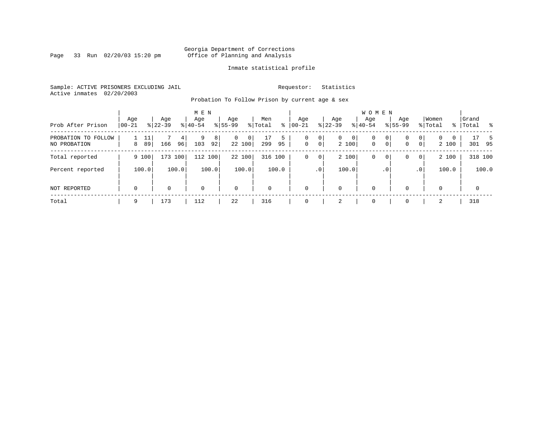Page 33 Run 02/20/03 15:20 pm

### Inmate statistical profile

Sample: ACTIVE PRISONERS EXCLUDING JAIL **Requestor:** Statistics Active inmates 02/20/2003

Probation To Follow Prison by current age & sex

| Prob After Prison                   | Age<br>$ 00 - 21$ |          | Age<br>$8 22-39$ |                      | M E N<br>Age<br>$8140 - 54$ |          | Age<br>$8 55-99$ |             | Men<br>% Total | ႜ       | Age<br>$ 00 - 21$ |                                  | Age<br>$8 22-39$ |            | <b>WOMEN</b><br>Aqe<br>$8 40-54$ |                     | Age<br>$8155 - 99$ |                                  | Women<br>% Total      | % | Grand<br>Total |              | - 왕         |
|-------------------------------------|-------------------|----------|------------------|----------------------|-----------------------------|----------|------------------|-------------|----------------|---------|-------------------|----------------------------------|------------------|------------|----------------------------------|---------------------|--------------------|----------------------------------|-----------------------|---|----------------|--------------|-------------|
| PROBATION TO FOLLOW<br>NO PROBATION | 8                 | 11<br>89 | 166              | 4 <sup>1</sup><br>96 | 9<br>103                    | 8 <br>92 | $\mathbf{0}$     | 0<br>22 100 | 299            | 5<br>95 | 0<br>$\mathbf 0$  | 0 <sup>1</sup><br>0 <sup>1</sup> | $\overline{0}$   | 0<br>2 100 | $\mathbf{0}$<br>$\mathbf 0$      | 0<br>$\overline{0}$ | 0<br>$\mathbf 0$   | 0 <sup>1</sup><br>0 <sup>1</sup> | $\mathbf{0}$<br>2 100 | 0 |                | 17<br>301 95 | $5^{\circ}$ |
| Total reported                      |                   | 9 100    | 173 100          |                      |                             | 112 100  |                  | 22 100      |                | 316 100 | 0                 | 0 <sup>1</sup>                   |                  | 2 100      | 0                                | 0                   | 0                  | 0 <sup>1</sup>                   | 2 100                 |   |                | 318 100      |             |
| Percent reported                    |                   | 100.0    |                  | 100.0                |                             | 100.0    |                  | 100.0       |                | 100.0   |                   | .0 <sup>1</sup>                  |                  | 100.0      |                                  | . 0                 |                    | .0 <sup>1</sup>                  | 100.0                 |   |                |              | 100.0       |
| <b>NOT REPORTED</b>                 | $\mathbf 0$       |          | 0                |                      | $\mathbf 0$                 |          | $\mathbf 0$      |             | $\mathbf 0$    |         | $\Omega$          |                                  | 0                |            | $\mathbf 0$                      |                     | $\mathbf 0$        |                                  | $\mathbf 0$           |   |                | $\mathbf{0}$ |             |
| Total                               | 9                 |          | 173              |                      | 112                         |          | 22               |             | 316            |         |                   |                                  | 2                |            | 0                                |                     | $\mathbf 0$        |                                  | 2                     |   |                | 318          |             |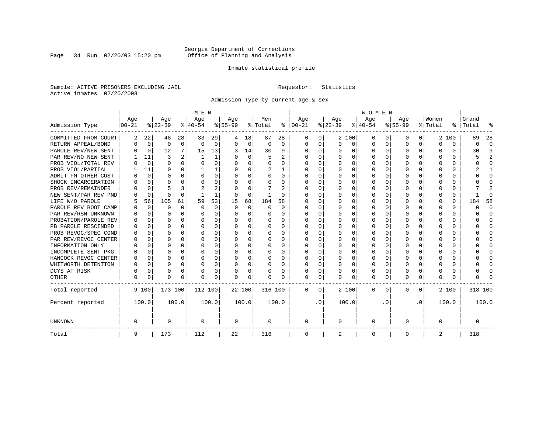Page 34 Run 02/20/03 15:20 pm

### Inmate statistical profile

Sample: ACTIVE PRISONERS EXCLUDING JAIL **Requestor:** Statistics Active inmates 02/20/2003

Admission Type by current age & sex

|                      |           |             |          |              | M E N     |          |           |          |          |          |          |           |          |          | <b>WOMEN</b> |          |              |              |         |          |         |              |
|----------------------|-----------|-------------|----------|--------------|-----------|----------|-----------|----------|----------|----------|----------|-----------|----------|----------|--------------|----------|--------------|--------------|---------|----------|---------|--------------|
|                      | Age       |             | Age      |              | Age       |          | Aqe       |          | Men      |          | Age      |           | Age      |          | Age          |          | Aqe          |              | Women   |          | Grand   |              |
| Admission Type       | $00 - 21$ |             | $ 22-39$ |              | $ 40-54 $ |          | $8 55-99$ |          | % Total  | ႜ        | $ 00-21$ |           | $ 22-39$ |          | $ 40-54$     |          | $8 55-99$    |              | % Total | ွေ       | Total   |              |
| COMMITTED FROM COURT | 2         | 22          | 48       | 28           | 33        | 29       | 4         | 18       | 87       | 28       | 0        | 0         |          | 2 100    | 0            | U        | 0            | 0            |         | 2 100    | 89      | 28           |
| RETURN APPEAL/BOND   | 0         | 0           | 0        | $\mathbf 0$  | $\Omega$  | 0        | $\Omega$  | 0        | 0        | $\Omega$ | $\Omega$ | 0         | $\Omega$ | 0        | 0            | $\Omega$ | <sup>0</sup> | $\Omega$     | O       | 0        | 0       | $\Omega$     |
| PAROLE REV/NEW SENT  | U         | $\Omega$    | 12       | 7            | 15        | 13       |           | 14       | 30       | 9        | $\Omega$ | 0         | $\Omega$ | $\Omega$ | 0            | $\Omega$ | $\cap$       | $\Omega$     | U       | U        | 30      | Q            |
| PAR REV/NO NEW SENT  |           | 11          | 3        |              |           | 1        |           | $\Omega$ | 5        | 2        | $\Omega$ | 0         | ∩        | $\Omega$ | U            | C        | ∩            | <sup>n</sup> | U       | O        |         |              |
| PROB VIOL/TOTAL REV  | U         | $\Omega$    | $\Omega$ | $\Omega$     | $\Omega$  | 0        |           | $\Omega$ | $\Omega$ | O        | $\Omega$ | O         | $\Omega$ | $\Omega$ | 0            | C        | <sup>0</sup> | <sup>n</sup> | O       | O        |         | n            |
| PROB VIOL/PARTIAL    |           | 11          | O        | 0            |           | 1        |           | $\Omega$ | 2        |          | O        | 0         | O        | $\Omega$ | O            | C        |              |              |         | U        |         |              |
| ADMIT FM OTHER CUST  | O         | $\mathbf 0$ | O        | 0            | O         | 0        |           | $\Omega$ | O        | 0        | $\Omega$ | 0         | O        | $\Omega$ | O            | O        | O            | 0            | O       | U        |         | <sup>0</sup> |
| SHOCK INCARCERATION  |           | 0           | U        | <sup>n</sup> | O         | 0        |           | $\Omega$ | O        | U        | $\Omega$ | 0         | O        | $\Omega$ | 0            | C        | <sup>0</sup> | 0            | U       | 0        |         | ∩            |
| PROB REV/REMAINDER   |           | $\Omega$    |          | 3            | 2         | 2        |           | $\Omega$ |          | 2        | $\Omega$ | 0         | $\Omega$ | $\Omega$ | 0            | $\Omega$ | ∩            | $\Omega$     | U       | 0        |         | 2            |
| NEW SENT/PAR REV PND |           | $\mathbf 0$ | $\Omega$ | $\Omega$     |           | 1        |           | $\Omega$ |          | U        | O        | 0         | $\Omega$ | $\Omega$ | 0            | C        | <sup>0</sup> | 0            |         | $\Omega$ |         | ſ            |
| LIFE W/O PAROLE      |           | 56          | 105      | 61           | 59        | 53       | 15        | 68       | 184      | 58       |          | O         |          | $\Omega$ | 0            | O        |              | $\Omega$     | O       | $\Omega$ | 184     | 58           |
| PAROLE REV BOOT CAMP |           | $\mathbf 0$ | 0        | $\Omega$     | $\Omega$  | $\Omega$ | $\Omega$  | $\Omega$ | 0        | $\Omega$ | 0        | O         |          | $\Omega$ | 0            | $\Omega$ |              |              |         | $\Omega$ | ი       | <sup>0</sup> |
| PAR REV/RSN UNKNOWN  |           | $\Omega$    | O        | $\Omega$     | O         | 0        |           | $\Omega$ | 0        | 0        | 0        | O         |          | $\Omega$ | 0            | $\Omega$ |              | 0            | O       | 0        |         | <sup>0</sup> |
| PROBATION/PAROLE REV |           | $\Omega$    | U        | $\Omega$     | O         | 0        |           | $\Omega$ | 0        | 0        | O        | 0         | O        | $\Omega$ | 0            | $\Omega$ |              | <sup>n</sup> | O       | 0        | U       | n            |
| PB PAROLE RESCINDED  |           | $\Omega$    | U        | $\Omega$     | O         | 0        |           | $\Omega$ | 0        | 0        | n        | 0         | O        | $\Omega$ | 0            | O        | n            | 0            | U       | 0        |         | n            |
| PROB REVOC/SPEC COND | U         | 0           | U        | <sup>n</sup> | n         | U        |           | ∩        | 0        | U        | $\Omega$ | U         | ∩        | ∩        | U            | C        | ∩            | <sup>n</sup> |         | 0        |         | ∩            |
| PAR REV/REVOC CENTER | O         | 0           | U        | 0            | n         | 0        |           | $\Omega$ | 0        | O        | $\Omega$ | U         | $\Omega$ | $\Omega$ | U            | C        | ∩            | <sup>n</sup> | Λ       | 0        |         | ∩            |
| INFORMATION ONLY     |           | $\mathbf 0$ | U        | $\Omega$     | O         | 0        |           | $\Omega$ | 0        |          | n        | O         | O        | $\Omega$ | 0            | C        |              | 0            |         | 0        |         | ∩            |
| INCOMPLETE SENT PKG  | O         | 0           | U        | $\Omega$     | O         | 0        |           | $\Omega$ | 0        | O        | $\Omega$ | O         |          | $\Omega$ | 0            | O        |              |              |         | 0        |         | <sup>0</sup> |
| HANCOCK REVOC CENTER | 0         | 0           | U        | $\Omega$     | O         | 0        |           | $\Omega$ | 0        | 0        | $\Omega$ | 0         | O        | $\Omega$ | 0            | 0        | O            | 0            | O       | 0        |         | ∩            |
| WHITWORTH DETENTION  | O         | $\Omega$    | U        | $\Omega$     | O         | 0        | ∩         | $\Omega$ | 0        | 0        | $\Omega$ | 0         | O        | $\Omega$ | 0            | $\Omega$ | ∩            | $\Omega$     | U       | 0        |         | ∩            |
| DCYS AT RISK         | O         | 0           | O        | $\Omega$     | O         | 0        |           | $\Omega$ | O        | O        | $\Omega$ | 0         | $\Omega$ | $\Omega$ | O            | $\Omega$ | <sup>0</sup> | 0            |         | 0        |         | ſ            |
| <b>OTHER</b>         | 0         | 0           | $\Omega$ | 0            | O         | 0        | $\Omega$  | 0        | N        | O        | $\Omega$ | 0         | $\Omega$ | 0        | 0            | 0        | $\Omega$     | 0            | U       | U        |         |              |
| Total reported       |           | 9 100       | 173 100  |              | 112 100   |          | 22 100    |          | 316 100  |          | 0        | 0         |          | 2 100    | 0            | $\Omega$ | $\Omega$     | 0            |         | 2 100    | 318 100 |              |
| Percent reported     |           | 100.0       |          | 100.0        |           | 100.0    |           | 100.0    |          | 100.0    |          | $\cdot$ 0 |          | 100.0    |              | . 0      |              | $\cdot$ 0    |         | 100.0    |         | 100.0        |
| <b>UNKNOWN</b>       | 0         |             | 0        |              | 0         |          | 0         |          | 0        |          | 0        |           | 0        |          | 0            |          | 0            |              | O       |          | 0       |              |
| Total                | 9         |             | 173      |              | 112       |          | 22        |          | 316      |          | 0        |           | 2        |          | 0            |          | 0            |              | 2       |          | 318     |              |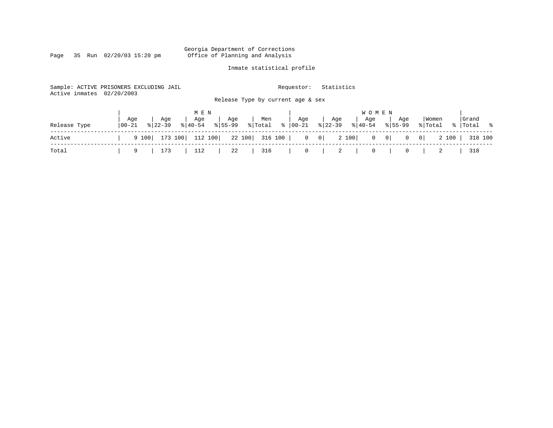Page 35 Run  $02/20/03$  15:20 pm

### Inmate statistical profile

318 100

| Active inmates | Sample: ACTIVE PRISONERS EXCLUDING JAIL<br>02/20/2003      | Release Type by current age & sex             | Requestor:                   | Statistics                                          |                                                                            |                                             |
|----------------|------------------------------------------------------------|-----------------------------------------------|------------------------------|-----------------------------------------------------|----------------------------------------------------------------------------|---------------------------------------------|
| Release Type   | Age<br>Aqe<br>Aqe<br>$8140 - 54$<br>  00-21<br>$8122 - 39$ | M E N<br>Men<br>Age<br>$8155 - 99$<br>% Total | Age<br>$\frac{1}{6}$   00-21 | W O M E N<br>Age<br>Aqe<br>$8 22-39$<br>$8140 - 54$ | Aqe<br>$8155 - 99$                                                         | Grand<br>Women<br>ႜ<br>%   Total<br>% Total |
| Active         | 173 100 112 100<br>9 100                                   | 22 100                                        | 316 100                      | 2 100<br>$0 \qquad 0$                               | $\begin{bmatrix} 0 & 0 \end{bmatrix}$<br>$\vert 0 \vert$<br>$\overline{0}$ | 2 100<br>318 100                            |
| Total          | 112<br>173<br>9                                            | 22<br>316                                     | 0                            | 2                                                   | 0                                                                          | 318                                         |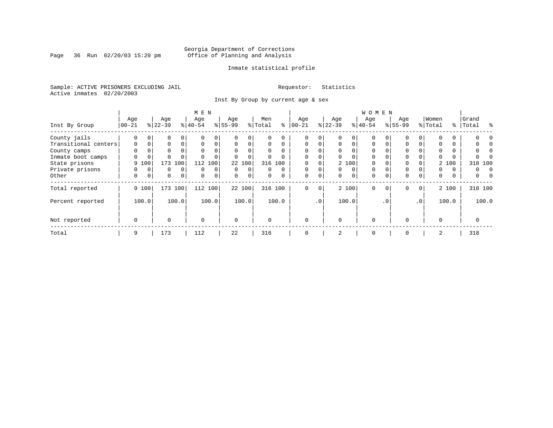Page 36 Run 02/20/03 15:20 pm

### Inmate statistical profile

Sample: ACTIVE PRISONERS EXCLUDING JAIL **Requestor:** Statistics Active inmates 02/20/2003

Inst By Group by current age & sex

|                      |            |             |           |              | M E N       |          |             |             |          |          |             |             |           |          |           |           |             |                 |          |          |               |
|----------------------|------------|-------------|-----------|--------------|-------------|----------|-------------|-------------|----------|----------|-------------|-------------|-----------|----------|-----------|-----------|-------------|-----------------|----------|----------|---------------|
|                      | Age        |             | Age       |              | Age         |          | Age         |             | Men      |          | Age         |             | Age       |          | Age       |           | Age         |                 | Women    |          | Grand         |
| Inst By Group        | $ 00 - 21$ |             | $8 22-39$ |              | $8 40-54$   |          | $8 55-99$   |             | % Total  | ႜ        | $ 00 - 21$  |             | $ 22-39 $ |          | $8 40-54$ |           | $8155 - 99$ |                 | % Total  | ွေ       | Total<br>ႜ    |
| County jails         | 0          |             | 0         | 0            |             | 0        |             | 0           | 0        |          | 0           | 0           |           |          | $\Omega$  |           |             | 0               | $\Omega$ | 0        |               |
| Transitional centers | $\Omega$   |             | $\Omega$  | $\Omega$     | $\Omega$    | $\Omega$ | $\Omega$    | $\Omega$    | $\Omega$ | $\Omega$ | $\Omega$    | $\Omega$    | $\Omega$  | $\Omega$ | $\Omega$  |           | $\Omega$    | 0               | $\Omega$ | $\Omega$ |               |
| County camps         | $\Omega$   |             | 0         |              | $\Omega$    |          | $\Omega$    |             | $\Omega$ | $\Omega$ | $\Omega$    |             | $\Omega$  | $\Omega$ | $\Omega$  |           |             |                 | $\Omega$ | $\Omega$ |               |
| Inmate boot camps    |            |             | $\Omega$  |              |             |          |             | $\mathbf 0$ | $\Omega$ |          | 0           | 0           | $\Omega$  | $\Omega$ | 0         |           | 0           |                 | $\Omega$ | 0        |               |
| State prisons        | 9          | 100         | 173       | 100          | 112         | 100      |             | 22 100      |          | 316 100  |             | 0           |           | 2 100    | $\Omega$  |           |             |                 |          | 2 100    | 318 100       |
| Private prisons      |            |             | 0         | $\Omega$     | $\Omega$    | 0        | $\Omega$    | $\Omega$    | 0        | $\Omega$ | $\Omega$    | 0           | $\Omega$  | $\Omega$ | $\Omega$  |           |             |                 | $\Omega$ | $\Omega$ | 0<br>$\Omega$ |
| Other                | 0          | $\mathbf 0$ | 0         | $\mathbf{0}$ | $\mathbf 0$ | 0        | $\mathbf 0$ | $\mathbf 0$ | 0        | 0        | $\mathbf 0$ | 0           | 0         | 0        | 0         |           | 0           | 0               | 0        | 0        | 0             |
| Total reported       |            | 9 100       | 173 100   |              | 112 100     |          |             | 22 100      |          | 316 100  | $\Omega$    | $\mathbf 0$ |           | 2 100    | $\Omega$  | 0         | $\Omega$    | $\overline{0}$  |          | 2 100    | 318 100       |
| Percent reported     |            | 100.0       |           | 100.0        |             | 100.0    |             | 100.0       |          | 100.0    |             | $\cdot$ 0   |           | 100.0    |           | $\cdot$ 0 |             | .0 <sup>1</sup> |          | 100.0    | 100.0         |
| Not reported         | 0          |             | $\Omega$  |              | $\mathbf 0$ |          | $\Omega$    |             | $\Omega$ |          | $\Omega$    |             | $\Omega$  |          | $\Omega$  |           | $\Omega$    |                 | $\Omega$ |          |               |
| Total                | 9          |             | 173       |              | 112         |          | 22          |             | 316      |          | $\mathbf 0$ |             | 2         |          | 0         |           | 0           |                 | 2        |          | 318           |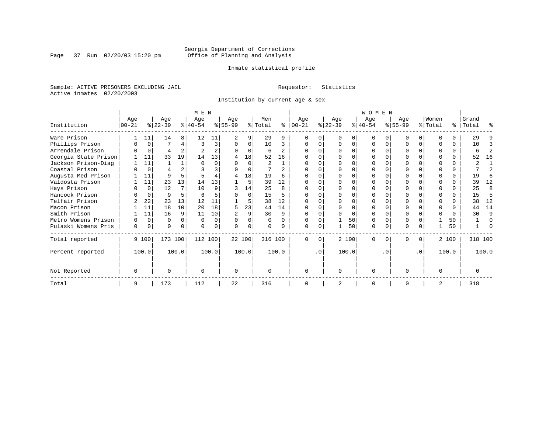Page 37 Run 02/20/03 15:20 pm

### Inmate statistical profile

Sample: ACTIVE PRISONERS EXCLUDING JAIL **Requestor:** Statistics Active inmates 02/20/2003

Institution by current age & sex

|                      | M E N    |          |           |              |           |                |           |          |          |          |            |           | <b>WOMEN</b> |       |           |          |           |           |          |          |           |               |  |
|----------------------|----------|----------|-----------|--------------|-----------|----------------|-----------|----------|----------|----------|------------|-----------|--------------|-------|-----------|----------|-----------|-----------|----------|----------|-----------|---------------|--|
|                      | Age      |          | Age       |              | Age       |                | Age       |          | Men      |          | Age        |           | Age          |       | Age       |          | Age       |           | Women    |          | Grand     |               |  |
| Institution          | $ 00-21$ |          | $ 22-39 $ |              | $ 40-54 $ |                | $ 55-99 $ |          | % Total  | ∻        | $ 00 - 21$ |           | $ 22-39 $    |       | $ 40-54 $ |          | $8 55-99$ |           | % Total  |          | %   Total | ႜ             |  |
| Ware Prison          |          | 11       | 14        | 8            | 12        | 11             |           | 9        | 29       | 9        |            |           |              |       |           |          |           |           |          |          | 29        |               |  |
| Phillips Prison      |          | $\Omega$ |           | 4            | 3         | 3              | $\Omega$  | 0        | 10       | 3        |            |           |              | 0     |           |          |           | 0         |          | 0        | 10        |               |  |
| Arrendale Prison     |          | $\Omega$ | 4         |              |           | $\overline{a}$ | $\Omega$  | $\Omega$ | 6        | 2        |            |           |              |       |           |          | O         |           |          | 0        | 6         | 2             |  |
| Georgia State Prison |          | 11       | 33        | 19           | 14        | 13             | 4         | 18       | 52       | 16       |            |           |              |       |           |          |           |           |          | 0        | 52        | 16            |  |
| Jackson Prison-Diag  |          | 11       |           | $\mathbf{1}$ |           |                |           | O        | 2        |          |            |           |              |       |           |          |           |           |          |          |           |               |  |
| Coastal Prison       |          | $\Omega$ |           |              |           |                |           | $\Omega$ |          | 2        |            |           |              |       |           |          |           |           | ∩        | 0        |           | $\mathcal{D}$ |  |
| Augusta Med Prison   |          | 11       | 9         |              |           |                | 4         | 18       | 19       | 6        |            |           |              |       |           |          |           |           | $\Omega$ | $\Omega$ | 19        | 6             |  |
| Valdosta Prison      |          | 11       | 23        | 13           | 14        | 13             |           | 5        | 39       | 12       |            |           |              |       |           |          |           |           |          |          | 39        | 12            |  |
| Hays Prison          |          | $\Omega$ | 12        |              | 10        | 9              |           | 14       | 25       | R        |            |           |              |       |           |          |           |           | ∩        | 0        | 25        | 8             |  |
| Hancock Prison       |          | $\Omega$ | 9         | 5            | 6         |                |           | $\Omega$ | 15       | 5        |            |           |              |       |           |          |           |           | $\Omega$ | 0        | 15        | 5             |  |
| Telfair Prison       |          | 22       | 23        | 13           | 12        | 11             |           | 5        | 38       | 12       |            |           |              |       |           |          |           |           |          |          | 38        | 12            |  |
| Macon Prison         |          | 11       | 18        | 10           | 20        | 18             |           | 23       | 44       | 14       |            |           |              |       |           |          |           |           |          |          | 44        | 14            |  |
| Smith Prison         |          | 11       | 16        | 9            | 11        | 10             |           | 9        | 30       | 9        |            |           |              | U     |           |          |           |           | $\Omega$ | $\Omega$ | 30        | 9             |  |
| Metro Womens Prison  | O        | $\Omega$ | U         | 0            | $\Omega$  | $\Omega$       | $\Omega$  | O        | $\Omega$ | $\Omega$ |            |           |              | 50    |           |          | $\Omega$  |           |          | 50       |           | O             |  |
| Pulaski Womens Pris  | $\Omega$ | $\Omega$ | O         | $\Omega$     |           | 0              |           | 0        | $\Omega$ | $\Omega$ |            |           |              | 50    | $\Omega$  | $\Omega$ |           |           |          | 50       |           |               |  |
| Total reported       |          | 9 100    | 173 100   |              | 112 100   |                |           | 22 100   | 316 100  |          | $\Omega$   | $\Omega$  |              | 2 100 | $\Omega$  | $\Omega$ | 0         | $\Omega$  |          | 2 100    | 318 100   |               |  |
| Percent reported     |          | 100.0    |           | 100.0        |           | 100.0          |           | 100.0    |          | 100.0    |            | $\cdot$ 0 |              | 100.0 |           | . 0      |           | $\cdot$ 0 |          | 100.0    |           | 100.0         |  |
| Not Reported         | 0        |          |           |              | O         |                | $\Omega$  |          | $\Omega$ |          | ∩          |           | U            |       | $\Omega$  |          | O         |           | $\Omega$ |          |           |               |  |
| Total                | 9        |          | 173       |              | 112       |                | 22        |          | 316      |          |            |           |              |       | $\Omega$  |          |           |           | 2        |          | 318       |               |  |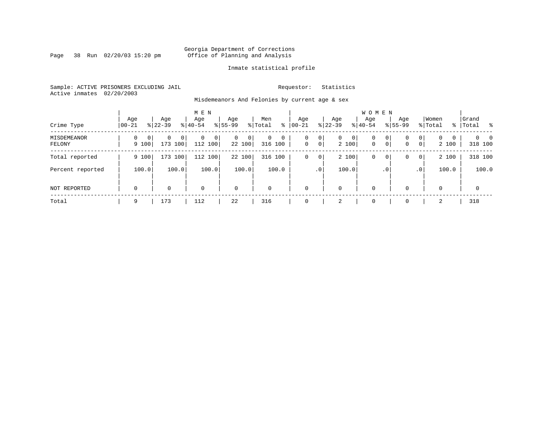Page 38 Run 02/20/03 15:20 pm

### Inmate statistical profile

Sample: ACTIVE PRISONERS EXCLUDING JAIL **Requestor:** Statistics Active inmates 02/20/2003

Misdemeanors And Felonies by current age & sex

| Crime Type                   | Age<br>$00 - 21$                  | Age<br>$8122 - 39$                    | M E N<br>Age<br>$8 40-54$ | Age<br>$8155 - 99$          | Men<br>ွေ<br>% Total                  | Age<br>$ 00 - 21$                       | Age<br>$ 22-39 $           | <b>WOMEN</b><br>Aqe<br>$8 40-54$ | Age<br>$8155 - 99$            | Women<br>% Total                                                | Grand<br>% Total %         |
|------------------------------|-----------------------------------|---------------------------------------|---------------------------|-----------------------------|---------------------------------------|-----------------------------------------|----------------------------|----------------------------------|-------------------------------|-----------------------------------------------------------------|----------------------------|
| <b>MISDEMEANOR</b><br>FELONY | $\Omega$<br>$\mathbf{0}$<br>9 100 | $\Omega$<br>0 <sup>1</sup><br>173 100 | $\Omega$<br>0<br>112 100  | $\mathbf{0}$<br>0<br>22 100 | $\mathbf 0$<br>$\mathbf 0$<br>316 100 | 0<br>0<br>$\mathbf 0$<br>$\overline{0}$ | 0<br>$\mathbf{0}$<br>2 100 | $\mathbf 0$<br>$\mathbf{0}$      | $\mathbf{0}$<br>0<br> 0 <br>0 | $\mathbf{0}$<br>$\Omega$<br>$\Omega$<br>$\overline{0}$<br>2 100 | $\Omega$<br>- 0<br>318 100 |
| Total reported               | 9 100                             | 173 100                               | 112 100                   | 22 100                      | 316 100                               | $\mathsf{O}$<br>0                       | 2 100                      | 0                                | 0<br>0                        | 2 100<br>$\overline{0}$                                         | 318 100                    |
| Percent reported             | 100.0                             | 100.0                                 | 100.0                     | 100.0                       | 100.0                                 | .0 <sup>1</sup>                         | 100.0                      |                                  | $\cdot$ 0                     | 100.0<br>.0 <sup>1</sup>                                        | 100.0                      |
| <b>NOT REPORTED</b>          | $\mathbf 0$                       | 0                                     | $\mathbf 0$               | $\mathbf 0$                 | $\mathbf 0$                           | $\mathbf 0$                             | 0                          | $\mathbf 0$                      | $\Omega$                      | $\Omega$                                                        | 0                          |
| Total                        | 9                                 | 173                                   | 112                       | 22                          | 316                                   | $\Omega$                                | 2                          | $\mathbf 0$                      | $\Omega$                      | 2                                                               | 318                        |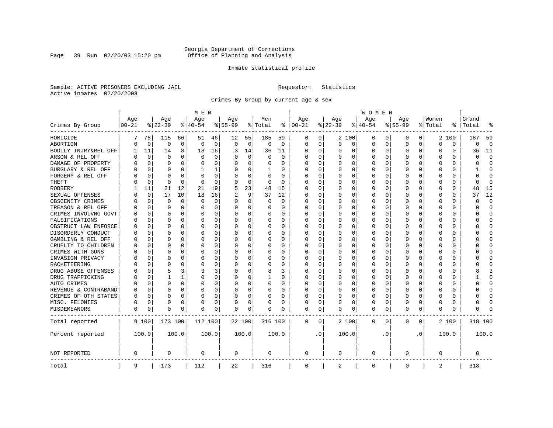Page 39 Run 02/20/03 15:20 pm

### Inmate statistical profile

Sample: ACTIVE PRISONERS EXCLUDING JAIL **Requestor:** Statistics Active inmates 02/20/2003

Crimes By Group by current age & sex

|                      | M E N     |             |             |             |             |          |           |             |          |             |               | WOMEN     |          |             |          |           |             |           |          |          |         |                |  |
|----------------------|-----------|-------------|-------------|-------------|-------------|----------|-----------|-------------|----------|-------------|---------------|-----------|----------|-------------|----------|-----------|-------------|-----------|----------|----------|---------|----------------|--|
|                      | Age       |             | Age         |             | Age         |          | Age       |             | Men      |             | Age           |           | Age      |             | Age      |           | Age         |           | Women    |          | Grand   |                |  |
| Crimes By Group      | $00 - 21$ |             | $ 22-39$    |             | $ 40-54$    |          | $8 55-99$ |             | % Total  |             | $8   00 - 21$ |           | $ 22-39$ |             | $ 40-54$ |           | $8 55-99$   |           | % Total  | ႜ        | Total   |                |  |
| HOMICIDE             | 7         | 78          | 115         | 66          | 51          | 46       | 12        | 55          | 185      | 59          | 0             | 0         |          | 2 100       | 0        | 0         | 0           | 0         |          | 2 100    | 187     | 59             |  |
| ABORTION             | U         | 0           | $\mathbf 0$ | $\mathbf 0$ | $\mathbf 0$ | 0        | 0         | $\mathbf 0$ | 0        | $\mathbf 0$ | $\mathbf 0$   | 0         | $\Omega$ | 0           | 0        | 0         | $\Omega$    | 0         | $\Omega$ | 0        | 0       | $\overline{0}$ |  |
| BODILY INJRY&REL OFF | -1        | 11          | 14          | 8           | 18          | 16       | 3         | 14          | 36       | 11          | 0             | 0         | O        | 0           | 0        | 0         | $\Omega$    | 0         | 0        | 0        | 36      | 11             |  |
| ARSON & REL OFF      | U         | $\mathbf 0$ | $\Omega$    | $\Omega$    | $\Omega$    | 0        |           | $\Omega$    | $\Omega$ | $\Omega$    | Ω             | 0         |          | $\Omega$    | 0        | O         |             | $\Omega$  | 0        | 0        | U       | $\Omega$       |  |
| DAMAGE OF PROPERTY   | U         | $\Omega$    | $\Omega$    | $\Omega$    | $\Omega$    | 0        |           | $\Omega$    | $\Omega$ | $\Omega$    | <sup>0</sup>  | 0         | $\Omega$ | $\Omega$    | O        | U         | ∩           | $\Omega$  | $\Omega$ | $\Omega$ | U       | $\Omega$       |  |
| BURGLARY & REL OFF   |           | $\Omega$    | $\Omega$    | $\Omega$    |             | 1        |           | $\Omega$    | 1        | 0           | 0             | 0         | $\Omega$ | 0           | 0        | O         | $\Omega$    | $\Omega$  | $\Omega$ | 0        |         | $\Omega$       |  |
| FORGERY & REL OFF    |           | $\Omega$    | $\Omega$    | $\Omega$    | $\sqrt{ }$  | 0        |           | $\Omega$    | $\Omega$ | $\Omega$    | <sup>0</sup>  | 0         | $\Omega$ | 0           | 0        | 0         |             | $\Omega$  | O        | 0        | U       | $\cap$         |  |
| <b>THEFT</b>         |           | 0           | $\Omega$    | 0           | $\Omega$    | 0        |           | $\mathbf 0$ | 0        | $\Omega$    | $\Omega$      | 0         | $\Omega$ | $\Omega$    | 0        | 0         | $\Omega$    | $\Omega$  | U        | 0        | U       | $\Omega$       |  |
| <b>ROBBERY</b>       |           | 11          | 21          | 12          | 21          | 19       | 5         | 23          | 48       | 15          | 0             | 0         | 0        | 0           | 0        | 0         | $\Omega$    | $\Omega$  | U        | 0        | 48      | 15             |  |
| SEXUAL OFFENSES      |           | 0           | 17          | 10          | 18          | 16       |           | 9           | 37       | 12          | 0             | 0         | 0        | $\Omega$    | 0        | O         |             | $\Omega$  | $\Omega$ | 0        | 37      | 12             |  |
| OBSCENITY CRIMES     | U         | $\Omega$    | $\Omega$    | $\Omega$    | $\Omega$    | $\Omega$ | n         | $\Omega$    | 0        | 0           | 0             | 0         | $\Omega$ | $\Omega$    | 0        | O         | $\Omega$    | 0         | U        | $\Omega$ | U       | $\Omega$       |  |
| TREASON & REL OFF    |           | $\mathbf 0$ | $\Omega$    | $\Omega$    | $\Omega$    | $\Omega$ |           | $\Omega$    | 0        | 0           | 0             | 0         | 0        | $\Omega$    | 0        | 0         | 0           | $\Omega$  | 0        | $\Omega$ | U       | $\Omega$       |  |
| CRIMES INVOLVNG GOVT |           | $\Omega$    | $\Omega$    | $\Omega$    | 0           | $\Omega$ |           | $\Omega$    | 0        | $\Omega$    | $\Omega$      | 0         |          | $\Omega$    | 0        | 0         | $\Omega$    | $\Omega$  | $\Omega$ | $\Omega$ | ი       | $\Omega$       |  |
| FALSIFICATIONS       | N         | $\Omega$    | $\Omega$    | $\Omega$    | $\Omega$    | $\Omega$ |           | $\Omega$    | 0        | 0           | $\Omega$      | 0         | 0        | $\Omega$    | 0        | 0         | $\Omega$    | 0         | 0        | 0        | U       | $\Omega$       |  |
| OBSTRUCT LAW ENFORCE | U         | 0           | $\Omega$    | $\Omega$    | O           | $\Omega$ |           | $\Omega$    | 0        | 0           | 0             | 0         | 0        | $\Omega$    | 0        | 0         |             | 0         | 0        | 0        |         | <sup>0</sup>   |  |
| DISORDERLY CONDUCT   | N         | O           | $\Omega$    | $\Omega$    | $\Omega$    | $\Omega$ |           | $\Omega$    | O        | O           | <sup>0</sup>  | 0         | O        | $\Omega$    | O        | O         | $\Omega$    | 0         | U        | $\Omega$ |         | ∩              |  |
| GAMBLING & REL OFF   | U         | O           | $\Omega$    | $\Omega$    | O           | $\Omega$ |           | $\Omega$    | $\Omega$ | 0           | <sup>0</sup>  | 0         | O        | $\Omega$    | O        | O         | $\Omega$    | $\Omega$  | U        | $\Omega$ |         | ∩              |  |
| CRUELTY TO CHILDREN  | O         | 0           | $\Omega$    | $\Omega$    | O           | 0        |           | $\Omega$    | 0        | 0           | <sup>0</sup>  | 0         | O        | $\mathbf 0$ | 0        | O         | $\Omega$    | $\Omega$  | U        | $\Omega$ |         | Ω              |  |
| CRIMES WITH GUNS     | N         | $\Omega$    | $\Omega$    | $\Omega$    | C           | $\Omega$ |           | $\Omega$    | U        | $\Omega$    | $\Omega$      | 0         | $\Omega$ | $\Omega$    | 0        | O         | $\Omega$    | 0         | U        | $\Omega$ |         | $\Omega$       |  |
| INVASION PRIVACY     | N         | $\Omega$    | $\Omega$    | $\Omega$    | O           | 0        |           | $\Omega$    | U        | 0           | <sup>0</sup>  | 0         | O        | $\Omega$    | 0        | 0         | n           | 0         | U        | 0        | O       | <sup>0</sup>   |  |
| RACKETEERING         |           | $\Omega$    | $\Omega$    | $\Omega$    | C           | 0        |           | $\Omega$    | O        | U           | <sup>0</sup>  | 0         | O        | $\Omega$    | O        | O         |             | 0         | O        | 0        |         | ∩              |  |
| DRUG ABUSE OFFENSES  | Λ         | $\Omega$    |             | 3           | ζ           | 3        |           | $\Omega$    | 8        | ς           | 0             | 0         | O        | $\Omega$    | O        | U         | ∩           | 0         | U        | $\Omega$ |         |                |  |
| DRUG TRAFFICKING     | Λ         | $\Omega$    |             |             | $\Omega$    | 0        |           | $\Omega$    | 1        | 0           | 0             | 0         | O        | 0           | 0        | O         | n           | $\Omega$  | U        | 0        |         | <sup>0</sup>   |  |
| AUTO CRIMES          |           | 0           | $\Omega$    | $\Omega$    | 0           | 0        |           | $\mathbf 0$ | 0        | O           | 0             | 0         | 0        | 0           | 0        | 0         |             | $\Omega$  | 0        | 0        |         | U              |  |
| REVENUE & CONTRABAND | U         | $\Omega$    | $\Omega$    | $\Omega$    | O           | 0        |           | 0           | 0        | 0           | <sup>0</sup>  | 0         | O        | $\Omega$    | 0        | O         | $\Omega$    | $\Omega$  | U        | 0        | U       | $\Omega$       |  |
| CRIMES OF OTH STATES | 0         | 0           | O           | $\Omega$    | O           | 0        |           | 0           | 0        | 0           | $\Omega$      | 0         | O        | $\Omega$    | 0        | O         | n           | 0         | O        | 0        | U       | <sup>0</sup>   |  |
| MISC. FELONIES       | U         | $\Omega$    | $\Omega$    | $\Omega$    | O           | 0        |           | 0           | 0        | 0           | 0             | 0         |          | 0           | 0        | 0         | $\Omega$    | 0         | U        | 0        | U       | ſ              |  |
| MISDEMEANORS         | 0         | 0           | $\Omega$    | 0           | O           | 0        | O         | 0           | 0        | 0           | 0             | 0         | $\Omega$ | 0           | 0        | O         | 0           | 0         | U        | 0        | ი       |                |  |
| Total reported       |           | 9 100       | 173 100     |             | 112 100     |          | 22 100    |             | 316 100  |             | $\mathbf 0$   | 0         |          | 2 100       | 0        | 0         | $\mathbf 0$ | 0         |          | 2 100    | 318 100 |                |  |
| Percent reported     |           | 100.0       |             | 100.0       |             | 100.0    |           | 100.0       |          | 100.0       |               | $\cdot$ 0 |          | 100.0       |          | $\cdot$ 0 |             | $\cdot$ 0 |          | 100.0    |         | 100.0          |  |
| <b>NOT REPORTED</b>  | 0         |             | 0           |             | 0           |          | 0         |             | 0        |             | 0             |           | 0        |             | 0        |           | 0           |           | 0        |          | 0       |                |  |
| Total                | 9         |             | 173         |             | 112         |          | 22        |             | 316      |             | 0             |           | 2        |             | 0        |           | $\mathbf 0$ |           | 2        |          | 318     |                |  |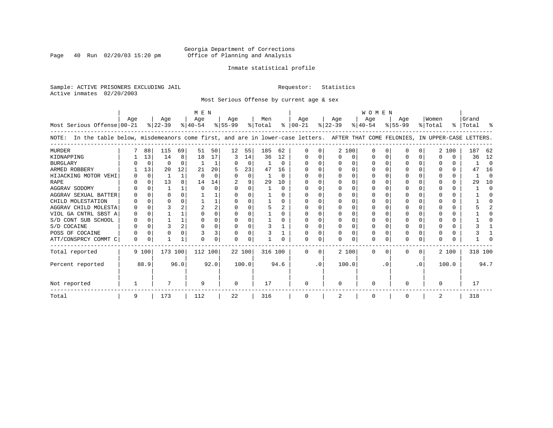Page 40 Run  $02/20/03$  15:20 pm

### Inmate statistical profile

Sample: ACTIVE PRISONERS EXCLUDING JAIL **Requestor:** Statistics Active inmates 02/20/2003

Most Serious Offense by current age & sex

| M E N                                                                                                                                 |          |             |           |              |           |          |           |          |         |              | WOMEN         |           |           |          |           |     |              |           |         |       |           |          |
|---------------------------------------------------------------------------------------------------------------------------------------|----------|-------------|-----------|--------------|-----------|----------|-----------|----------|---------|--------------|---------------|-----------|-----------|----------|-----------|-----|--------------|-----------|---------|-------|-----------|----------|
|                                                                                                                                       | Aqe      |             | Age       |              | Age       |          | Age       |          | Men     |              | Age           |           | Age       |          | Age       |     | Aqe          |           | Women   |       | Grand     |          |
| Most Serious Offense 00-21                                                                                                            |          |             | $ 22-39 $ |              | $ 40-54 $ |          | $8 55-99$ |          | % Total |              | $8   00 - 21$ |           | $ 22-39 $ |          | $ 40-54 $ |     | $8 55-99$    |           | % Total |       | %   Total |          |
| In the table below, misdemeanors come first, and are in lower-case letters. AFTER THAT COME FELONIES, IN UPPER-CASE LETTERS.<br>NOTE: |          |             |           |              |           |          |           |          |         |              |               |           |           |          |           |     |              |           |         |       |           |          |
| <b>MURDER</b>                                                                                                                         |          | 88          | 115       | 69           | 51        | 50       | 12        | 55       | 185     | 62           | <sup>0</sup>  | 0         | 2 100     |          | 0         |     |              |           |         | 2 100 | 187       | 62       |
| KIDNAPPING                                                                                                                            |          | 13          | 14        | 8            | 18        | 17       | 3         | 14       | 36      | 12           |               |           |           | 0        |           |     |              |           |         |       | 36        | 12       |
| <b>BURGLARY</b>                                                                                                                       |          | $\mathbf 0$ | $\Omega$  | $\Omega$     |           |          |           | $\Omega$ |         | $\Omega$     | $\Omega$      | 0         |           | $\Omega$ | O         |     | <sup>0</sup> |           |         | 0     |           | $\Omega$ |
| ARMED ROBBERY                                                                                                                         |          | 13          | 20        | 12           | 21        | 20       |           | 23       | 47      | 16           |               |           |           | $\Omega$ | O         |     |              |           |         | 0     | 47        | 16       |
| HIJACKING MOTOR VEHI                                                                                                                  |          | $\Omega$    |           | $\mathbf{1}$ | $\Omega$  | $\Omega$ |           | $\Omega$ |         | $\Omega$     | ∩             |           |           | $\Omega$ | U         |     | n            |           |         | 0     |           | $\Omega$ |
| <b>RAPE</b>                                                                                                                           |          | $\Omega$    | 13        |              | 14        | 14       |           |          | 29      | 10           |               |           |           |          |           |     |              |           |         |       | 29        | 10       |
| AGGRAV SODOMY                                                                                                                         |          | $\Omega$    |           |              | $\cap$    | O        |           | $\Omega$ |         | $\Omega$     |               |           |           |          |           |     | <sup>0</sup> |           |         | U     |           | $\Omega$ |
| AGGRAV SEXUAL BATTER                                                                                                                  |          | $\Omega$    | O         |              |           |          |           |          |         | 0            |               |           |           | $\Omega$ |           |     |              |           |         | U     |           | n        |
| CHILD MOLESTATION                                                                                                                     |          | $\Omega$    | U         |              |           |          |           |          |         | <sup>n</sup> | n             |           |           |          |           |     | n            |           |         | 0     |           |          |
| AGGRAV CHILD MOLESTA                                                                                                                  |          |             |           |              |           | 2        |           |          |         |              |               |           |           |          |           |     |              |           |         | U     |           |          |
| VIOL GA CNTRL SBST A                                                                                                                  |          | ∩           |           |              |           | U        |           |          |         | U            | O             |           |           | ∩        |           |     | n            |           |         | U     |           |          |
| S/D CONT SUB SCHOOL                                                                                                                   |          | $\Omega$    |           |              |           | U        |           |          |         |              | $\Omega$      |           | ∩         | $\Omega$ | O         |     |              |           |         | U     |           |          |
| S/D COCAINE                                                                                                                           |          | $\Omega$    |           |              | O         | U        |           | $\Omega$ |         |              | n             | U         | ∩         | $\Omega$ | O         |     |              |           |         | U     |           |          |
| POSS OF COCAINE                                                                                                                       |          | $\Omega$    |           |              |           | 3        |           | 0        |         |              | n             |           |           |          | 0         |     |              |           |         | 0     |           |          |
| ATT/CONSPRCY COMMT C                                                                                                                  | $\Omega$ | 0           |           |              |           | O        |           | $\Omega$ |         |              |               | U         |           | $\Omega$ | 0         |     | <sup>0</sup> |           |         |       |           |          |
| Total reported                                                                                                                        |          | 9 100       | 173 100   |              | 112 100   |          | 22 100    |          | 316 100 |              | $\Omega$      | 0         | 2 100     |          | $\Omega$  | ∩   | 0            | 0         |         | 2 100 | 318 100   |          |
| Percent reported                                                                                                                      |          | 88.9        |           | 96.0         |           | 92.0     |           | 100.0    |         | 94.6         |               | $\cdot$ 0 | 100.0     |          |           | . 0 |              | $\cdot$ 0 |         | 100.0 |           | 94.7     |
| Not reported                                                                                                                          |          |             |           |              | 9         |          | $\Omega$  |          | 17      |              | $\Omega$      |           | $\Omega$  |          | $\Omega$  |     |              |           |         |       | 17        |          |
| Total                                                                                                                                 | 9        |             | 173       |              | 112       |          | 22        |          | 316     |              | 0             |           | 2         |          | 0         |     |              |           |         |       | 318       |          |